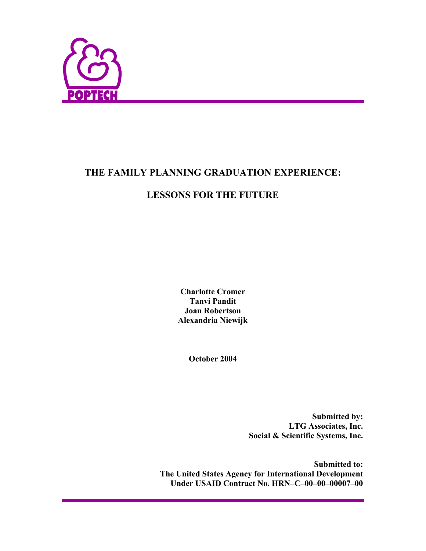

# **THE FAMILY PLANNING GRADUATION EXPERIENCE:**

# **LESSONS FOR THE FUTURE**

**Charlotte Cromer Tanvi Pandit Joan Robertson Alexandria Niewijk** 

**October 2004** 

**Submitted by: LTG Associates, Inc. Social & Scientific Systems, Inc.** 

**Submitted to: The United States Agency for International Development Under USAID Contract No. HRN–C–00–00–00007–00**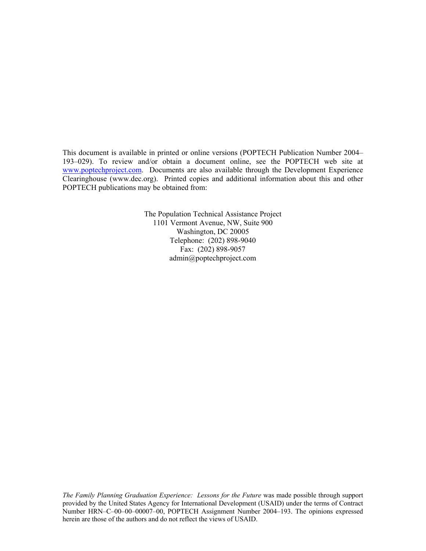This document is available in printed or online versions (POPTECH Publication Number 2004– 193–029). To review and/or obtain a document online, see the POPTECH web site at www.poptechproject.com. Documents are also available through the Development Experience Clearinghouse (www.dec.org). Printed copies and additional information about this and other POPTECH publications may be obtained from:

> The Population Technical Assistance Project 1101 Vermont Avenue, NW, Suite 900 Washington, DC 20005 Telephone: (202) 898-9040 Fax: (202) 898-9057 admin@poptechproject.com

*The Family Planning Graduation Experience: Lessons for the Future* was made possible through support provided by the United States Agency for International Development (USAID) under the terms of Contract Number HRN–C–00–00–00007–00, POPTECH Assignment Number 2004–193. The opinions expressed herein are those of the authors and do not reflect the views of USAID.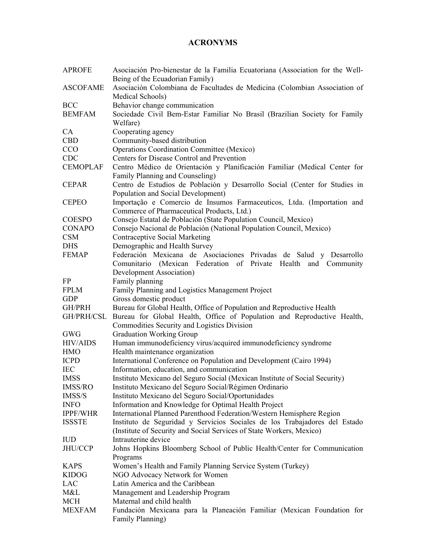## **ACRONYMS**

| <b>APROFE</b>   | Asociación Pro-bienestar de la Familia Ecuatoriana (Association for the Well-<br>Being of the Ecuadorian Family)                                   |  |  |
|-----------------|----------------------------------------------------------------------------------------------------------------------------------------------------|--|--|
| <b>ASCOFAME</b> | Asociación Colombiana de Facultades de Medicina (Colombian Association of<br>Medical Schools)                                                      |  |  |
| <b>BCC</b>      |                                                                                                                                                    |  |  |
| <b>BEMFAM</b>   | Behavior change communication                                                                                                                      |  |  |
|                 | Sociedade Civil Bem-Estar Familiar No Brasil (Brazilian Society for Family<br>Welfare)                                                             |  |  |
| CA              | Cooperating agency                                                                                                                                 |  |  |
| <b>CBD</b>      | Community-based distribution                                                                                                                       |  |  |
| CCO             | <b>Operations Coordination Committee (Mexico)</b>                                                                                                  |  |  |
| <b>CDC</b>      | Centers for Disease Control and Prevention                                                                                                         |  |  |
| <b>CEMOPLAF</b> | Centro Médico de Orientación y Planificación Familiar (Medical Center for<br>Family Planning and Counseling)                                       |  |  |
| <b>CEPAR</b>    | Centro de Estudios de Población y Desarrollo Social (Center for Studies in                                                                         |  |  |
|                 | Population and Social Development)                                                                                                                 |  |  |
| <b>CEPEO</b>    | Importação e Comercio de Insumos Farmaceuticos, Ltda. (Importation and<br>Commerce of Pharmaceutical Products, Ltd.)                               |  |  |
| <b>COESPO</b>   | Consejo Estatal de Población (State Population Council, Mexico)                                                                                    |  |  |
| <b>CONAPO</b>   | Consejo Nacional de Población (National Population Council, Mexico)                                                                                |  |  |
| <b>CSM</b>      | <b>Contraceptive Social Marketing</b>                                                                                                              |  |  |
| <b>DHS</b>      | Demographic and Health Survey                                                                                                                      |  |  |
| <b>FEMAP</b>    | Federación Mexicana de Asociaciones Privadas de Salud y Desarrollo                                                                                 |  |  |
|                 | Comunitario (Mexican Federation of Private Health and Community                                                                                    |  |  |
|                 | Development Association)                                                                                                                           |  |  |
| FP              | Family planning                                                                                                                                    |  |  |
| <b>FPLM</b>     | Family Planning and Logistics Management Project                                                                                                   |  |  |
| <b>GDP</b>      | Gross domestic product                                                                                                                             |  |  |
| GH/PRH          | Bureau for Global Health, Office of Population and Reproductive Health                                                                             |  |  |
| GH/PRH/CSL      | Bureau for Global Health, Office of Population and Reproductive Health,<br>Commodities Security and Logistics Division                             |  |  |
| <b>GWG</b>      | <b>Graduation Working Group</b>                                                                                                                    |  |  |
| <b>HIV/AIDS</b> | Human immunodeficiency virus/acquired immunodeficiency syndrome                                                                                    |  |  |
| <b>HMO</b>      | Health maintenance organization                                                                                                                    |  |  |
| <b>ICPD</b>     | International Conference on Population and Development (Cairo 1994)                                                                                |  |  |
| <b>IEC</b>      | Information, education, and communication                                                                                                          |  |  |
| <b>IMSS</b>     | Instituto Mexicano del Seguro Social (Mexican Institute of Social Security)                                                                        |  |  |
| <b>IMSS/RO</b>  | Instituto Mexicano del Seguro Social/Régimen Ordinario                                                                                             |  |  |
| IMSS/S          | Instituto Mexicano del Seguro Social/Oportunidades                                                                                                 |  |  |
| <b>INFO</b>     | Information and Knowledge for Optimal Health Project                                                                                               |  |  |
| <b>IPPF/WHR</b> | International Planned Parenthood Federation/Western Hemisphere Region                                                                              |  |  |
| <b>ISSSTE</b>   | Instituto de Seguridad y Servicios Sociales de los Trabajadores del Estado<br>(Institute of Security and Social Services of State Workers, Mexico) |  |  |
| <b>IUD</b>      | Intrauterine device                                                                                                                                |  |  |
| JHU/CCP         | Johns Hopkins Bloomberg School of Public Health/Center for Communication                                                                           |  |  |
|                 | Programs                                                                                                                                           |  |  |
| <b>KAPS</b>     | Women's Health and Family Planning Service System (Turkey)                                                                                         |  |  |
| <b>KIDOG</b>    | NGO Advocacy Network for Women                                                                                                                     |  |  |
| LAC             | Latin America and the Caribbean                                                                                                                    |  |  |
| M&L             | Management and Leadership Program                                                                                                                  |  |  |
| MCH             | Maternal and child health                                                                                                                          |  |  |
| <b>MEXFAM</b>   | Fundación Mexicana para la Planeación Familiar (Mexican Foundation for<br>Family Planning)                                                         |  |  |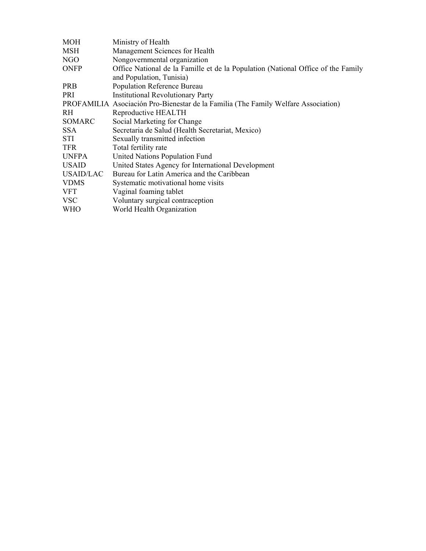| <b>MOH</b>       | Ministry of Health                                                                 |  |  |
|------------------|------------------------------------------------------------------------------------|--|--|
| <b>MSH</b>       | Management Sciences for Health                                                     |  |  |
| NGO              | Nongovernmental organization                                                       |  |  |
| <b>ONFP</b>      | Office National de la Famille et de la Population (National Office of the Family   |  |  |
|                  | and Population, Tunisia)                                                           |  |  |
| <b>PRB</b>       | Population Reference Bureau                                                        |  |  |
| PRI              | <b>Institutional Revolutionary Party</b>                                           |  |  |
|                  | PROFAMILIA Asociación Pro-Bienestar de la Familia (The Family Welfare Association) |  |  |
| RH.              | Reproductive HEALTH                                                                |  |  |
| SOMARC           | Social Marketing for Change                                                        |  |  |
| <b>SSA</b>       | Secretaria de Salud (Health Secretariat, Mexico)                                   |  |  |
| STI              | Sexually transmitted infection                                                     |  |  |
| <b>TFR</b>       | Total fertility rate                                                               |  |  |
| <b>UNFPA</b>     | United Nations Population Fund                                                     |  |  |
| <b>USAID</b>     | United States Agency for International Development                                 |  |  |
| <b>USAID/LAC</b> | Bureau for Latin America and the Caribbean                                         |  |  |
| <b>VDMS</b>      | Systematic motivational home visits                                                |  |  |
| <b>VFT</b>       | Vaginal foaming tablet                                                             |  |  |
| <b>VSC</b>       | Voluntary surgical contraception                                                   |  |  |
| <b>WHO</b>       | World Health Organization                                                          |  |  |
|                  |                                                                                    |  |  |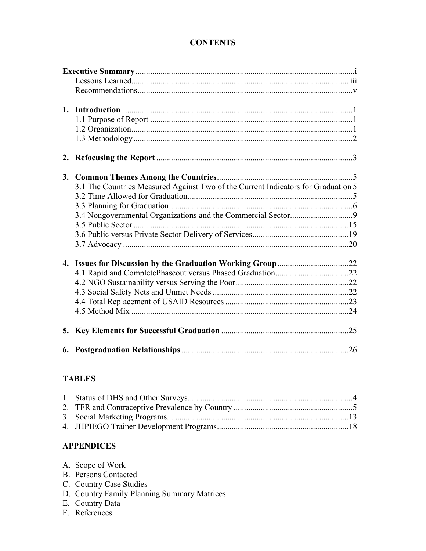## **CONTENTS**

|    | 3.1 The Countries Measured Against Two of the Current Indicators for Graduation 5 |  |
|----|-----------------------------------------------------------------------------------|--|
|    |                                                                                   |  |
|    |                                                                                   |  |
|    |                                                                                   |  |
|    |                                                                                   |  |
|    |                                                                                   |  |
|    |                                                                                   |  |
| 4. |                                                                                   |  |
|    |                                                                                   |  |
|    |                                                                                   |  |
|    |                                                                                   |  |
|    |                                                                                   |  |
|    |                                                                                   |  |
|    |                                                                                   |  |
|    |                                                                                   |  |

# **TABLES**

## **APPENDICES**

|  | A. Scope of Work |
|--|------------------|
|--|------------------|

- B. Persons Contacted
- C. Country Case Studies
- D. Country Family Planning Summary Matrices
- E. Country Data
- F. References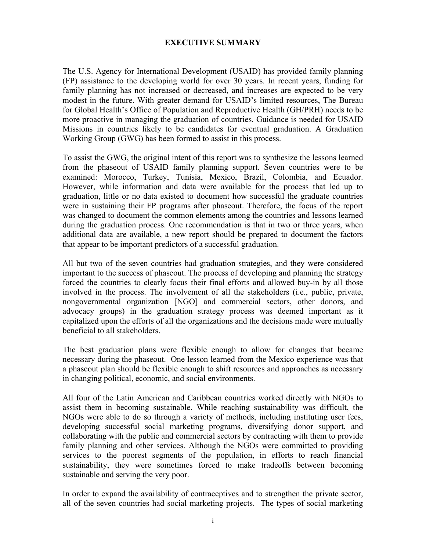### **EXECUTIVE SUMMARY**

The U.S. Agency for International Development (USAID) has provided family planning (FP) assistance to the developing world for over 30 years. In recent years, funding for family planning has not increased or decreased, and increases are expected to be very modest in the future. With greater demand for USAID's limited resources, The Bureau for Global Health's Office of Population and Reproductive Health (GH/PRH) needs to be more proactive in managing the graduation of countries. Guidance is needed for USAID Missions in countries likely to be candidates for eventual graduation. A Graduation Working Group (GWG) has been formed to assist in this process.

To assist the GWG, the original intent of this report was to synthesize the lessons learned from the phaseout of USAID family planning support. Seven countries were to be examined: Morocco, Turkey, Tunisia, Mexico, Brazil, Colombia, and Ecuador. However, while information and data were available for the process that led up to graduation, little or no data existed to document how successful the graduate countries were in sustaining their FP programs after phaseout. Therefore, the focus of the report was changed to document the common elements among the countries and lessons learned during the graduation process. One recommendation is that in two or three years, when additional data are available, a new report should be prepared to document the factors that appear to be important predictors of a successful graduation.

All but two of the seven countries had graduation strategies, and they were considered important to the success of phaseout. The process of developing and planning the strategy forced the countries to clearly focus their final efforts and allowed buy-in by all those involved in the process. The involvement of all the stakeholders (i.e., public, private, nongovernmental organization [NGO] and commercial sectors, other donors, and advocacy groups) in the graduation strategy process was deemed important as it capitalized upon the efforts of all the organizations and the decisions made were mutually beneficial to all stakeholders.

The best graduation plans were flexible enough to allow for changes that became necessary during the phaseout. One lesson learned from the Mexico experience was that a phaseout plan should be flexible enough to shift resources and approaches as necessary in changing political, economic, and social environments.

All four of the Latin American and Caribbean countries worked directly with NGOs to assist them in becoming sustainable. While reaching sustainability was difficult, the NGOs were able to do so through a variety of methods, including instituting user fees, developing successful social marketing programs, diversifying donor support, and collaborating with the public and commercial sectors by contracting with them to provide family planning and other services. Although the NGOs were committed to providing services to the poorest segments of the population, in efforts to reach financial sustainability, they were sometimes forced to make tradeoffs between becoming sustainable and serving the very poor.

In order to expand the availability of contraceptives and to strengthen the private sector, all of the seven countries had social marketing projects. The types of social marketing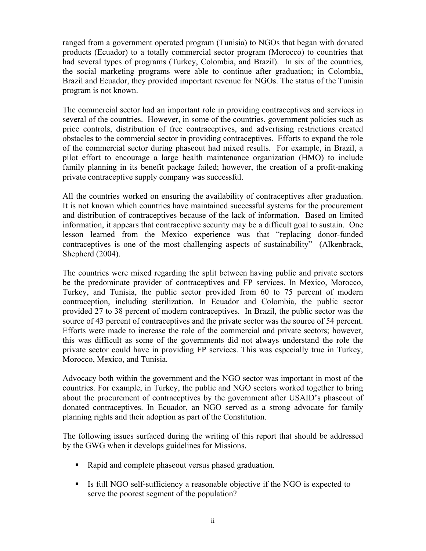ranged from a government operated program (Tunisia) to NGOs that began with donated products (Ecuador) to a totally commercial sector program (Morocco) to countries that had several types of programs (Turkey, Colombia, and Brazil). In six of the countries, the social marketing programs were able to continue after graduation; in Colombia, Brazil and Ecuador, they provided important revenue for NGOs. The status of the Tunisia program is not known.

The commercial sector had an important role in providing contraceptives and services in several of the countries. However, in some of the countries, government policies such as price controls, distribution of free contraceptives, and advertising restrictions created obstacles to the commercial sector in providing contraceptives. Efforts to expand the role of the commercial sector during phaseout had mixed results. For example, in Brazil, a pilot effort to encourage a large health maintenance organization (HMO) to include family planning in its benefit package failed; however, the creation of a profit-making private contraceptive supply company was successful.

All the countries worked on ensuring the availability of contraceptives after graduation. It is not known which countries have maintained successful systems for the procurement and distribution of contraceptives because of the lack of information. Based on limited information, it appears that contraceptive security may be a difficult goal to sustain. One lesson learned from the Mexico experience was that "replacing donor-funded contraceptives is one of the most challenging aspects of sustainability" (Alkenbrack, Shepherd (2004).

The countries were mixed regarding the split between having public and private sectors be the predominate provider of contraceptives and FP services. In Mexico, Morocco, Turkey, and Tunisia, the public sector provided from 60 to 75 percent of modern contraception, including sterilization. In Ecuador and Colombia, the public sector provided 27 to 38 percent of modern contraceptives. In Brazil, the public sector was the source of 43 percent of contraceptives and the private sector was the source of 54 percent. Efforts were made to increase the role of the commercial and private sectors; however, this was difficult as some of the governments did not always understand the role the private sector could have in providing FP services. This was especially true in Turkey, Morocco, Mexico, and Tunisia.

Advocacy both within the government and the NGO sector was important in most of the countries. For example, in Turkey, the public and NGO sectors worked together to bring about the procurement of contraceptives by the government after USAID's phaseout of donated contraceptives. In Ecuador, an NGO served as a strong advocate for family planning rights and their adoption as part of the Constitution.

The following issues surfaced during the writing of this report that should be addressed by the GWG when it develops guidelines for Missions.

- Rapid and complete phaseout versus phased graduation.
- Is full NGO self-sufficiency a reasonable objective if the NGO is expected to serve the poorest segment of the population?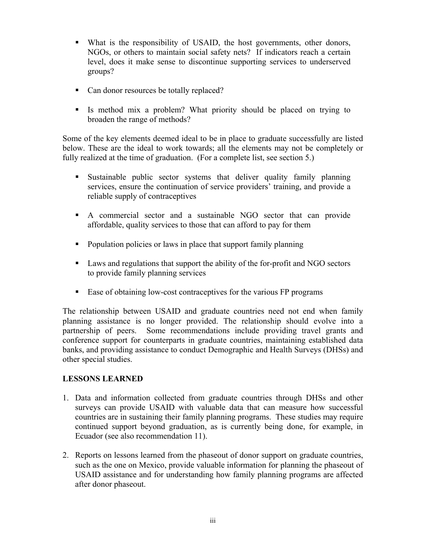- What is the responsibility of USAID, the host governments, other donors, NGOs, or others to maintain social safety nets? If indicators reach a certain level, does it make sense to discontinue supporting services to underserved groups?
- Can donor resources be totally replaced?
- Is method mix a problem? What priority should be placed on trying to broaden the range of methods?

Some of the key elements deemed ideal to be in place to graduate successfully are listed below. These are the ideal to work towards; all the elements may not be completely or fully realized at the time of graduation. (For a complete list, see section 5.)

- Sustainable public sector systems that deliver quality family planning services, ensure the continuation of service providers' training, and provide a reliable supply of contraceptives
- A commercial sector and a sustainable NGO sector that can provide affordable, quality services to those that can afford to pay for them
- Population policies or laws in place that support family planning
- Laws and regulations that support the ability of the for-profit and NGO sectors to provide family planning services
- Ease of obtaining low-cost contraceptives for the various FP programs

The relationship between USAID and graduate countries need not end when family planning assistance is no longer provided. The relationship should evolve into a partnership of peers. Some recommendations include providing travel grants and conference support for counterparts in graduate countries, maintaining established data banks, and providing assistance to conduct Demographic and Health Surveys (DHSs) and other special studies.

## **LESSONS LEARNED**

- 1. Data and information collected from graduate countries through DHSs and other surveys can provide USAID with valuable data that can measure how successful countries are in sustaining their family planning programs. These studies may require continued support beyond graduation, as is currently being done, for example, in Ecuador (see also recommendation 11).
- 2. Reports on lessons learned from the phaseout of donor support on graduate countries, such as the one on Mexico, provide valuable information for planning the phaseout of USAID assistance and for understanding how family planning programs are affected after donor phaseout.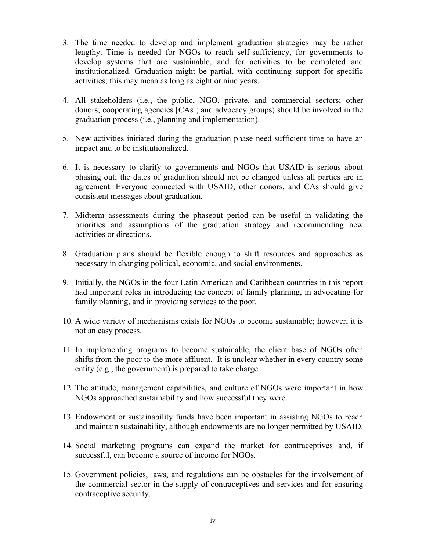- 3. The time needed to develop and implement graduation strategies may be rather lengthy. Time is needed for NGOs to reach self-sufficiency, for governments to develop systems that are sustainable, and for activities to be completed and institutionalized. Graduation might be partial, with continuing support for specific activities; this may mean as long as eight or nine years.
- 4. All stakeholders (i.e., the public, NGO, private, and commercial sectors; other donors; cooperating agencies [CAs]; and advocacy groups) should be involved in the graduation process (i.e., planning and implementation).
- 5. New activities initiated during the graduation phase need sufficient time to have an impact and to be institutionalized.
- 6. It is necessary to clarify to governments and NGOs that USAID is serious about phasing out; the dates of graduation should not be changed unless all parties are in agreement. Everyone connected with USAID, other donors, and CAs should give consistent messages about graduation.
- 7. Midterm assessments during the phaseout period can be useful in validating the priorities and assumptions of the graduation strategy and recommending new activities or directions.
- 8. Graduation plans should be flexible enough to shift resources and approaches as necessary in changing political, economic, and social environments.
- 9. Initially, the NGOs in the four Latin American and Caribbean countries in this report had important roles in introducing the concept of family planning, in advocating for family planning, and in providing services to the poor.
- 10. A wide variety of mechanisms exists for NGOs to become sustainable; however, it is not an easy process.
- 11. In implementing programs to become sustainable, the client base of NGOs often shifts from the poor to the more affluent. It is unclear whether in every country some entity (e.g., the government) is prepared to take charge.
- 12. The attitude, management capabilities, and culture of NGOs were important in how NGOs approached sustainability and how successful they were.
- 13. Endowment or sustainability funds have been important in assisting NGOs to reach and maintain sustainability, although endowments are no longer permitted by USAID.
- 14. Social marketing programs can expand the market for contraceptives and, if successful, can become a source of income for NGOs.
- 15. Government policies, laws, and regulations can be obstacles for the involvement of the commercial sector in the supply of contraceptives and services and for ensuring contraceptive security.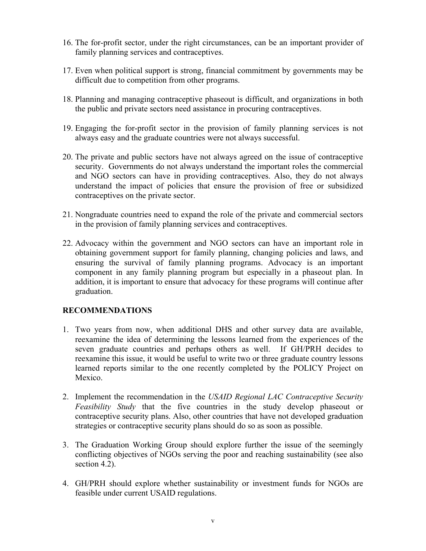- 16. The for-profit sector, under the right circumstances, can be an important provider of family planning services and contraceptives.
- 17. Even when political support is strong, financial commitment by governments may be difficult due to competition from other programs.
- 18. Planning and managing contraceptive phaseout is difficult, and organizations in both the public and private sectors need assistance in procuring contraceptives.
- 19. Engaging the for-profit sector in the provision of family planning services is not always easy and the graduate countries were not always successful.
- 20. The private and public sectors have not always agreed on the issue of contraceptive security. Governments do not always understand the important roles the commercial and NGO sectors can have in providing contraceptives. Also, they do not always understand the impact of policies that ensure the provision of free or subsidized contraceptives on the private sector.
- 21. Nongraduate countries need to expand the role of the private and commercial sectors in the provision of family planning services and contraceptives.
- 22. Advocacy within the government and NGO sectors can have an important role in obtaining government support for family planning, changing policies and laws, and ensuring the survival of family planning programs. Advocacy is an important component in any family planning program but especially in a phaseout plan. In addition, it is important to ensure that advocacy for these programs will continue after graduation.

## **RECOMMENDATIONS**

- 1. Two years from now, when additional DHS and other survey data are available, reexamine the idea of determining the lessons learned from the experiences of the seven graduate countries and perhaps others as well. If GH/PRH decides to reexamine this issue, it would be useful to write two or three graduate country lessons learned reports similar to the one recently completed by the POLICY Project on Mexico.
- 2. Implement the recommendation in the *USAID Regional LAC Contraceptive Security Feasibility Study* that the five countries in the study develop phaseout or contraceptive security plans. Also, other countries that have not developed graduation strategies or contraceptive security plans should do so as soon as possible.
- 3. The Graduation Working Group should explore further the issue of the seemingly conflicting objectives of NGOs serving the poor and reaching sustainability (see also section 4.2).
- 4. GH/PRH should explore whether sustainability or investment funds for NGOs are feasible under current USAID regulations.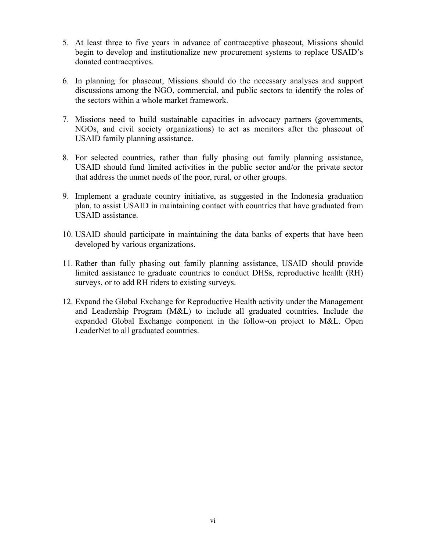- 5. At least three to five years in advance of contraceptive phaseout, Missions should begin to develop and institutionalize new procurement systems to replace USAID's donated contraceptives.
- 6. In planning for phaseout, Missions should do the necessary analyses and support discussions among the NGO, commercial, and public sectors to identify the roles of the sectors within a whole market framework.
- 7. Missions need to build sustainable capacities in advocacy partners (governments, NGOs, and civil society organizations) to act as monitors after the phaseout of USAID family planning assistance.
- 8. For selected countries, rather than fully phasing out family planning assistance, USAID should fund limited activities in the public sector and/or the private sector that address the unmet needs of the poor, rural, or other groups.
- 9. Implement a graduate country initiative, as suggested in the Indonesia graduation plan, to assist USAID in maintaining contact with countries that have graduated from USAID assistance.
- 10. USAID should participate in maintaining the data banks of experts that have been developed by various organizations.
- 11. Rather than fully phasing out family planning assistance, USAID should provide limited assistance to graduate countries to conduct DHSs, reproductive health (RH) surveys, or to add RH riders to existing surveys.
- 12. Expand the Global Exchange for Reproductive Health activity under the Management and Leadership Program (M&L) to include all graduated countries. Include the expanded Global Exchange component in the follow-on project to M&L. Open LeaderNet to all graduated countries.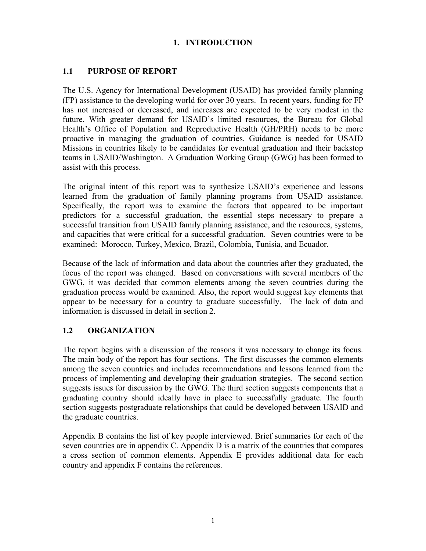## **1. INTRODUCTION**

## **1.1 PURPOSE OF REPORT**

The U.S. Agency for International Development (USAID) has provided family planning (FP) assistance to the developing world for over 30 years. In recent years, funding for FP has not increased or decreased, and increases are expected to be very modest in the future. With greater demand for USAID's limited resources, the Bureau for Global Health's Office of Population and Reproductive Health (GH/PRH) needs to be more proactive in managing the graduation of countries. Guidance is needed for USAID Missions in countries likely to be candidates for eventual graduation and their backstop teams in USAID/Washington. A Graduation Working Group (GWG) has been formed to assist with this process.

The original intent of this report was to synthesize USAID's experience and lessons learned from the graduation of family planning programs from USAID assistance. Specifically, the report was to examine the factors that appeared to be important predictors for a successful graduation, the essential steps necessary to prepare a successful transition from USAID family planning assistance, and the resources, systems, and capacities that were critical for a successful graduation. Seven countries were to be examined: Morocco, Turkey, Mexico, Brazil, Colombia, Tunisia, and Ecuador.

Because of the lack of information and data about the countries after they graduated, the focus of the report was changed. Based on conversations with several members of the GWG, it was decided that common elements among the seven countries during the graduation process would be examined. Also, the report would suggest key elements that appear to be necessary for a country to graduate successfully. The lack of data and information is discussed in detail in section 2.

## **1.2 ORGANIZATION**

The report begins with a discussion of the reasons it was necessary to change its focus. The main body of the report has four sections. The first discusses the common elements among the seven countries and includes recommendations and lessons learned from the process of implementing and developing their graduation strategies. The second section suggests issues for discussion by the GWG. The third section suggests components that a graduating country should ideally have in place to successfully graduate. The fourth section suggests postgraduate relationships that could be developed between USAID and the graduate countries.

Appendix B contains the list of key people interviewed. Brief summaries for each of the seven countries are in appendix C. Appendix D is a matrix of the countries that compares a cross section of common elements. Appendix E provides additional data for each country and appendix F contains the references.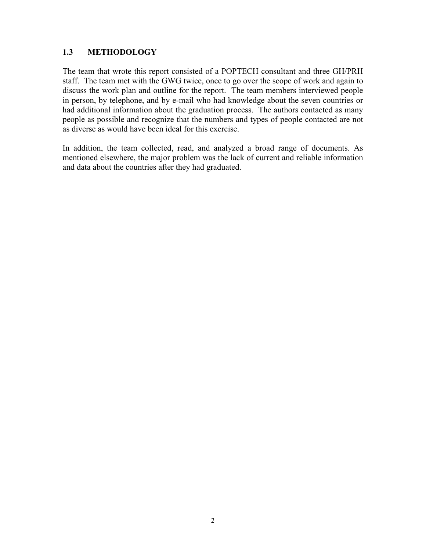## **1.3 METHODOLOGY**

The team that wrote this report consisted of a POPTECH consultant and three GH/PRH staff. The team met with the GWG twice, once to go over the scope of work and again to discuss the work plan and outline for the report. The team members interviewed people in person, by telephone, and by e-mail who had knowledge about the seven countries or had additional information about the graduation process. The authors contacted as many people as possible and recognize that the numbers and types of people contacted are not as diverse as would have been ideal for this exercise.

In addition, the team collected, read, and analyzed a broad range of documents. As mentioned elsewhere, the major problem was the lack of current and reliable information and data about the countries after they had graduated.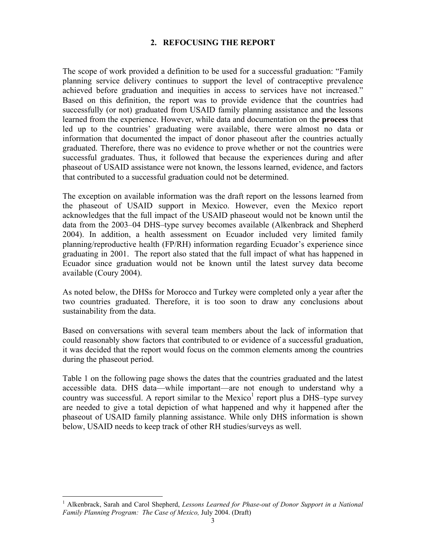### **2. REFOCUSING THE REPORT**

The scope of work provided a definition to be used for a successful graduation: "Family planning service delivery continues to support the level of contraceptive prevalence achieved before graduation and inequities in access to services have not increased." Based on this definition, the report was to provide evidence that the countries had successfully (or not) graduated from USAID family planning assistance and the lessons learned from the experience. However, while data and documentation on the **process** that led up to the countries' graduating were available, there were almost no data or information that documented the impact of donor phaseout after the countries actually graduated. Therefore, there was no evidence to prove whether or not the countries were successful graduates. Thus, it followed that because the experiences during and after phaseout of USAID assistance were not known, the lessons learned, evidence, and factors that contributed to a successful graduation could not be determined.

The exception on available information was the draft report on the lessons learned from the phaseout of USAID support in Mexico. However, even the Mexico report acknowledges that the full impact of the USAID phaseout would not be known until the data from the 2003–04 DHS–type survey becomes available (Alkenbrack and Shepherd 2004). In addition, a health assessment on Ecuador included very limited family planning/reproductive health (FP/RH) information regarding Ecuador's experience since graduating in 2001. The report also stated that the full impact of what has happened in Ecuador since graduation would not be known until the latest survey data become available (Coury 2004).

As noted below, the DHSs for Morocco and Turkey were completed only a year after the two countries graduated. Therefore, it is too soon to draw any conclusions about sustainability from the data.

Based on conversations with several team members about the lack of information that could reasonably show factors that contributed to or evidence of a successful graduation, it was decided that the report would focus on the common elements among the countries during the phaseout period.

Table 1 on the following page shows the dates that the countries graduated and the latest accessible data. DHS data—while important—are not enough to understand why a country was successful. A report similar to the Mexico<sup>1</sup> report plus a DHS-type survey are needed to give a total depiction of what happened and why it happened after the phaseout of USAID family planning assistance. While only DHS information is shown below, USAID needs to keep track of other RH studies/surveys as well.

 1 Alkenbrack, Sarah and Carol Shepherd, *Lessons Learned for Phase-out of Donor Support in a National Family Planning Program: The Case of Mexico,* July 2004. (Draft)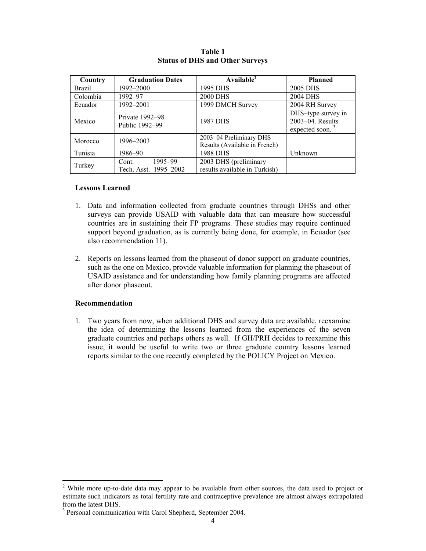| Country       | <b>Graduation Dates</b>                   | Available <sup>2</sup>                                   | <b>Planned</b>                                               |
|---------------|-------------------------------------------|----------------------------------------------------------|--------------------------------------------------------------|
| <b>Brazil</b> | 1992–2000                                 | 1995 DHS                                                 | 2005 DHS                                                     |
| Colombia      | 1992–97                                   | <b>2000 DHS</b>                                          | <b>2004 DHS</b>                                              |
| Ecuador       | 1992-2001                                 | 1999 DMCH Survey                                         | 2004 RH Survey                                               |
| Mexico        | Private 1992-98<br>Public 1992-99         | 1987 DHS                                                 | DHS-type survey in<br>2003-04. Results<br>expected soon. $3$ |
| Morocco       | 1996–2003                                 | 2003-04 Preliminary DHS<br>Results (Available in French) |                                                              |
| Tunisia       | 1986–90                                   | 1988 DHS                                                 | Unknown                                                      |
| Turkey        | 1995-99<br>Cont.<br>Tech. Asst. 1995-2002 | 2003 DHS (preliminary<br>results available in Turkish)   |                                                              |

#### **Table 1 Status of DHS and Other Surveys**

#### **Lessons Learned**

- 1. Data and information collected from graduate countries through DHSs and other surveys can provide USAID with valuable data that can measure how successful countries are in sustaining their FP programs. These studies may require continued support beyond graduation, as is currently being done, for example, in Ecuador (see also recommendation 11).
- 2. Reports on lessons learned from the phaseout of donor support on graduate countries, such as the one on Mexico, provide valuable information for planning the phaseout of USAID assistance and for understanding how family planning programs are affected after donor phaseout.

#### **Recommendation**

1. Two years from now, when additional DHS and survey data are available, reexamine the idea of determining the lessons learned from the experiences of the seven graduate countries and perhaps others as well. If GH/PRH decides to reexamine this issue, it would be useful to write two or three graduate country lessons learned reports similar to the one recently completed by the POLICY Project on Mexico.

<sup>&</sup>lt;sup>2</sup> While more up-to-date data may appear to be available from other sources, the data used to project or estimate such indicators as total fertility rate and contraceptive prevalence are almost always extrapolated from the latest DHS.

<sup>&</sup>lt;sup>3</sup> Personal communication with Carol Shepherd, September 2004.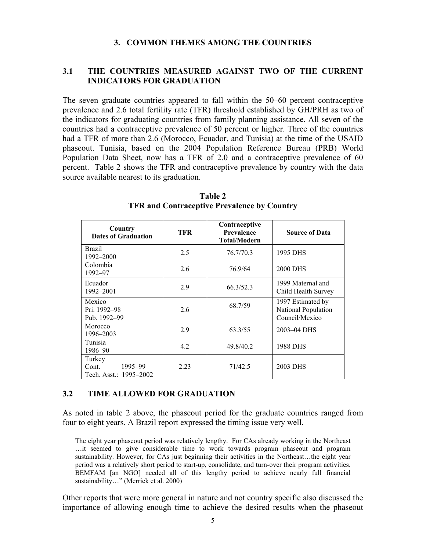#### **3. COMMON THEMES AMONG THE COUNTRIES**

### **3.1 THE COUNTRIES MEASURED AGAINST TWO OF THE CURRENT INDICATORS FOR GRADUATION**

The seven graduate countries appeared to fall within the 50–60 percent contraceptive prevalence and 2.6 total fertility rate (TFR) threshold established by GH/PRH as two of the indicators for graduating countries from family planning assistance. All seven of the countries had a contraceptive prevalence of 50 percent or higher. Three of the countries had a TFR of more than 2.6 (Morocco, Ecuador, and Tunisia) at the time of the USAID phaseout. Tunisia, based on the 2004 Population Reference Bureau (PRB) World Population Data Sheet, now has a TFR of 2.0 and a contraceptive prevalence of 60 percent. Table 2 shows the TFR and contraceptive prevalence by country with the data source available nearest to its graduation.

| Country<br><b>Dates of Graduation</b>                | TFR  | Contraceptive<br><b>Prevalence</b><br><b>Total/Modern</b> | <b>Source of Data</b>                                      |
|------------------------------------------------------|------|-----------------------------------------------------------|------------------------------------------------------------|
| <b>Brazil</b><br>1992-2000                           | 2.5  | 76.7/70.3                                                 | 1995 DHS                                                   |
| Colombia<br>1992-97                                  | 2.6  | 76.9/64                                                   | <b>2000 DHS</b>                                            |
| Ecuador<br>1992-2001                                 | 2.9  | 66.3/52.3                                                 | 1999 Maternal and<br>Child Health Survey                   |
| Mexico<br>Pri. 1992–98<br>Pub. 1992-99               | 2.6  | 68.7/59                                                   | 1997 Estimated by<br>National Population<br>Council/Mexico |
| Morocco<br>1996–2003                                 | 2.9  | 63.3/55                                                   | 2003-04 DHS                                                |
| Tunisia<br>1986-90                                   | 4.2  | 49.8/40.2                                                 | 1988 DHS                                                   |
| Turkey<br>1995–99<br>Cont.<br>Tech. Asst.: 1995-2002 | 2.23 | 71/42.5                                                   | 2003 DHS                                                   |

**Table 2 TFR and Contraceptive Prevalence by Country** 

### **3.2 TIME ALLOWED FOR GRADUATION**

As noted in table 2 above, the phaseout period for the graduate countries ranged from four to eight years. A Brazil report expressed the timing issue very well.

The eight year phaseout period was relatively lengthy. For CAs already working in the Northeast …it seemed to give considerable time to work towards program phaseout and program sustainability. However, for CAs just beginning their activities in the Northeast…the eight year period was a relatively short period to start-up, consolidate, and turn-over their program activities. BEMFAM [an NGO] needed all of this lengthy period to achieve nearly full financial sustainability…" (Merrick et al. 2000)

Other reports that were more general in nature and not country specific also discussed the importance of allowing enough time to achieve the desired results when the phaseout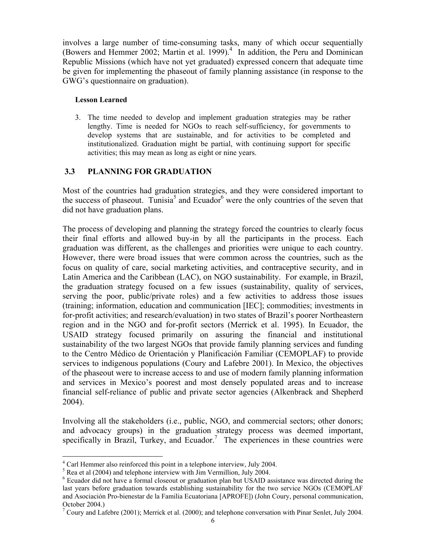involves a large number of time-consuming tasks, many of which occur sequentially (Bowers and Hemmer 2002; Martin et al. 1999).<sup>4</sup> In addition, the Peru and Dominican Republic Missions (which have not yet graduated) expressed concern that adequate time be given for implementing the phaseout of family planning assistance (in response to the GWG's questionnaire on graduation).

#### **Lesson Learned**

3. The time needed to develop and implement graduation strategies may be rather lengthy. Time is needed for NGOs to reach self-sufficiency, for governments to develop systems that are sustainable, and for activities to be completed and institutionalized. Graduation might be partial, with continuing support for specific activities; this may mean as long as eight or nine years.

### **3.3 PLANNING FOR GRADUATION**

Most of the countries had graduation strategies, and they were considered important to the success of phaseout. Tunisia<sup>5</sup> and Ecuador<sup>6</sup> were the only countries of the seven that did not have graduation plans.

The process of developing and planning the strategy forced the countries to clearly focus their final efforts and allowed buy-in by all the participants in the process. Each graduation was different, as the challenges and priorities were unique to each country. However, there were broad issues that were common across the countries, such as the focus on quality of care, social marketing activities, and contraceptive security, and in Latin America and the Caribbean (LAC), on NGO sustainability. For example, in Brazil, the graduation strategy focused on a few issues (sustainability, quality of services, serving the poor, public/private roles) and a few activities to address those issues (training; information, education and communication [IEC]; commodities; investments in for-profit activities; and research/evaluation) in two states of Brazil's poorer Northeastern region and in the NGO and for-profit sectors (Merrick et al. 1995). In Ecuador, the USAID strategy focused primarily on assuring the financial and institutional sustainability of the two largest NGOs that provide family planning services and funding to the Centro Médico de Orientación y Planificación Familiar (CEMOPLAF) to provide services to indigenous populations (Coury and Lafebre 2001). In Mexico, the objectives of the phaseout were to increase access to and use of modern family planning information and services in Mexico's poorest and most densely populated areas and to increase financial self-reliance of public and private sector agencies (Alkenbrack and Shepherd 2004).

Involving all the stakeholders (i.e., public, NGO, and commercial sectors; other donors; and advocacy groups) in the graduation strategy process was deemed important, specifically in Brazil, Turkey, and Ecuador.<sup>7</sup> The experiences in these countries were

 4 Carl Hemmer also reinforced this point in a telephone interview, July 2004.

 $<sup>5</sup>$  Rea et al (2004) and telephone interview with Jim Vermillion, July 2004.</sup>

<sup>&</sup>lt;sup>6</sup> Ecuador did not have a formal closeout or graduation plan but USAID assistance was directed during the last years before graduation towards establishing sustainability for the two service NGOs (CEMOPLAF and Asociación Pro-bienestar de la Familia Ecuatoriana [APROFE]) (John Coury, personal communication, October 2004.)

<sup>&</sup>lt;sup>7</sup> Coury and Lafebre (2001); Merrick et al. (2000); and telephone conversation with Pinar Senlet, July 2004.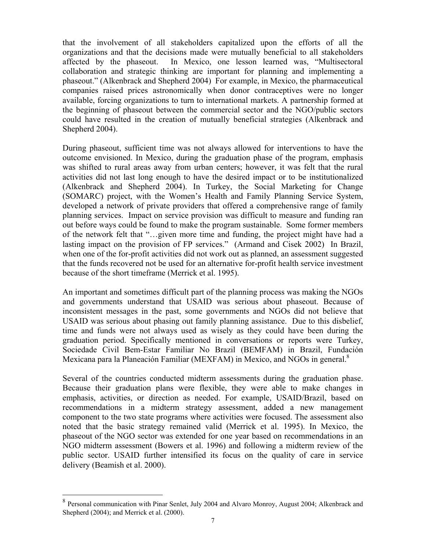that the involvement of all stakeholders capitalized upon the efforts of all the organizations and that the decisions made were mutually beneficial to all stakeholders affected by the phaseout. In Mexico, one lesson learned was, "Multisectoral collaboration and strategic thinking are important for planning and implementing a phaseout." (Alkenbrack and Shepherd 2004) For example, in Mexico, the pharmaceutical companies raised prices astronomically when donor contraceptives were no longer available, forcing organizations to turn to international markets. A partnership formed at the beginning of phaseout between the commercial sector and the NGO/public sectors could have resulted in the creation of mutually beneficial strategies (Alkenbrack and Shepherd 2004).

During phaseout, sufficient time was not always allowed for interventions to have the outcome envisioned. In Mexico, during the graduation phase of the program, emphasis was shifted to rural areas away from urban centers; however, it was felt that the rural activities did not last long enough to have the desired impact or to be institutionalized (Alkenbrack and Shepherd 2004). In Turkey, the Social Marketing for Change (SOMARC) project, with the Women's Health and Family Planning Service System, developed a network of private providers that offered a comprehensive range of family planning services. Impact on service provision was difficult to measure and funding ran out before ways could be found to make the program sustainable. Some former members of the network felt that "…given more time and funding, the project might have had a lasting impact on the provision of FP services." (Armand and Cisek 2002) In Brazil, when one of the for-profit activities did not work out as planned, an assessment suggested that the funds recovered not be used for an alternative for-profit health service investment because of the short timeframe (Merrick et al. 1995).

An important and sometimes difficult part of the planning process was making the NGOs and governments understand that USAID was serious about phaseout. Because of inconsistent messages in the past, some governments and NGOs did not believe that USAID was serious about phasing out family planning assistance. Due to this disbelief, time and funds were not always used as wisely as they could have been during the graduation period. Specifically mentioned in conversations or reports were Turkey, Sociedade Civil Bem-Estar Familiar No Brazil (BEMFAM) in Brazil, Fundación Mexicana para la Planeación Familiar (MEXFAM) in Mexico, and NGOs in general.<sup>8</sup>

Several of the countries conducted midterm assessments during the graduation phase. Because their graduation plans were flexible, they were able to make changes in emphasis, activities, or direction as needed. For example, USAID/Brazil, based on recommendations in a midterm strategy assessment, added a new management component to the two state programs where activities were focused. The assessment also noted that the basic strategy remained valid (Merrick et al. 1995). In Mexico, the phaseout of the NGO sector was extended for one year based on recommendations in an NGO midterm assessment (Bowers et al. 1996) and following a midterm review of the public sector. USAID further intensified its focus on the quality of care in service delivery (Beamish et al. 2000).

 $\overline{a}$ 

 $8$  Personal communication with Pinar Senlet, July 2004 and Alvaro Monroy, August 2004; Alkenbrack and Shepherd (2004); and Merrick et al. (2000).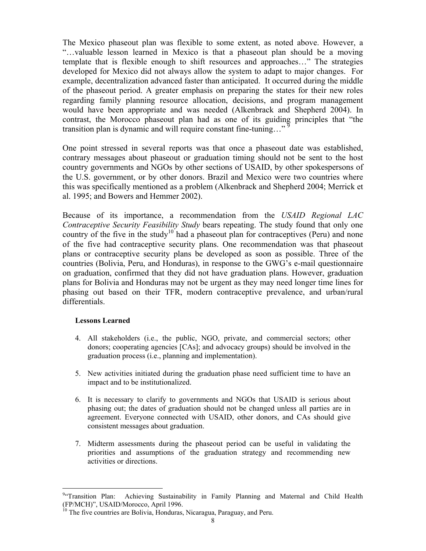The Mexico phaseout plan was flexible to some extent, as noted above. However, a "…valuable lesson learned in Mexico is that a phaseout plan should be a moving template that is flexible enough to shift resources and approaches…" The strategies developed for Mexico did not always allow the system to adapt to major changes. For example, decentralization advanced faster than anticipated. It occurred during the middle of the phaseout period. A greater emphasis on preparing the states for their new roles regarding family planning resource allocation, decisions, and program management would have been appropriate and was needed (Alkenbrack and Shepherd 2004). In contrast, the Morocco phaseout plan had as one of its guiding principles that "the transition plan is dynamic and will require constant fine-tuning..."

One point stressed in several reports was that once a phaseout date was established, contrary messages about phaseout or graduation timing should not be sent to the host country governments and NGOs by other sections of USAID, by other spokespersons of the U.S. government, or by other donors. Brazil and Mexico were two countries where this was specifically mentioned as a problem (Alkenbrack and Shepherd 2004; Merrick et al. 1995; and Bowers and Hemmer 2002).

Because of its importance, a recommendation from the *USAID Regional LAC Contraceptive Security Feasibility Study* bears repeating. The study found that only one country of the five in the study<sup>10</sup> had a phaseout plan for contraceptives (Peru) and none of the five had contraceptive security plans. One recommendation was that phaseout plans or contraceptive security plans be developed as soon as possible. Three of the countries (Bolivia, Peru, and Honduras), in response to the GWG's e-mail questionnaire on graduation, confirmed that they did not have graduation plans. However, graduation plans for Bolivia and Honduras may not be urgent as they may need longer time lines for phasing out based on their TFR, modern contraceptive prevalence, and urban/rural differentials.

#### **Lessons Learned**

 $\overline{a}$ 

- 4. All stakeholders (i.e., the public, NGO, private, and commercial sectors; other donors; cooperating agencies [CAs]; and advocacy groups) should be involved in the graduation process (i.e., planning and implementation).
- 5. New activities initiated during the graduation phase need sufficient time to have an impact and to be institutionalized.
- 6. It is necessary to clarify to governments and NGOs that USAID is serious about phasing out; the dates of graduation should not be changed unless all parties are in agreement. Everyone connected with USAID, other donors, and CAs should give consistent messages about graduation.
- 7. Midterm assessments during the phaseout period can be useful in validating the priorities and assumptions of the graduation strategy and recommending new activities or directions.

<sup>&</sup>lt;sup>9</sup>"Transition Plan: Achieving Sustainability in Family Planning and Maternal and Child Health (FP/MCH)", USAID/Morocco, April 1996.

 $10$  The five countries are Bolivia, Honduras, Nicaragua, Paraguay, and Peru.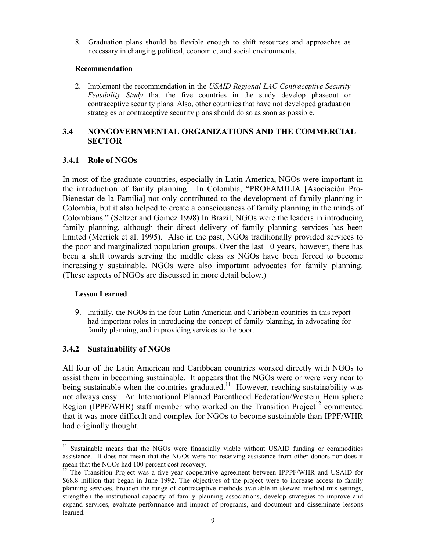8. Graduation plans should be flexible enough to shift resources and approaches as necessary in changing political, economic, and social environments.

#### **Recommendation**

2. Implement the recommendation in the *USAID Regional LAC Contraceptive Security Feasibility Study* that the five countries in the study develop phaseout or contraceptive security plans. Also, other countries that have not developed graduation strategies or contraceptive security plans should do so as soon as possible.

### **3.4 NONGOVERNMENTAL ORGANIZATIONS AND THE COMMERCIAL SECTOR**

### **3.4.1 Role of NGOs**

In most of the graduate countries, especially in Latin America, NGOs were important in the introduction of family planning. In Colombia, "PROFAMILIA [Asociación Pro-Bienestar de la Familia] not only contributed to the development of family planning in Colombia, but it also helped to create a consciousness of family planning in the minds of Colombians." (Seltzer and Gomez 1998) In Brazil, NGOs were the leaders in introducing family planning, although their direct delivery of family planning services has been limited (Merrick et al. 1995). Also in the past, NGOs traditionally provided services to the poor and marginalized population groups. Over the last 10 years, however, there has been a shift towards serving the middle class as NGOs have been forced to become increasingly sustainable. NGOs were also important advocates for family planning. (These aspects of NGOs are discussed in more detail below.)

### **Lesson Learned**

 $\overline{a}$ 

9. Initially, the NGOs in the four Latin American and Caribbean countries in this report had important roles in introducing the concept of family planning, in advocating for family planning, and in providing services to the poor.

## **3.4.2 Sustainability of NGOs**

All four of the Latin American and Caribbean countries worked directly with NGOs to assist them in becoming sustainable. It appears that the NGOs were or were very near to being sustainable when the countries graduated.<sup>11</sup> However, reaching sustainability was not always easy. An International Planned Parenthood Federation/Western Hemisphere Region (IPPF/WHR) staff member who worked on the Transition Project<sup>12</sup> commented that it was more difficult and complex for NGOs to become sustainable than IPPF/WHR had originally thought.

<sup>&</sup>lt;sup>11</sup> Sustainable means that the NGOs were financially viable without USAID funding or commodities assistance. It does not mean that the NGOs were not receiving assistance from other donors nor does it mean that the NGOs had 100 percent cost recovery.

 $12$  The Transition Project was a five-year cooperative agreement between IPPPF/WHR and USAID for \$68.8 million that began in June 1992. The objectives of the project were to increase access to family planning services, broaden the range of contraceptive methods available in skewed method mix settings, strengthen the institutional capacity of family planning associations, develop strategies to improve and expand services, evaluate performance and impact of programs, and document and disseminate lessons learned.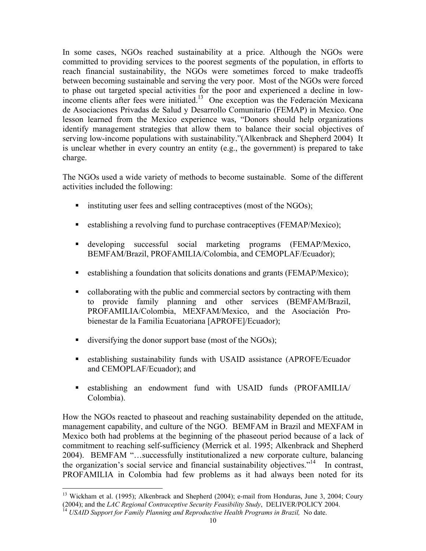In some cases, NGOs reached sustainability at a price. Although the NGOs were committed to providing services to the poorest segments of the population, in efforts to reach financial sustainability, the NGOs were sometimes forced to make tradeoffs between becoming sustainable and serving the very poor. Most of the NGOs were forced to phase out targeted special activities for the poor and experienced a decline in lowincome clients after fees were initiated.13 One exception was the Federación Mexicana de Asociaciones Privadas de Salud y Desarrollo Comunitario (FEMAP) in Mexico. One lesson learned from the Mexico experience was, "Donors should help organizations identify management strategies that allow them to balance their social objectives of serving low-income populations with sustainability."(Alkenbrack and Shepherd 2004) It is unclear whether in every country an entity (e.g., the government) is prepared to take charge.

The NGOs used a wide variety of methods to become sustainable. Some of the different activities included the following:

- **Example 1** instituting user fees and selling contraceptives (most of the NGOs);
- establishing a revolving fund to purchase contraceptives (FEMAP/Mexico);
- developing successful social marketing programs (FEMAP/Mexico, BEMFAM/Brazil, PROFAMILIA/Colombia, and CEMOPLAF/Ecuador);
- establishing a foundation that solicits donations and grants (FEMAP/Mexico);
- collaborating with the public and commercial sectors by contracting with them to provide family planning and other services (BEMFAM/Brazil, PROFAMILIA/Colombia, MEXFAM/Mexico, and the Asociación Probienestar de la Familia Ecuatoriana [APROFE]/Ecuador);
- diversifying the donor support base (most of the NGOs);
- establishing sustainability funds with USAID assistance (APROFE/Ecuador and CEMOPLAF/Ecuador); and
- establishing an endowment fund with USAID funds (PROFAMILIA/ Colombia).

How the NGOs reacted to phaseout and reaching sustainability depended on the attitude, management capability, and culture of the NGO. BEMFAM in Brazil and MEXFAM in Mexico both had problems at the beginning of the phaseout period because of a lack of commitment to reaching self-sufficiency (Merrick et al. 1995; Alkenbrack and Shepherd 2004). BEMFAM "…successfully institutionalized a new corporate culture, balancing the organization's social service and financial sustainability objectives."<sup>14</sup> In contrast, PROFAMILIA in Colombia had few problems as it had always been noted for its

 $\overline{a}$ 

<sup>&</sup>lt;sup>13</sup> Wickham et al. (1995); Alkenbrack and Shepherd (2004); e-mail from Honduras, June 3, 2004; Coury (2004); and the *LAC Regional Contraceptive Security Feasibility Study*, DELIVER/POLICY 2004. 14 *USAID Support for Family Planning and Reproductive Health Programs in Brazil,* No date.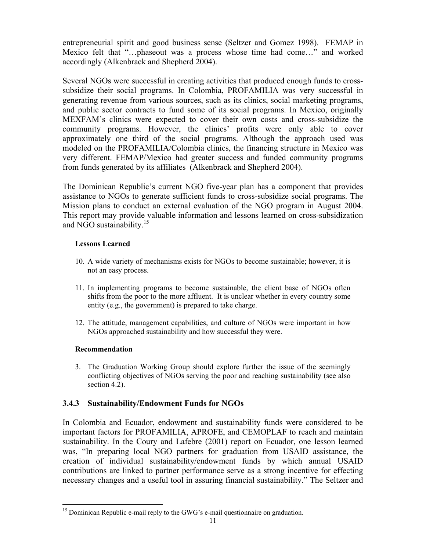entrepreneurial spirit and good business sense (Seltzer and Gomez 1998). FEMAP in Mexico felt that "…phaseout was a process whose time had come…" and worked accordingly (Alkenbrack and Shepherd 2004).

Several NGOs were successful in creating activities that produced enough funds to crosssubsidize their social programs. In Colombia, PROFAMILIA was very successful in generating revenue from various sources, such as its clinics, social marketing programs, and public sector contracts to fund some of its social programs. In Mexico, originally MEXFAM's clinics were expected to cover their own costs and cross-subsidize the community programs. However, the clinics' profits were only able to cover approximately one third of the social programs. Although the approach used was modeled on the PROFAMILIA/Colombia clinics, the financing structure in Mexico was very different. FEMAP/Mexico had greater success and funded community programs from funds generated by its affiliates (Alkenbrack and Shepherd 2004).

The Dominican Republic's current NGO five-year plan has a component that provides assistance to NGOs to generate sufficient funds to cross-subsidize social programs. The Mission plans to conduct an external evaluation of the NGO program in August 2004. This report may provide valuable information and lessons learned on cross-subsidization and NGO sustainability.15

### **Lessons Learned**

- 10. A wide variety of mechanisms exists for NGOs to become sustainable; however, it is not an easy process.
- 11. In implementing programs to become sustainable, the client base of NGOs often shifts from the poor to the more affluent. It is unclear whether in every country some entity (e.g., the government) is prepared to take charge.
- 12. The attitude, management capabilities, and culture of NGOs were important in how NGOs approached sustainability and how successful they were.

### **Recommendation**

3. The Graduation Working Group should explore further the issue of the seemingly conflicting objectives of NGOs serving the poor and reaching sustainability (see also section 4.2).

## **3.4.3 Sustainability/Endowment Funds for NGOs**

In Colombia and Ecuador, endowment and sustainability funds were considered to be important factors for PROFAMILIA, APROFE, and CEMOPLAF to reach and maintain sustainability. In the Coury and Lafebre (2001) report on Ecuador, one lesson learned was, "In preparing local NGO partners for graduation from USAID assistance, the creation of individual sustainability/endowment funds by which annual USAID contributions are linked to partner performance serve as a strong incentive for effecting necessary changes and a useful tool in assuring financial sustainability." The Seltzer and

 $\overline{a}$ <sup>15</sup> Dominican Republic e-mail reply to the GWG's e-mail questionnaire on graduation.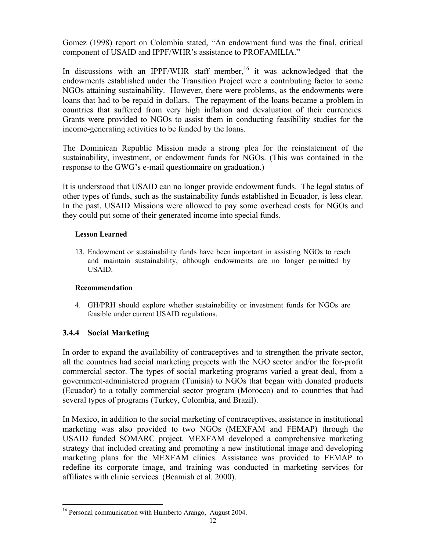Gomez (1998) report on Colombia stated, "An endowment fund was the final, critical component of USAID and IPPF/WHR's assistance to PROFAMILIA."

In discussions with an IPPF/WHR staff member,<sup>16</sup> it was acknowledged that the endowments established under the Transition Project were a contributing factor to some NGOs attaining sustainability. However, there were problems, as the endowments were loans that had to be repaid in dollars. The repayment of the loans became a problem in countries that suffered from very high inflation and devaluation of their currencies. Grants were provided to NGOs to assist them in conducting feasibility studies for the income-generating activities to be funded by the loans.

The Dominican Republic Mission made a strong plea for the reinstatement of the sustainability, investment, or endowment funds for NGOs. (This was contained in the response to the GWG's e-mail questionnaire on graduation.)

It is understood that USAID can no longer provide endowment funds. The legal status of other types of funds, such as the sustainability funds established in Ecuador, is less clear. In the past, USAID Missions were allowed to pay some overhead costs for NGOs and they could put some of their generated income into special funds.

### **Lesson Learned**

13. Endowment or sustainability funds have been important in assisting NGOs to reach and maintain sustainability, although endowments are no longer permitted by USAID.

### **Recommendation**

4. GH/PRH should explore whether sustainability or investment funds for NGOs are feasible under current USAID regulations.

## **3.4.4 Social Marketing**

In order to expand the availability of contraceptives and to strengthen the private sector, all the countries had social marketing projects with the NGO sector and/or the for-profit commercial sector. The types of social marketing programs varied a great deal, from a government-administered program (Tunisia) to NGOs that began with donated products (Ecuador) to a totally commercial sector program (Morocco) and to countries that had several types of programs (Turkey, Colombia, and Brazil).

In Mexico, in addition to the social marketing of contraceptives, assistance in institutional marketing was also provided to two NGOs (MEXFAM and FEMAP) through the USAID–funded SOMARC project. MEXFAM developed a comprehensive marketing strategy that included creating and promoting a new institutional image and developing marketing plans for the MEXFAM clinics. Assistance was provided to FEMAP to redefine its corporate image, and training was conducted in marketing services for affiliates with clinic services (Beamish et al. 2000).

 $\overline{a}$ <sup>16</sup> Personal communication with Humberto Arango, August 2004.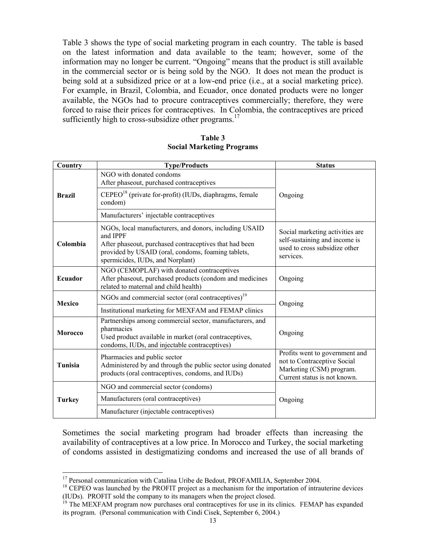Table 3 shows the type of social marketing program in each country. The table is based on the latest information and data available to the team; however, some of the information may no longer be current. "Ongoing" means that the product is still available in the commercial sector or is being sold by the NGO. It does not mean the product is being sold at a subsidized price or at a low-end price (i.e., at a social marketing price). For example, in Brazil, Colombia, and Ecuador, once donated products were no longer available, the NGOs had to procure contraceptives commercially; therefore, they were forced to raise their prices for contraceptives. In Colombia, the contraceptives are priced sufficiently high to cross-subsidize other programs.<sup>17</sup>

| Table 3                          |
|----------------------------------|
| <b>Social Marketing Programs</b> |

| Country                                                                                                                                                                                             | <b>Type/Products</b>                                                                                                                                                                                                   | <b>Status</b>                                                                                                             |  |
|-----------------------------------------------------------------------------------------------------------------------------------------------------------------------------------------------------|------------------------------------------------------------------------------------------------------------------------------------------------------------------------------------------------------------------------|---------------------------------------------------------------------------------------------------------------------------|--|
|                                                                                                                                                                                                     | NGO with donated condoms<br>After phaseout, purchased contraceptives                                                                                                                                                   |                                                                                                                           |  |
| <b>Brazil</b>                                                                                                                                                                                       | $CEPEO18$ (private for-profit) (IUDs, diaphragms, female<br>condom)                                                                                                                                                    | Ongoing                                                                                                                   |  |
|                                                                                                                                                                                                     | Manufacturers' injectable contraceptives                                                                                                                                                                               |                                                                                                                           |  |
| Colombia                                                                                                                                                                                            | NGOs, local manufacturers, and donors, including USAID<br>and IPPF<br>After phaseout, purchased contraceptives that had been<br>provided by USAID (oral, condoms, foaming tablets,<br>spermicides, IUDs, and Norplant) | Social marketing activities are<br>self-sustaining and income is<br>used to cross subsidize other<br>services.            |  |
| Ecuador                                                                                                                                                                                             | NGO (CEMOPLAF) with donated contraceptives<br>After phaseout, purchased products (condom and medicines<br>related to maternal and child health)                                                                        | Ongoing                                                                                                                   |  |
| <b>Mexico</b>                                                                                                                                                                                       | NGOs and commercial sector (oral contraceptives) <sup>19</sup>                                                                                                                                                         | Ongoing                                                                                                                   |  |
|                                                                                                                                                                                                     | Institutional marketing for MEXFAM and FEMAP clinics                                                                                                                                                                   |                                                                                                                           |  |
| Partnerships among commercial sector, manufacturers, and<br>pharmacies<br><b>Morocco</b><br>Used product available in market (oral contraceptives,<br>condoms, IUDs, and injectable contraceptives) |                                                                                                                                                                                                                        | Ongoing                                                                                                                   |  |
| Tunisia                                                                                                                                                                                             | Pharmacies and public sector<br>Administered by and through the public sector using donated<br>products (oral contraceptives, condoms, and IUDs)                                                                       | Profits went to government and<br>not to Contraceptive Social<br>Marketing (CSM) program.<br>Current status is not known. |  |
|                                                                                                                                                                                                     | NGO and commercial sector (condoms)                                                                                                                                                                                    |                                                                                                                           |  |
| <b>Turkey</b>                                                                                                                                                                                       | Manufacturers (oral contraceptives)                                                                                                                                                                                    | Ongoing                                                                                                                   |  |
|                                                                                                                                                                                                     | Manufacturer (injectable contraceptives)                                                                                                                                                                               |                                                                                                                           |  |

Sometimes the social marketing program had broader effects than increasing the availability of contraceptives at a low price. In Morocco and Turkey, the social marketing of condoms assisted in destigmatizing condoms and increased the use of all brands of

 $\overline{a}$ 

<sup>&</sup>lt;sup>17</sup> Personal communication with Catalina Uribe de Bedout, PROFAMILIA, September 2004.

<sup>&</sup>lt;sup>18</sup> CEPEO was launched by the PROFIT project as a mechanism for the importation of intrauterine devices (IUDs). PROFIT sold the company to its managers when the project closed.<br><sup>19</sup> The MEXFAM program now purchases oral contraceptives for use in its clinics. FEMAP has expanded

its program. (Personal communication with Cindi Cisek, September 6, 2004.)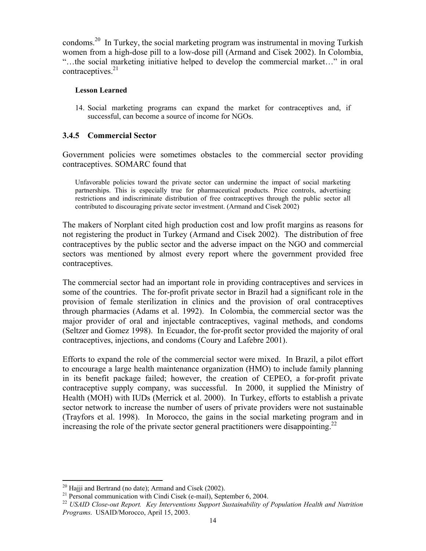condoms.20 In Turkey, the social marketing program was instrumental in moving Turkish women from a high-dose pill to a low-dose pill (Armand and Cisek 2002). In Colombia, "…the social marketing initiative helped to develop the commercial market…" in oral contraceptives. $^{21}$ 

#### **Lesson Learned**

14. Social marketing programs can expand the market for contraceptives and, if successful, can become a source of income for NGOs.

### **3.4.5 Commercial Sector**

Government policies were sometimes obstacles to the commercial sector providing contraceptives. SOMARC found that

Unfavorable policies toward the private sector can undermine the impact of social marketing partnerships. This is especially true for pharmaceutical products. Price controls, advertising restrictions and indiscriminate distribution of free contraceptives through the public sector all contributed to discouraging private sector investment. (Armand and Cisek 2002)

The makers of Norplant cited high production cost and low profit margins as reasons for not registering the product in Turkey (Armand and Cisek 2002). The distribution of free contraceptives by the public sector and the adverse impact on the NGO and commercial sectors was mentioned by almost every report where the government provided free contraceptives.

The commercial sector had an important role in providing contraceptives and services in some of the countries. The for-profit private sector in Brazil had a significant role in the provision of female sterilization in clinics and the provision of oral contraceptives through pharmacies (Adams et al. 1992). In Colombia, the commercial sector was the major provider of oral and injectable contraceptives, vaginal methods, and condoms (Seltzer and Gomez 1998). In Ecuador, the for-profit sector provided the majority of oral contraceptives, injections, and condoms (Coury and Lafebre 2001).

Efforts to expand the role of the commercial sector were mixed. In Brazil, a pilot effort to encourage a large health maintenance organization (HMO) to include family planning in its benefit package failed; however, the creation of CEPEO, a for-profit private contraceptive supply company, was successful. In 2000, it supplied the Ministry of Health (MOH) with IUDs (Merrick et al. 2000). In Turkey, efforts to establish a private sector network to increase the number of users of private providers were not sustainable (Trayfors et al. 1998). In Morocco, the gains in the social marketing program and in increasing the role of the private sector general practitioners were disappointing.<sup>22</sup>

 $\overline{a}$  $20$  Hajji and Bertrand (no date); Armand and Cisek (2002).

<sup>&</sup>lt;sup>21</sup> Personal communication with Cindi Cisek (e-mail), September 6, 2004.

<sup>22</sup> *USAID Close-out Report. Key Interventions Support Sustainability of Population Health and Nutrition Programs*. USAID/Morocco, April 15, 2003.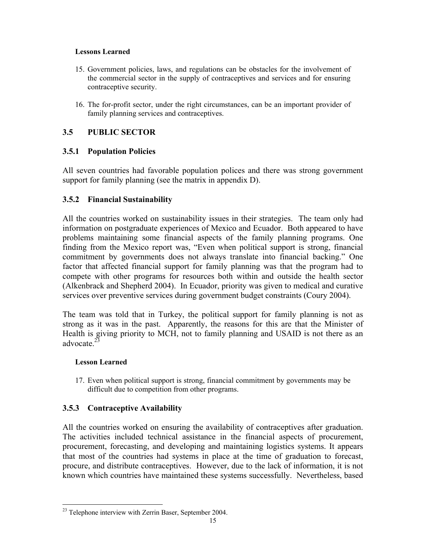### **Lessons Learned**

- 15. Government policies, laws, and regulations can be obstacles for the involvement of the commercial sector in the supply of contraceptives and services and for ensuring contraceptive security.
- 16. The for-profit sector, under the right circumstances, can be an important provider of family planning services and contraceptives.

## **3.5 PUBLIC SECTOR**

## **3.5.1 Population Policies**

All seven countries had favorable population polices and there was strong government support for family planning (see the matrix in appendix D).

## **3.5.2 Financial Sustainability**

All the countries worked on sustainability issues in their strategies. The team only had information on postgraduate experiences of Mexico and Ecuador. Both appeared to have problems maintaining some financial aspects of the family planning programs. One finding from the Mexico report was, "Even when political support is strong, financial commitment by governments does not always translate into financial backing." One factor that affected financial support for family planning was that the program had to compete with other programs for resources both within and outside the health sector (Alkenbrack and Shepherd 2004). In Ecuador, priority was given to medical and curative services over preventive services during government budget constraints (Coury 2004).

The team was told that in Turkey, the political support for family planning is not as strong as it was in the past. Apparently, the reasons for this are that the Minister of Health is giving priority to MCH, not to family planning and USAID is not there as an advocate  $2\overline{3}$ 

## **Lesson Learned**

17. Even when political support is strong, financial commitment by governments may be difficult due to competition from other programs.

## **3.5.3 Contraceptive Availability**

All the countries worked on ensuring the availability of contraceptives after graduation. The activities included technical assistance in the financial aspects of procurement, procurement, forecasting, and developing and maintaining logistics systems. It appears that most of the countries had systems in place at the time of graduation to forecast, procure, and distribute contraceptives. However, due to the lack of information, it is not known which countries have maintained these systems successfully. Nevertheless, based

 $\overline{a}$  $23$  Telephone interview with Zerrin Baser, September 2004.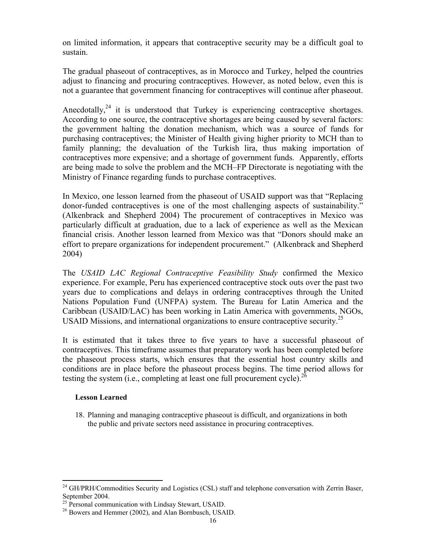on limited information, it appears that contraceptive security may be a difficult goal to sustain.

The gradual phaseout of contraceptives, as in Morocco and Turkey, helped the countries adjust to financing and procuring contraceptives. However, as noted below, even this is not a guarantee that government financing for contraceptives will continue after phaseout.

Anecdotally, $24$  it is understood that Turkey is experiencing contraceptive shortages. According to one source, the contraceptive shortages are being caused by several factors: the government halting the donation mechanism, which was a source of funds for purchasing contraceptives; the Minister of Health giving higher priority to MCH than to family planning; the devaluation of the Turkish lira, thus making importation of contraceptives more expensive; and a shortage of government funds. Apparently, efforts are being made to solve the problem and the MCH–FP Directorate is negotiating with the Ministry of Finance regarding funds to purchase contraceptives.

In Mexico, one lesson learned from the phaseout of USAID support was that "Replacing donor-funded contraceptives is one of the most challenging aspects of sustainability." (Alkenbrack and Shepherd 2004) The procurement of contraceptives in Mexico was particularly difficult at graduation, due to a lack of experience as well as the Mexican financial crisis. Another lesson learned from Mexico was that "Donors should make an effort to prepare organizations for independent procurement." (Alkenbrack and Shepherd 2004)

The *USAID LAC Regional Contraceptive Feasibility Study* confirmed the Mexico experience. For example, Peru has experienced contraceptive stock outs over the past two years due to complications and delays in ordering contraceptives through the United Nations Population Fund (UNFPA) system. The Bureau for Latin America and the Caribbean (USAID/LAC) has been working in Latin America with governments, NGOs, USAID Missions, and international organizations to ensure contraceptive security.<sup>25</sup>

It is estimated that it takes three to five years to have a successful phaseout of contraceptives. This timeframe assumes that preparatory work has been completed before the phaseout process starts, which ensures that the essential host country skills and conditions are in place before the phaseout process begins. The time period allows for testing the system (i.e., completing at least one full procurement cycle).<sup>26</sup>

### **Lesson Learned**

18. Planning and managing contraceptive phaseout is difficult, and organizations in both the public and private sectors need assistance in procuring contraceptives.

 $\overline{a}$ <sup>24</sup> GH/PRH/Commodities Security and Logistics (CSL) staff and telephone conversation with Zerrin Baser, September 2004.<br><sup>25</sup> Personal communication with Lindsay Stewart, USAID.<br><sup>26</sup> Bowers and Hemmer (2002), and Alan Bornbusch, USAID.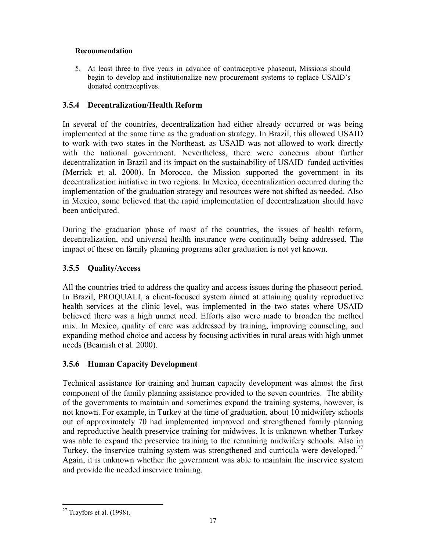### **Recommendation**

5. At least three to five years in advance of contraceptive phaseout, Missions should begin to develop and institutionalize new procurement systems to replace USAID's donated contraceptives.

## **3.5.4 Decentralization/Health Reform**

In several of the countries, decentralization had either already occurred or was being implemented at the same time as the graduation strategy. In Brazil, this allowed USAID to work with two states in the Northeast, as USAID was not allowed to work directly with the national government. Nevertheless, there were concerns about further decentralization in Brazil and its impact on the sustainability of USAID–funded activities (Merrick et al. 2000). In Morocco, the Mission supported the government in its decentralization initiative in two regions. In Mexico, decentralization occurred during the implementation of the graduation strategy and resources were not shifted as needed. Also in Mexico, some believed that the rapid implementation of decentralization should have been anticipated.

During the graduation phase of most of the countries, the issues of health reform, decentralization, and universal health insurance were continually being addressed. The impact of these on family planning programs after graduation is not yet known.

## **3.5.5 Quality/Access**

All the countries tried to address the quality and access issues during the phaseout period. In Brazil, PROQUALI, a client-focused system aimed at attaining quality reproductive health services at the clinic level, was implemented in the two states where USAID believed there was a high unmet need. Efforts also were made to broaden the method mix. In Mexico, quality of care was addressed by training, improving counseling, and expanding method choice and access by focusing activities in rural areas with high unmet needs (Beamish et al. 2000).

## **3.5.6 Human Capacity Development**

Technical assistance for training and human capacity development was almost the first component of the family planning assistance provided to the seven countries. The ability of the governments to maintain and sometimes expand the training systems, however, is not known. For example, in Turkey at the time of graduation, about 10 midwifery schools out of approximately 70 had implemented improved and strengthened family planning and reproductive health preservice training for midwives. It is unknown whether Turkey was able to expand the preservice training to the remaining midwifery schools. Also in Turkey, the inservice training system was strengthened and curricula were developed.<sup>27</sup> Again, it is unknown whether the government was able to maintain the inservice system and provide the needed inservice training.

<sup>1</sup>  $27$  Trayfors et al. (1998).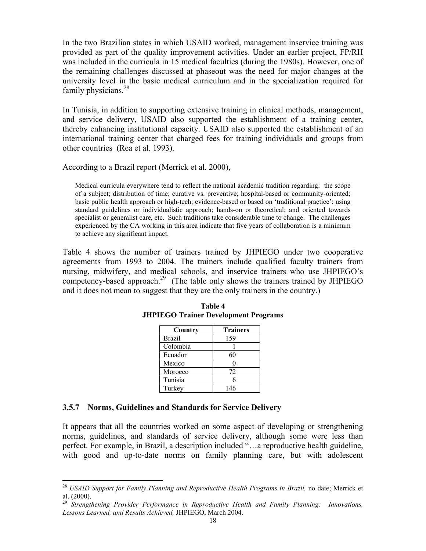In the two Brazilian states in which USAID worked, management inservice training was provided as part of the quality improvement activities. Under an earlier project, FP/RH was included in the curricula in 15 medical faculties (during the 1980s). However, one of the remaining challenges discussed at phaseout was the need for major changes at the university level in the basic medical curriculum and in the specialization required for family physicians. $28$ 

In Tunisia, in addition to supporting extensive training in clinical methods, management, and service delivery, USAID also supported the establishment of a training center, thereby enhancing institutional capacity. USAID also supported the establishment of an international training center that charged fees for training individuals and groups from other countries (Rea et al. 1993).

According to a Brazil report (Merrick et al. 2000),

Medical curricula everywhere tend to reflect the national academic tradition regarding: the scope of a subject; distribution of time; curative vs. preventive; hospital-based or community-oriented; basic public health approach or high-tech; evidence-based or based on 'traditional practice'; using standard guidelines or individualistic approach; hands-on or theoretical; and oriented towards specialist or generalist care, etc. Such traditions take considerable time to change. The challenges experienced by the CA working in this area indicate that five years of collaboration is a minimum to achieve any significant impact.

Table 4 shows the number of trainers trained by JHPIEGO under two cooperative agreements from 1993 to 2004. The trainers include qualified faculty trainers from nursing, midwifery, and medical schools, and inservice trainers who use JHPIEGO's competency-based approach.<sup>29</sup> (The table only shows the trainers trained by JHPIEGO and it does not mean to suggest that they are the only trainers in the country.)

| Country       | <b>Trainers</b> |
|---------------|-----------------|
| <b>Brazil</b> | 159             |
| Colombia      |                 |
| Ecuador       | 60              |
| Mexico        |                 |
| Morocco       | 72              |
| Tunisia       | 6               |
| Turkey        | 146             |

| Table 4 |  |                                             |  |
|---------|--|---------------------------------------------|--|
|         |  | <b>JHPIEGO Trainer Development Programs</b> |  |

#### **3.5.7 Norms, Guidelines and Standards for Service Delivery**

 $\overline{a}$ 

It appears that all the countries worked on some aspect of developing or strengthening norms, guidelines, and standards of service delivery, although some were less than perfect. For example, in Brazil, a description included "…a reproductive health guideline, with good and up-to-date norms on family planning care, but with adolescent

<sup>28</sup> *USAID Support for Family Planning and Reproductive Health Programs in Brazil,* no date; Merrick et al. (2000).

<sup>29</sup> *Strengthening Provider Performance in Reproductive Health and Family Planning: Innovations, Lessons Learned, and Results Achieved,* JHPIEGO, March 2004.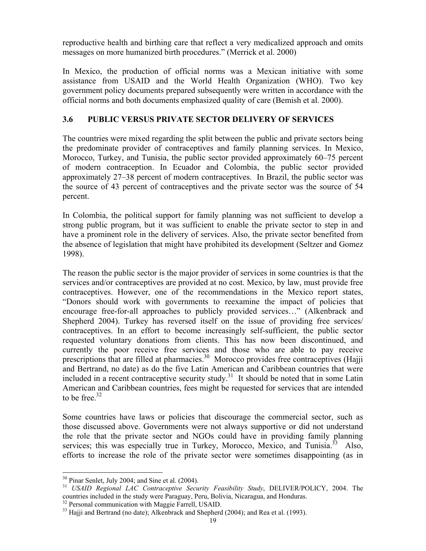reproductive health and birthing care that reflect a very medicalized approach and omits messages on more humanized birth procedures." (Merrick et al. 2000)

In Mexico, the production of official norms was a Mexican initiative with some assistance from USAID and the World Health Organization (WHO). Two key government policy documents prepared subsequently were written in accordance with the official norms and both documents emphasized quality of care (Bemish et al. 2000).

## **3.6 PUBLIC VERSUS PRIVATE SECTOR DELIVERY OF SERVICES**

The countries were mixed regarding the split between the public and private sectors being the predominate provider of contraceptives and family planning services. In Mexico, Morocco, Turkey, and Tunisia, the public sector provided approximately 60–75 percent of modern contraception. In Ecuador and Colombia, the public sector provided approximately 27–38 percent of modern contraceptives. In Brazil, the public sector was the source of 43 percent of contraceptives and the private sector was the source of 54 percent.

In Colombia, the political support for family planning was not sufficient to develop a strong public program, but it was sufficient to enable the private sector to step in and have a prominent role in the delivery of services. Also, the private sector benefited from the absence of legislation that might have prohibited its development (Seltzer and Gomez 1998).

The reason the public sector is the major provider of services in some countries is that the services and/or contraceptives are provided at no cost. Mexico, by law, must provide free contraceptives. However, one of the recommendations in the Mexico report states, "Donors should work with governments to reexamine the impact of policies that encourage free-for-all approaches to publicly provided services…" (Alkenbrack and Shepherd 2004). Turkey has reversed itself on the issue of providing free services/ contraceptives. In an effort to become increasingly self-sufficient, the public sector requested voluntary donations from clients. This has now been discontinued, and currently the poor receive free services and those who are able to pay receive prescriptions that are filled at pharmacies.<sup>30</sup> Morocco provides free contraceptives (Hajji and Bertrand, no date) as do the five Latin American and Caribbean countries that were included in a recent contraceptive security study.<sup>31</sup> It should be noted that in some Latin American and Caribbean countries, fees might be requested for services that are intended to be free. $32$ 

Some countries have laws or policies that discourage the commercial sector, such as those discussed above. Governments were not always supportive or did not understand the role that the private sector and NGOs could have in providing family planning services; this was especially true in Turkey, Morocco, Mexico, and Tunisia.<sup>33</sup> Also, efforts to increase the role of the private sector were sometimes disappointing (as in

1

 $30$  Pinar Senlet, July 2004; and Sine et al. (2004).

<sup>31</sup> *USAID Regional LAC Contraceptive Security Feasibility Study*, DELIVER/POLICY, 2004. The countries included in the study were Paraguay, Peru, Bolivia, Nicaragua, and Honduras.

<sup>&</sup>lt;sup>32</sup> Personal communication with Maggie Farrell, USAID.

<sup>&</sup>lt;sup>33</sup> Hajji and Bertrand (no date); Alkenbrack and Shepherd (2004); and Rea et al. (1993).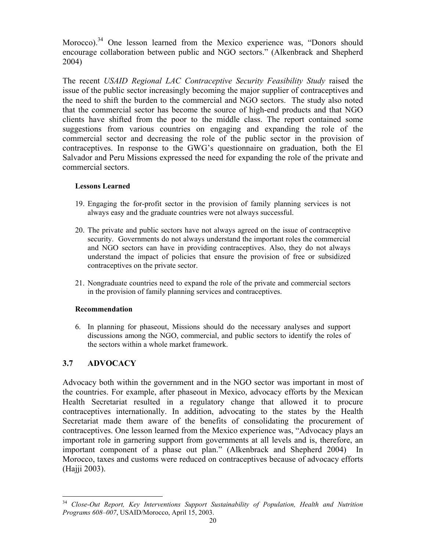Morocco).<sup>34</sup> One lesson learned from the Mexico experience was, "Donors should encourage collaboration between public and NGO sectors." (Alkenbrack and Shepherd 2004)

The recent *USAID Regional LAC Contraceptive Security Feasibility Study* raised the issue of the public sector increasingly becoming the major supplier of contraceptives and the need to shift the burden to the commercial and NGO sectors. The study also noted that the commercial sector has become the source of high-end products and that NGO clients have shifted from the poor to the middle class. The report contained some suggestions from various countries on engaging and expanding the role of the commercial sector and decreasing the role of the public sector in the provision of contraceptives. In response to the GWG's questionnaire on graduation, both the El Salvador and Peru Missions expressed the need for expanding the role of the private and commercial sectors.

### **Lessons Learned**

- 19. Engaging the for-profit sector in the provision of family planning services is not always easy and the graduate countries were not always successful.
- 20. The private and public sectors have not always agreed on the issue of contraceptive security. Governments do not always understand the important roles the commercial and NGO sectors can have in providing contraceptives. Also, they do not always understand the impact of policies that ensure the provision of free or subsidized contraceptives on the private sector.
- 21. Nongraduate countries need to expand the role of the private and commercial sectors in the provision of family planning services and contraceptives.

## **Recommendation**

6. In planning for phaseout, Missions should do the necessary analyses and support discussions among the NGO, commercial, and public sectors to identify the roles of the sectors within a whole market framework.

## **3.7 ADVOCACY**

Advocacy both within the government and in the NGO sector was important in most of the countries. For example, after phaseout in Mexico, advocacy efforts by the Mexican Health Secretariat resulted in a regulatory change that allowed it to procure contraceptives internationally. In addition, advocating to the states by the Health Secretariat made them aware of the benefits of consolidating the procurement of contraceptives. One lesson learned from the Mexico experience was, "Advocacy plays an important role in garnering support from governments at all levels and is, therefore, an important component of a phase out plan." (Alkenbrack and Shepherd 2004) In Morocco, taxes and customs were reduced on contraceptives because of advocacy efforts (Hajji 2003).

 $\overline{a}$ <sup>34</sup> *Close-Out Report, Key Interventions Support Sustainability of Population, Health and Nutrition Programs 608–007*, USAID/Morocco, April 15, 2003.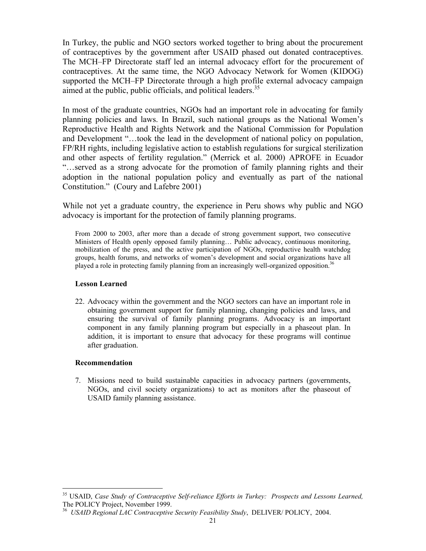In Turkey, the public and NGO sectors worked together to bring about the procurement of contraceptives by the government after USAID phased out donated contraceptives. The MCH–FP Directorate staff led an internal advocacy effort for the procurement of contraceptives. At the same time, the NGO Advocacy Network for Women (KIDOG) supported the MCH–FP Directorate through a high profile external advocacy campaign aimed at the public, public officials, and political leaders.<sup>35</sup>

In most of the graduate countries, NGOs had an important role in advocating for family planning policies and laws. In Brazil, such national groups as the National Women's Reproductive Health and Rights Network and the National Commission for Population and Development "…took the lead in the development of national policy on population, FP/RH rights, including legislative action to establish regulations for surgical sterilization and other aspects of fertility regulation." (Merrick et al. 2000) APROFE in Ecuador "…served as a strong advocate for the promotion of family planning rights and their adoption in the national population policy and eventually as part of the national Constitution." (Coury and Lafebre 2001)

While not yet a graduate country, the experience in Peru shows why public and NGO advocacy is important for the protection of family planning programs.

From 2000 to 2003, after more than a decade of strong government support, two consecutive Ministers of Health openly opposed family planning… Public advocacy, continuous monitoring, mobilization of the press, and the active participation of NGOs, reproductive health watchdog groups, health forums, and networks of women's development and social organizations have all played a role in protecting family planning from an increasingly well-organized opposition.<sup>36</sup>

#### **Lesson Learned**

22. Advocacy within the government and the NGO sectors can have an important role in obtaining government support for family planning, changing policies and laws, and ensuring the survival of family planning programs. Advocacy is an important component in any family planning program but especially in a phaseout plan. In addition, it is important to ensure that advocacy for these programs will continue after graduation.

#### **Recommendation**

 $\overline{a}$ 

7. Missions need to build sustainable capacities in advocacy partners (governments, NGOs, and civil society organizations) to act as monitors after the phaseout of USAID family planning assistance.

<sup>35</sup> USAID, *Case Study of Contraceptive Self-reliance Efforts in Turkey: Prospects and Lessons Learned,*

<sup>&</sup>lt;sup>36</sup> *USAID Regional LAC Contraceptive Security Feasibility Study*, DELIVER/ POLICY, 2004.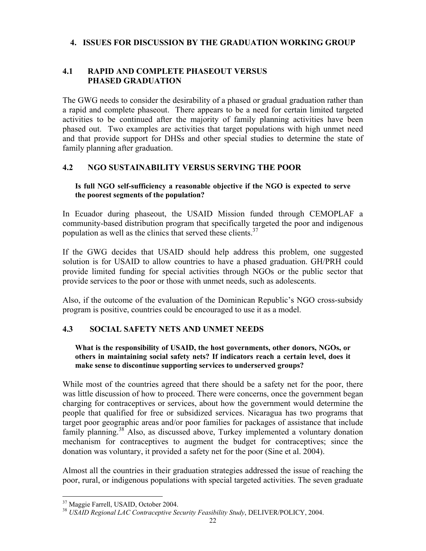## **4. ISSUES FOR DISCUSSION BY THE GRADUATION WORKING GROUP**

## **4.1 RAPID AND COMPLETE PHASEOUT VERSUS PHASED GRADUATION**

The GWG needs to consider the desirability of a phased or gradual graduation rather than a rapid and complete phaseout. There appears to be a need for certain limited targeted activities to be continued after the majority of family planning activities have been phased out. Two examples are activities that target populations with high unmet need and that provide support for DHSs and other special studies to determine the state of family planning after graduation.

## **4.2 NGO SUSTAINABILITY VERSUS SERVING THE POOR**

### **Is full NGO self-sufficiency a reasonable objective if the NGO is expected to serve the poorest segments of the population?**

In Ecuador during phaseout, the USAID Mission funded through CEMOPLAF a community-based distribution program that specifically targeted the poor and indigenous population as well as the clinics that served these clients.<sup>37</sup>

If the GWG decides that USAID should help address this problem, one suggested solution is for USAID to allow countries to have a phased graduation. GH/PRH could provide limited funding for special activities through NGOs or the public sector that provide services to the poor or those with unmet needs, such as adolescents.

Also, if the outcome of the evaluation of the Dominican Republic's NGO cross-subsidy program is positive, countries could be encouraged to use it as a model.

## **4.3 SOCIAL SAFETY NETS AND UNMET NEEDS**

### **What is the responsibility of USAID, the host governments, other donors, NGOs, or others in maintaining social safety nets? If indicators reach a certain level, does it make sense to discontinue supporting services to underserved groups?**

While most of the countries agreed that there should be a safety net for the poor, there was little discussion of how to proceed. There were concerns, once the government began charging for contraceptives or services, about how the government would determine the people that qualified for free or subsidized services. Nicaragua has two programs that target poor geographic areas and/or poor families for packages of assistance that include family planning.<sup>38</sup> Also, as discussed above, Turkey implemented a voluntary donation mechanism for contraceptives to augment the budget for contraceptives; since the donation was voluntary, it provided a safety net for the poor (Sine et al. 2004).

Almost all the countries in their graduation strategies addressed the issue of reaching the poor, rural, or indigenous populations with special targeted activities. The seven graduate

 $\overline{a}$ 37 Maggie Farrell, USAID, October 2004.

<sup>38</sup> *USAID Regional LAC Contraceptive Security Feasibility Study*, DELIVER/POLICY, 2004.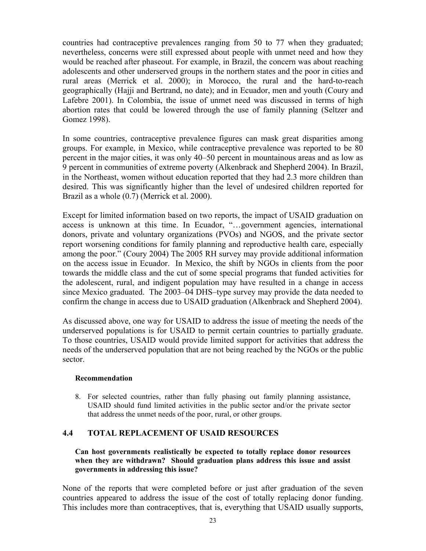countries had contraceptive prevalences ranging from 50 to 77 when they graduated; nevertheless, concerns were still expressed about people with unmet need and how they would be reached after phaseout. For example, in Brazil, the concern was about reaching adolescents and other underserved groups in the northern states and the poor in cities and rural areas (Merrick et al. 2000); in Morocco, the rural and the hard-to-reach geographically (Hajji and Bertrand, no date); and in Ecuador, men and youth (Coury and Lafebre 2001). In Colombia, the issue of unmet need was discussed in terms of high abortion rates that could be lowered through the use of family planning (Seltzer and Gomez 1998).

In some countries, contraceptive prevalence figures can mask great disparities among groups. For example, in Mexico, while contraceptive prevalence was reported to be 80 percent in the major cities, it was only 40–50 percent in mountainous areas and as low as 9 percent in communities of extreme poverty (Alkenbrack and Shepherd 2004). In Brazil, in the Northeast, women without education reported that they had 2.3 more children than desired. This was significantly higher than the level of undesired children reported for Brazil as a whole (0.7) (Merrick et al. 2000).

Except for limited information based on two reports, the impact of USAID graduation on access is unknown at this time. In Ecuador, "…government agencies, international donors, private and voluntary organizations (PVOs) and NGOS, and the private sector report worsening conditions for family planning and reproductive health care, especially among the poor." (Coury 2004) The 2005 RH survey may provide additional information on the access issue in Ecuador. In Mexico, the shift by NGOs in clients from the poor towards the middle class and the cut of some special programs that funded activities for the adolescent, rural, and indigent population may have resulted in a change in access since Mexico graduated. The 2003–04 DHS–type survey may provide the data needed to confirm the change in access due to USAID graduation (Alkenbrack and Shepherd 2004).

As discussed above, one way for USAID to address the issue of meeting the needs of the underserved populations is for USAID to permit certain countries to partially graduate. To those countries, USAID would provide limited support for activities that address the needs of the underserved population that are not being reached by the NGOs or the public sector.

### **Recommendation**

8. For selected countries, rather than fully phasing out family planning assistance, USAID should fund limited activities in the public sector and/or the private sector that address the unmet needs of the poor, rural, or other groups.

## **4.4 TOTAL REPLACEMENT OF USAID RESOURCES**

#### **Can host governments realistically be expected to totally replace donor resources when they are withdrawn? Should graduation plans address this issue and assist governments in addressing this issue?**

None of the reports that were completed before or just after graduation of the seven countries appeared to address the issue of the cost of totally replacing donor funding. This includes more than contraceptives, that is, everything that USAID usually supports,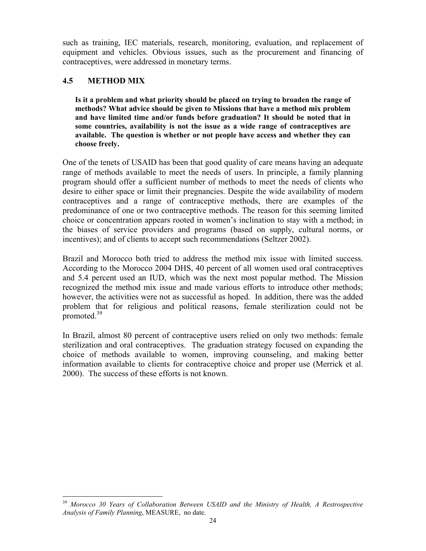such as training, IEC materials, research, monitoring, evaluation, and replacement of equipment and vehicles. Obvious issues, such as the procurement and financing of contraceptives, were addressed in monetary terms.

## **4.5 METHOD MIX**

 $\overline{a}$ 

**Is it a problem and what priority should be placed on trying to broaden the range of methods? What advice should be given to Missions that have a method mix problem and have limited time and/or funds before graduation? It should be noted that in some countries, availability is not the issue as a wide range of contraceptives are available. The question is whether or not people have access and whether they can choose freely.** 

One of the tenets of USAID has been that good quality of care means having an adequate range of methods available to meet the needs of users. In principle, a family planning program should offer a sufficient number of methods to meet the needs of clients who desire to either space or limit their pregnancies. Despite the wide availability of modern contraceptives and a range of contraceptive methods, there are examples of the predominance of one or two contraceptive methods. The reason for this seeming limited choice or concentration appears rooted in women's inclination to stay with a method; in the biases of service providers and programs (based on supply, cultural norms, or incentives); and of clients to accept such recommendations (Seltzer 2002).

Brazil and Morocco both tried to address the method mix issue with limited success. According to the Morocco 2004 DHS, 40 percent of all women used oral contraceptives and 5.4 percent used an IUD, which was the next most popular method. The Mission recognized the method mix issue and made various efforts to introduce other methods; however, the activities were not as successful as hoped. In addition, there was the added problem that for religious and political reasons, female sterilization could not be promoted.<sup>39</sup>

In Brazil, almost 80 percent of contraceptive users relied on only two methods: female sterilization and oral contraceptives. The graduation strategy focused on expanding the choice of methods available to women, improving counseling, and making better information available to clients for contraceptive choice and proper use (Merrick et al. 2000). The success of these efforts is not known.

<sup>&</sup>lt;sup>39</sup> Morocco 30 Years of Collaboration Between USAID and the Ministry of Health, A Restrospective *Analysis of Family Planning*, MEASURE, no date.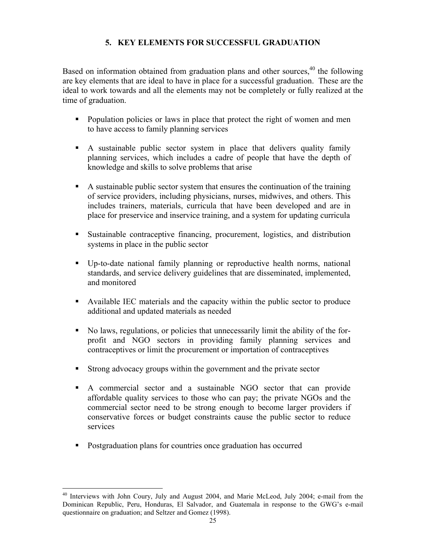## **5. KEY ELEMENTS FOR SUCCESSFUL GRADUATION**

Based on information obtained from graduation plans and other sources,  $40$  the following are key elements that are ideal to have in place for a successful graduation. These are the ideal to work towards and all the elements may not be completely or fully realized at the time of graduation.

- Population policies or laws in place that protect the right of women and men to have access to family planning services
- A sustainable public sector system in place that delivers quality family planning services, which includes a cadre of people that have the depth of knowledge and skills to solve problems that arise
- A sustainable public sector system that ensures the continuation of the training of service providers, including physicians, nurses, midwives, and others. This includes trainers, materials, curricula that have been developed and are in place for preservice and inservice training, and a system for updating curricula
- Sustainable contraceptive financing, procurement, logistics, and distribution systems in place in the public sector
- Up-to-date national family planning or reproductive health norms, national standards, and service delivery guidelines that are disseminated, implemented, and monitored
- Available IEC materials and the capacity within the public sector to produce additional and updated materials as needed
- No laws, regulations, or policies that unnecessarily limit the ability of the forprofit and NGO sectors in providing family planning services and contraceptives or limit the procurement or importation of contraceptives
- Strong advocacy groups within the government and the private sector
- A commercial sector and a sustainable NGO sector that can provide affordable quality services to those who can pay; the private NGOs and the commercial sector need to be strong enough to become larger providers if conservative forces or budget constraints cause the public sector to reduce services
- Postgraduation plans for countries once graduation has occurred

 $\overline{a}$ 

<sup>&</sup>lt;sup>40</sup> Interviews with John Coury, July and August 2004, and Marie McLeod, July 2004; e-mail from the Dominican Republic, Peru, Honduras, El Salvador, and Guatemala in response to the GWG's e-mail questionnaire on graduation; and Seltzer and Gomez (1998).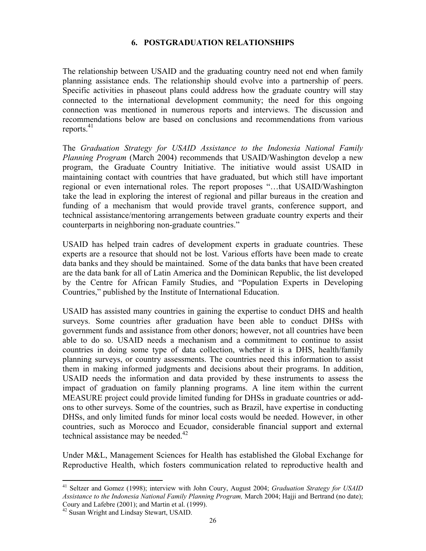## **6. POSTGRADUATION RELATIONSHIPS**

The relationship between USAID and the graduating country need not end when family planning assistance ends. The relationship should evolve into a partnership of peers. Specific activities in phaseout plans could address how the graduate country will stay connected to the international development community; the need for this ongoing connection was mentioned in numerous reports and interviews. The discussion and recommendations below are based on conclusions and recommendations from various reports. $41$ 

The *Graduation Strategy for USAID Assistance to the Indonesia National Family Planning Program* (March 2004) recommends that USAID/Washington develop a new program, the Graduate Country Initiative. The initiative would assist USAID in maintaining contact with countries that have graduated, but which still have important regional or even international roles. The report proposes "…that USAID/Washington take the lead in exploring the interest of regional and pillar bureaus in the creation and funding of a mechanism that would provide travel grants, conference support, and technical assistance/mentoring arrangements between graduate country experts and their counterparts in neighboring non-graduate countries."

USAID has helped train cadres of development experts in graduate countries. These experts are a resource that should not be lost. Various efforts have been made to create data banks and they should be maintained. Some of the data banks that have been created are the data bank for all of Latin America and the Dominican Republic, the list developed by the Centre for African Family Studies, and "Population Experts in Developing Countries," published by the Institute of International Education.

USAID has assisted many countries in gaining the expertise to conduct DHS and health surveys. Some countries after graduation have been able to conduct DHSs with government funds and assistance from other donors; however, not all countries have been able to do so. USAID needs a mechanism and a commitment to continue to assist countries in doing some type of data collection, whether it is a DHS, health/family planning surveys, or country assessments. The countries need this information to assist them in making informed judgments and decisions about their programs. In addition, USAID needs the information and data provided by these instruments to assess the impact of graduation on family planning programs. A line item within the current MEASURE project could provide limited funding for DHSs in graduate countries or addons to other surveys. Some of the countries, such as Brazil, have expertise in conducting DHSs, and only limited funds for minor local costs would be needed. However, in other countries, such as Morocco and Ecuador, considerable financial support and external technical assistance may be needed. $42$ 

Under M&L, Management Sciences for Health has established the Global Exchange for Reproductive Health, which fosters communication related to reproductive health and

<sup>1</sup> 41 Seltzer and Gomez (1998); interview with John Coury, August 2004; *Graduation Strategy for USAID Assistance to the Indonesia National Family Planning Program,* March 2004; Hajji and Bertrand (no date); Coury and Lafebre (2001); and Martin et al. (1999).

<sup>42</sup> Susan Wright and Lindsay Stewart, USAID.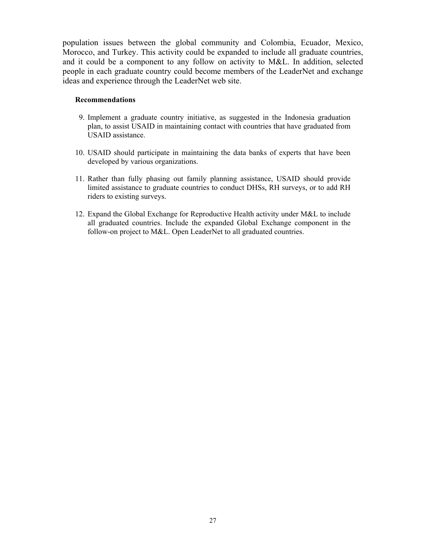population issues between the global community and Colombia, Ecuador, Mexico, Morocco, and Turkey. This activity could be expanded to include all graduate countries, and it could be a component to any follow on activity to M&L. In addition, selected people in each graduate country could become members of the LeaderNet and exchange ideas and experience through the LeaderNet web site.

#### **Recommendations**

- 9. Implement a graduate country initiative, as suggested in the Indonesia graduation plan, to assist USAID in maintaining contact with countries that have graduated from USAID assistance.
- 10. USAID should participate in maintaining the data banks of experts that have been developed by various organizations.
- 11. Rather than fully phasing out family planning assistance, USAID should provide limited assistance to graduate countries to conduct DHSs, RH surveys, or to add RH riders to existing surveys.
- 12. Expand the Global Exchange for Reproductive Health activity under M&L to include all graduated countries. Include the expanded Global Exchange component in the follow-on project to M&L. Open LeaderNet to all graduated countries.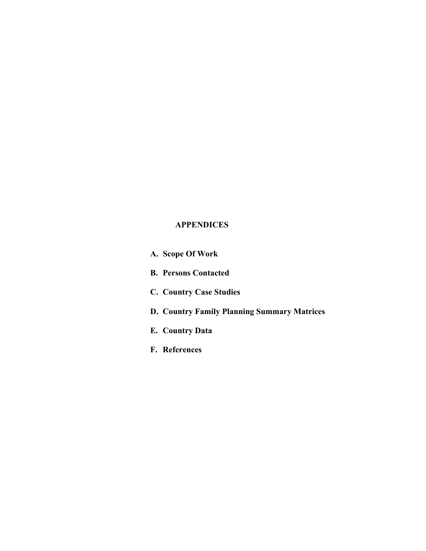# **APPENDICES**

**A. Scope Of Work B. Persons Contacted C. Country Case Studies D. Country Family Planning Summary Matrices E. Country Data F. References**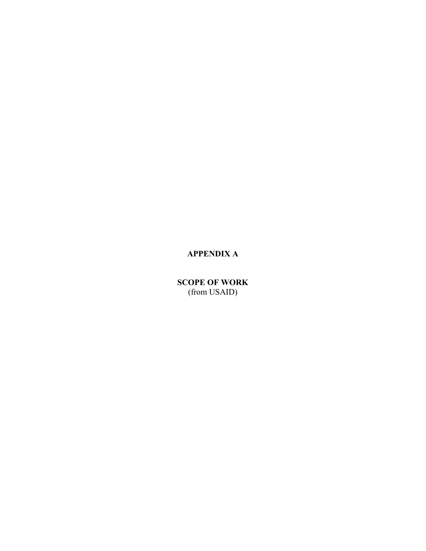# **APPENDIX A**

**SCOPE OF WORK**  (from USAID)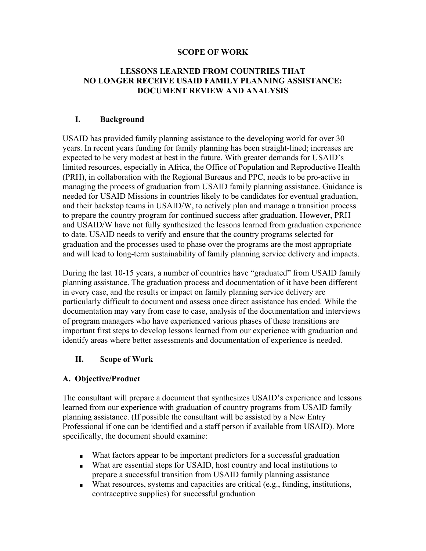### **SCOPE OF WORK**

## **LESSONS LEARNED FROM COUNTRIES THAT NO LONGER RECEIVE USAID FAMILY PLANNING ASSISTANCE: DOCUMENT REVIEW AND ANALYSIS**

## **I. Background**

USAID has provided family planning assistance to the developing world for over 30 years. In recent years funding for family planning has been straight-lined; increases are expected to be very modest at best in the future. With greater demands for USAID's limited resources, especially in Africa, the Office of Population and Reproductive Health (PRH), in collaboration with the Regional Bureaus and PPC, needs to be pro-active in managing the process of graduation from USAID family planning assistance. Guidance is needed for USAID Missions in countries likely to be candidates for eventual graduation, and their backstop teams in USAID/W, to actively plan and manage a transition process to prepare the country program for continued success after graduation. However, PRH and USAID/W have not fully synthesized the lessons learned from graduation experience to date. USAID needs to verify and ensure that the country programs selected for graduation and the processes used to phase over the programs are the most appropriate and will lead to long-term sustainability of family planning service delivery and impacts.

During the last 10-15 years, a number of countries have "graduated" from USAID family planning assistance. The graduation process and documentation of it have been different in every case, and the results or impact on family planning service delivery are particularly difficult to document and assess once direct assistance has ended. While the documentation may vary from case to case, analysis of the documentation and interviews of program managers who have experienced various phases of these transitions are important first steps to develop lessons learned from our experience with graduation and identify areas where better assessments and documentation of experience is needed.

## **II. Scope of Work**

## **A. Objective/Product**

The consultant will prepare a document that synthesizes USAID's experience and lessons learned from our experience with graduation of country programs from USAID family planning assistance. (If possible the consultant will be assisted by a New Entry Professional if one can be identified and a staff person if available from USAID). More specifically, the document should examine:

- What factors appear to be important predictors for a successful graduation
- What are essential steps for USAID, host country and local institutions to prepare a successful transition from USAID family planning assistance
- What resources, systems and capacities are critical (e.g., funding, institutions, contraceptive supplies) for successful graduation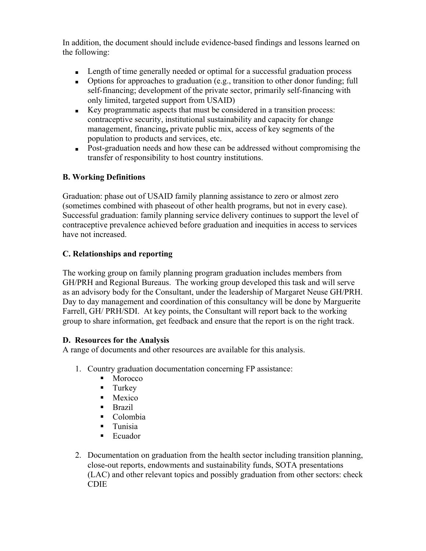In addition, the document should include evidence-based findings and lessons learned on the following:

- Length of time generally needed or optimal for a successful graduation process
- Options for approaches to graduation (e.g., transition to other donor funding; full self-financing; development of the private sector, primarily self-financing with only limited, targeted support from USAID)
- Key programmatic aspects that must be considered in a transition process: contraceptive security, institutional sustainability and capacity for change management, financing**,** private public mix, access of key segments of the population to products and services, etc.
- Post-graduation needs and how these can be addressed without compromising the transfer of responsibility to host country institutions.

# **B. Working Definitions**

Graduation: phase out of USAID family planning assistance to zero or almost zero (sometimes combined with phaseout of other health programs, but not in every case). Successful graduation: family planning service delivery continues to support the level of contraceptive prevalence achieved before graduation and inequities in access to services have not increased.

# **C. Relationships and reporting**

The working group on family planning program graduation includes members from GH/PRH and Regional Bureaus. The working group developed this task and will serve as an advisory body for the Consultant, under the leadership of Margaret Neuse GH/PRH. Day to day management and coordination of this consultancy will be done by Marguerite Farrell, GH/ PRH/SDI. At key points, the Consultant will report back to the working group to share information, get feedback and ensure that the report is on the right track.

# **D. Resources for the Analysis**

A range of documents and other resources are available for this analysis.

- 1. Country graduation documentation concerning FP assistance:
	- Morocco
	- **Turkey**
	- Mexico
	- $\blacksquare$  Brazil
	- Colombia
	- **Tunisia**
	- **Ecuador**
- 2. Documentation on graduation from the health sector including transition planning, close-out reports, endowments and sustainability funds, SOTA presentations (LAC) and other relevant topics and possibly graduation from other sectors: check CDIE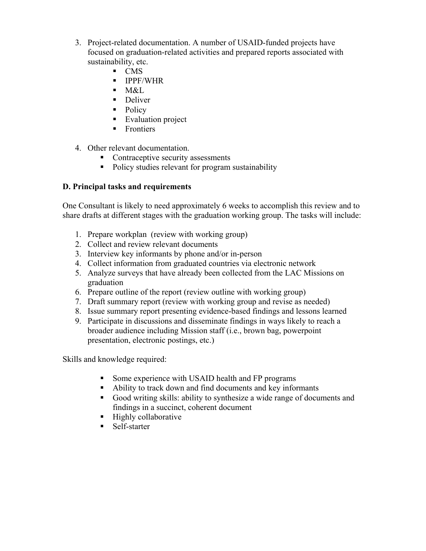- 3. Project-related documentation. A number of USAID-funded projects have focused on graduation-related activities and prepared reports associated with sustainability, etc.
	- **CMS**
	- **IPPF/WHR**
	- $M&L$
	- Deliver
	- Policy
	- **Evaluation project**
	- **Frontiers**
- 4. Other relevant documentation.
	- Contraceptive security assessments
	- Policy studies relevant for program sustainability

# **D. Principal tasks and requirements**

One Consultant is likely to need approximately 6 weeks to accomplish this review and to share drafts at different stages with the graduation working group. The tasks will include:

- 1. Prepare workplan (review with working group)
- 2. Collect and review relevant documents
- 3. Interview key informants by phone and/or in-person
- 4. Collect information from graduated countries via electronic network
- 5. Analyze surveys that have already been collected from the LAC Missions on graduation
- 6. Prepare outline of the report (review outline with working group)
- 7. Draft summary report (review with working group and revise as needed)
- 8. Issue summary report presenting evidence-based findings and lessons learned
- 9. Participate in discussions and disseminate findings in ways likely to reach a broader audience including Mission staff (i.e., brown bag, powerpoint presentation, electronic postings, etc.)

Skills and knowledge required:

- Some experience with USAID health and FP programs
- Ability to track down and find documents and key informants
- Good writing skills: ability to synthesize a wide range of documents and findings in a succinct, coherent document
- $\blacksquare$  Highly collaborative
- Self-starter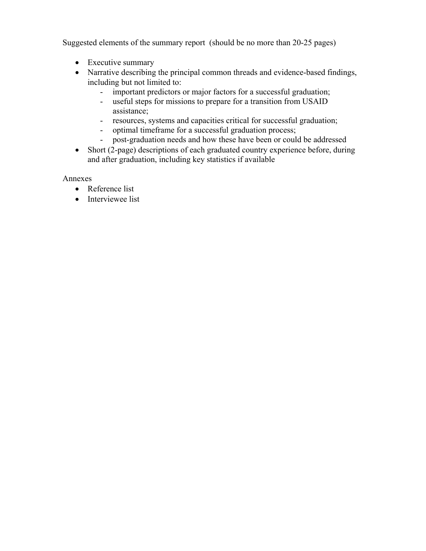Suggested elements of the summary report (should be no more than 20-25 pages)

- Executive summary
- Narrative describing the principal common threads and evidence-based findings, including but not limited to:
	- important predictors or major factors for a successful graduation;
	- useful steps for missions to prepare for a transition from USAID assistance;
	- resources, systems and capacities critical for successful graduation;
	- optimal timeframe for a successful graduation process;
	- post-graduation needs and how these have been or could be addressed
- Short (2-page) descriptions of each graduated country experience before, during and after graduation, including key statistics if available

Annexes

- Reference list
- Interviewee list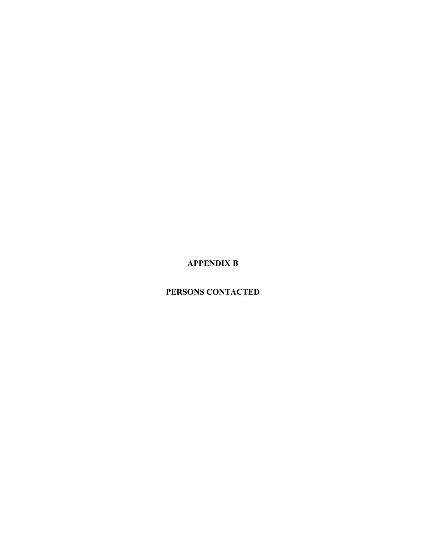# **APPENDIX B**

# **PERSONS CONTACTED**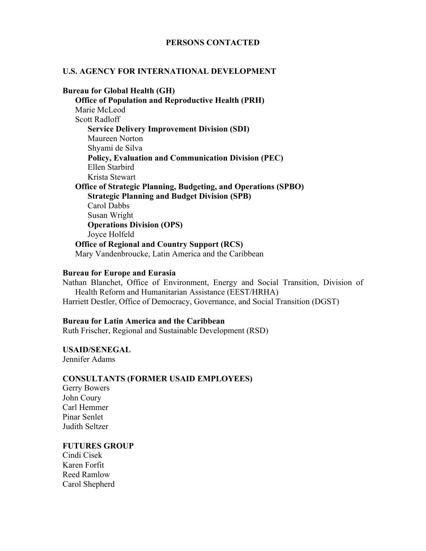### **PERSONS CONTACTED**

#### **U.S. AGENCY FOR INTERNATIONAL DEVELOPMENT**

**Bureau for Global Health (GH) Office of Population and Reproductive Health (PRH)**  Marie McLeod Scott Radloff **Service Delivery Improvement Division (SDI)**  Maureen Norton Shyami de Silva **Policy, Evaluation and Communication Division (PEC)**  Ellen Starbird Krista Stewart **Office of Strategic Planning, Budgeting, and Operations (SPBO) Strategic Planning and Budget Division (SPB)**  Carol Dabbs Susan Wright **Operations Division (OPS)**  Joyce Holfeld **Office of Regional and Country Support (RCS)**  Mary Vandenbroucke, Latin America and the Caribbean

#### **Bureau for Europe and Eurasia**

Nathan Blanchet, Office of Environment, Energy and Social Transition, Division of Health Reform and Humanitarian Assistance (EEST/HRHA) Harriett Destler, Office of Democracy, Governance, and Social Transition (DGST)

#### **Bureau for Latin America and the Caribbean**

Ruth Frischer, Regional and Sustainable Development (RSD)

**USAID/SENEGAL**  Jennifer Adams

#### **CONSULTANTS (FORMER USAID EMPLOYEES)**

Gerry Bowers John Coury Carl Hemmer Pinar Senlet Judith Seltzer

#### **FUTURES GROUP**

Cindi Cisek Karen Forfit Reed Ramlow Carol Shepherd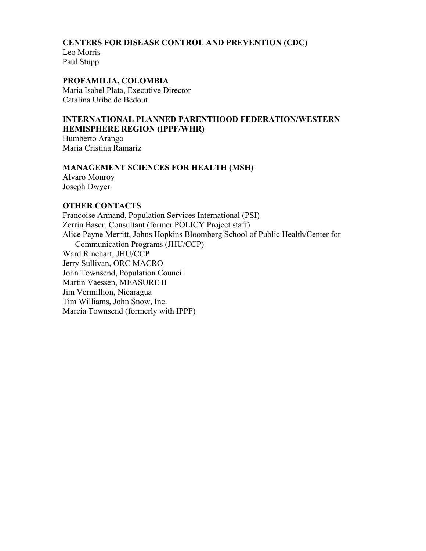### **CENTERS FOR DISEASE CONTROL AND PREVENTION (CDC)**

Leo Morris Paul Stupp

## **PROFAMILIA, COLOMBIA**

Maria Isabel Plata, Executive Director Catalina Uribe de Bedout

# **INTERNATIONAL PLANNED PARENTHOOD FEDERATION/WESTERN HEMISPHERE REGION (IPPF/WHR)**

Humberto Arango Maria Cristina Ramariz

## **MANAGEMENT SCIENCES FOR HEALTH (MSH)**

Alvaro Monroy Joseph Dwyer

## **OTHER CONTACTS**

Francoise Armand, Population Services International (PSI) Zerrin Baser, Consultant (former POLICY Project staff) Alice Payne Merritt, Johns Hopkins Bloomberg School of Public Health/Center for Communication Programs (JHU/CCP) Ward Rinehart, JHU/CCP Jerry Sullivan, ORC MACRO John Townsend, Population Council Martin Vaessen, MEASURE II Jim Vermillion, Nicaragua Tim Williams, John Snow, Inc. Marcia Townsend (formerly with IPPF)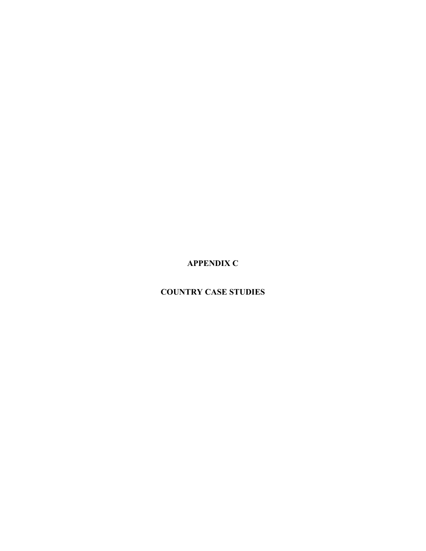**APPENDIX C** 

# **COUNTRY CASE STUDIES**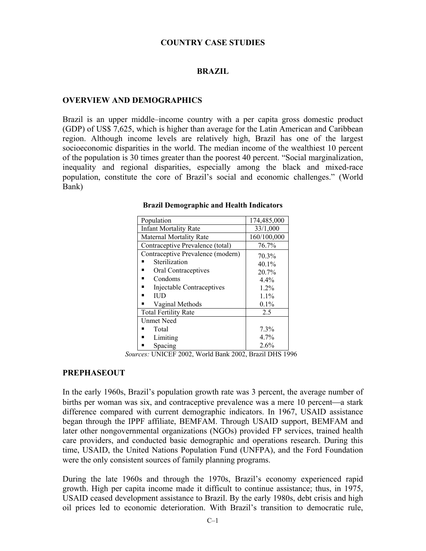#### **COUNTRY CASE STUDIES**

#### **BRAZIL**

#### **OVERVIEW AND DEMOGRAPHICS**

Brazil is an upper middle–income country with a per capita gross domestic product (GDP) of US\$ 7,625, which is higher than average for the Latin American and Caribbean region. Although income levels are relatively high, Brazil has one of the largest socioeconomic disparities in the world. The median income of the wealthiest 10 percent of the population is 30 times greater than the poorest 40 percent. "Social marginalization, inequality and regional disparities, especially among the black and mixed-race population, constitute the core of Brazil's social and economic challenges." (World Bank)

| Population                        | 174,485,000 |
|-----------------------------------|-------------|
| <b>Infant Mortality Rate</b>      | 33/1,000    |
| <b>Maternal Mortality Rate</b>    | 160/100,000 |
| Contraceptive Prevalence (total)  | 76.7%       |
| Contraceptive Prevalence (modern) | 70.3%       |
| Sterilization                     | $40.1\%$    |
| Oral Contraceptives               | 20.7%       |
| Condoms                           | 4.4%        |
| Injectable Contraceptives         | $1.2\%$     |
| ШD                                | $1.1\%$     |
| Vaginal Methods                   | 0.1%        |
| <b>Total Fertility Rate</b>       | 2.5         |
| <b>Unmet Need</b>                 |             |
| Total                             | 7.3%        |
| Limiting                          | 4.7%        |
| Spacing                           | 2.6%        |

#### **Brazil Demographic and Health Indicators**

*Sources:* UNICEF 2002, World Bank 2002, Brazil DHS 1996

#### **PREPHASEOUT**

In the early 1960s, Brazil's population growth rate was 3 percent, the average number of births per woman was six, and contraceptive prevalence was a mere  $10$  percent—a stark difference compared with current demographic indicators. In 1967, USAID assistance began through the IPPF affiliate, BEMFAM. Through USAID support, BEMFAM and later other nongovernmental organizations (NGOs) provided FP services, trained health care providers, and conducted basic demographic and operations research. During this time, USAID, the United Nations Population Fund (UNFPA), and the Ford Foundation were the only consistent sources of family planning programs.

During the late 1960s and through the 1970s, Brazil's economy experienced rapid growth. High per capita income made it difficult to continue assistance; thus, in 1975, USAID ceased development assistance to Brazil. By the early 1980s, debt crisis and high oil prices led to economic deterioration. With Brazil's transition to democratic rule,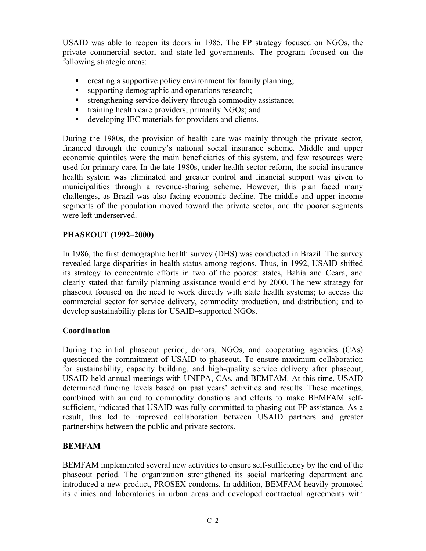USAID was able to reopen its doors in 1985. The FP strategy focused on NGOs, the private commercial sector, and state-led governments. The program focused on the following strategic areas:

- **•** creating a supportive policy environment for family planning;
- supporting demographic and operations research;
- **strengthening service delivery through commodity assistance;**
- training health care providers, primarily NGOs; and
- developing IEC materials for providers and clients.

During the 1980s, the provision of health care was mainly through the private sector, financed through the country's national social insurance scheme. Middle and upper economic quintiles were the main beneficiaries of this system, and few resources were used for primary care. In the late 1980s, under health sector reform, the social insurance health system was eliminated and greater control and financial support was given to municipalities through a revenue-sharing scheme. However, this plan faced many challenges, as Brazil was also facing economic decline. The middle and upper income segments of the population moved toward the private sector, and the poorer segments were left underserved.

## **PHASEOUT (1992–2000)**

In 1986, the first demographic health survey (DHS) was conducted in Brazil. The survey revealed large disparities in health status among regions. Thus, in 1992, USAID shifted its strategy to concentrate efforts in two of the poorest states, Bahia and Ceara, and clearly stated that family planning assistance would end by 2000. The new strategy for phaseout focused on the need to work directly with state health systems; to access the commercial sector for service delivery, commodity production, and distribution; and to develop sustainability plans for USAID–supported NGOs.

## **Coordination**

During the initial phaseout period, donors, NGOs, and cooperating agencies (CAs) questioned the commitment of USAID to phaseout. To ensure maximum collaboration for sustainability, capacity building, and high-quality service delivery after phaseout, USAID held annual meetings with UNFPA, CAs, and BEMFAM. At this time, USAID determined funding levels based on past years' activities and results. These meetings, combined with an end to commodity donations and efforts to make BEMFAM selfsufficient, indicated that USAID was fully committed to phasing out FP assistance. As a result, this led to improved collaboration between USAID partners and greater partnerships between the public and private sectors.

# **BEMFAM**

BEMFAM implemented several new activities to ensure self-sufficiency by the end of the phaseout period. The organization strengthened its social marketing department and introduced a new product, PROSEX condoms. In addition, BEMFAM heavily promoted its clinics and laboratories in urban areas and developed contractual agreements with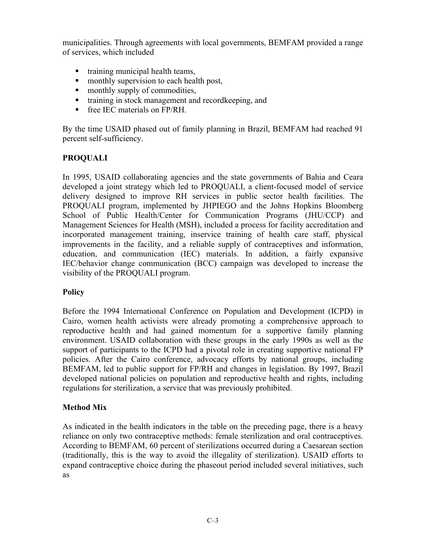municipalities. Through agreements with local governments, BEMFAM provided a range of services, which included

- $\blacksquare$  training municipal health teams,
- monthly supervision to each health post,
- monthly supply of commodities,
- training in stock management and recordkeeping, and
- **Figure 15 Fee IEC materials on FP/RH.**

By the time USAID phased out of family planning in Brazil, BEMFAM had reached 91 percent self-sufficiency.

# **PROQUALI**

In 1995, USAID collaborating agencies and the state governments of Bahia and Ceara developed a joint strategy which led to PROQUALI, a client-focused model of service delivery designed to improve RH services in public sector health facilities. The PROQUALI program, implemented by JHPIEGO and the Johns Hopkins Bloomberg School of Public Health/Center for Communication Programs (JHU/CCP) and Management Sciences for Health (MSH), included a process for facility accreditation and incorporated management training, inservice training of health care staff, physical improvements in the facility, and a reliable supply of contraceptives and information, education, and communication (IEC) materials. In addition, a fairly expansive IEC/behavior change communication (BCC) campaign was developed to increase the visibility of the PROQUALI program.

# **Policy**

Before the 1994 International Conference on Population and Development (ICPD) in Cairo, women health activists were already promoting a comprehensive approach to reproductive health and had gained momentum for a supportive family planning environment. USAID collaboration with these groups in the early 1990s as well as the support of participants to the ICPD had a pivotal role in creating supportive national FP policies. After the Cairo conference, advocacy efforts by national groups, including BEMFAM, led to public support for FP/RH and changes in legislation. By 1997, Brazil developed national policies on population and reproductive health and rights, including regulations for sterilization, a service that was previously prohibited.

# **Method Mix**

As indicated in the health indicators in the table on the preceding page, there is a heavy reliance on only two contraceptive methods: female sterilization and oral contraceptives. According to BEMFAM, 60 percent of sterilizations occurred during a Caesarean section (traditionally, this is the way to avoid the illegality of sterilization). USAID efforts to expand contraceptive choice during the phaseout period included several initiatives, such as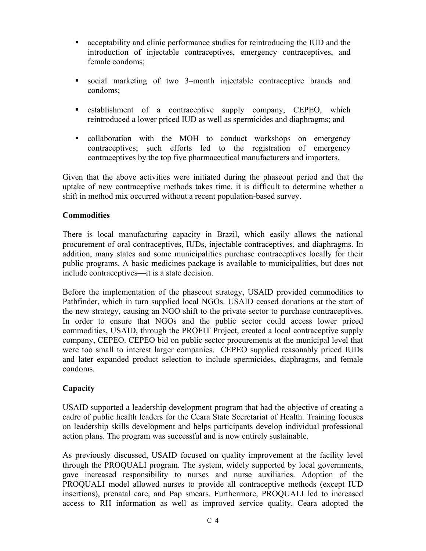- acceptability and clinic performance studies for reintroducing the IUD and the introduction of injectable contraceptives, emergency contraceptives, and female condoms;
- social marketing of two 3–month injectable contraceptive brands and condoms;
- **Example 1** establishment of a contraceptive supply company, CEPEO, which reintroduced a lower priced IUD as well as spermicides and diaphragms; and
- collaboration with the MOH to conduct workshops on emergency contraceptives; such efforts led to the registration of emergency contraceptives by the top five pharmaceutical manufacturers and importers.

Given that the above activities were initiated during the phaseout period and that the uptake of new contraceptive methods takes time, it is difficult to determine whether a shift in method mix occurred without a recent population-based survey.

# **Commodities**

There is local manufacturing capacity in Brazil, which easily allows the national procurement of oral contraceptives, IUDs, injectable contraceptives, and diaphragms. In addition, many states and some municipalities purchase contraceptives locally for their public programs. A basic medicines package is available to municipalities, but does not include contraceptives—it is a state decision.

Before the implementation of the phaseout strategy, USAID provided commodities to Pathfinder, which in turn supplied local NGOs. USAID ceased donations at the start of the new strategy, causing an NGO shift to the private sector to purchase contraceptives. In order to ensure that NGOs and the public sector could access lower priced commodities, USAID, through the PROFIT Project, created a local contraceptive supply company, CEPEO. CEPEO bid on public sector procurements at the municipal level that were too small to interest larger companies. CEPEO supplied reasonably priced IUDs and later expanded product selection to include spermicides, diaphragms, and female condoms.

# **Capacity**

USAID supported a leadership development program that had the objective of creating a cadre of public health leaders for the Ceara State Secretariat of Health. Training focuses on leadership skills development and helps participants develop individual professional action plans. The program was successful and is now entirely sustainable.

As previously discussed, USAID focused on quality improvement at the facility level through the PROQUALI program. The system, widely supported by local governments, gave increased responsibility to nurses and nurse auxiliaries. Adoption of the PROQUALI model allowed nurses to provide all contraceptive methods (except IUD insertions), prenatal care, and Pap smears. Furthermore, PROQUALI led to increased access to RH information as well as improved service quality. Ceara adopted the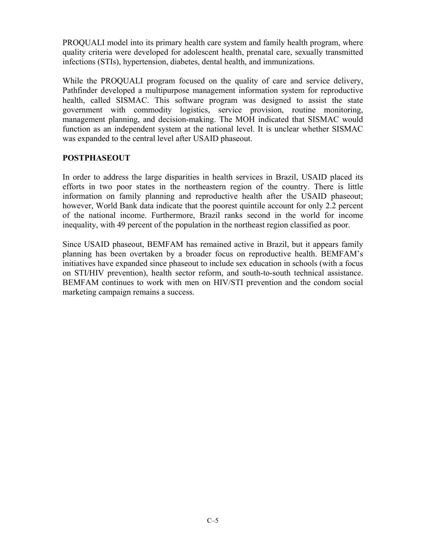PROQUALI model into its primary health care system and family health program, where quality criteria were developed for adolescent health, prenatal care, sexually transmitted infections (STIs), hypertension, diabetes, dental health, and immunizations.

While the PROQUALI program focused on the quality of care and service delivery, Pathfinder developed a multipurpose management information system for reproductive health, called SISMAC. This software program was designed to assist the state government with commodity logistics, service provision, routine monitoring, management planning, and decision-making. The MOH indicated that SISMAC would function as an independent system at the national level. It is unclear whether SISMAC was expanded to the central level after USAID phaseout.

# **POSTPHASEOUT**

In order to address the large disparities in health services in Brazil, USAID placed its efforts in two poor states in the northeastern region of the country. There is little information on family planning and reproductive health after the USAID phaseout; however, World Bank data indicate that the poorest quintile account for only 2.2 percent of the national income. Furthermore, Brazil ranks second in the world for income inequality, with 49 percent of the population in the northeast region classified as poor.

Since USAID phaseout, BEMFAM has remained active in Brazil, but it appears family planning has been overtaken by a broader focus on reproductive health. BEMFAM's initiatives have expanded since phaseout to include sex education in schools (with a focus on STI/HIV prevention), health sector reform, and south-to-south technical assistance. BEMFAM continues to work with men on HIV/STI prevention and the condom social marketing campaign remains a success.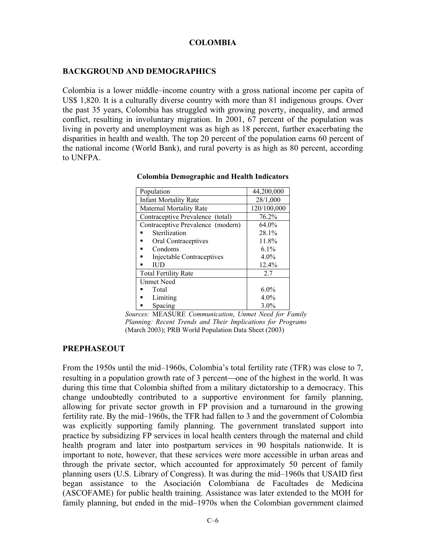## **COLOMBIA**

### **BACKGROUND AND DEMOGRAPHICS**

Colombia is a lower middle–income country with a gross national income per capita of US\$ 1,820. It is a culturally diverse country with more than 81 indigenous groups. Over the past 35 years, Colombia has struggled with growing poverty, inequality, and armed conflict, resulting in involuntary migration. In 2001, 67 percent of the population was living in poverty and unemployment was as high as 18 percent, further exacerbating the disparities in health and wealth. The top 20 percent of the population earns 60 percent of the national income (World Bank), and rural poverty is as high as 80 percent, according to UNFPA.

| Population                        | 44,200,000  |
|-----------------------------------|-------------|
| <b>Infant Mortality Rate</b>      | 28/1,000    |
| Maternal Mortality Rate           | 120/100,000 |
| Contraceptive Prevalence (total)  | 76.2%       |
| Contraceptive Prevalence (modern) | $64.0\%$    |
| Sterilization                     | 28.1%       |
| Oral Contraceptives               | 11.8%       |
| Condoms                           | $6.1\%$     |
| Injectable Contraceptives         | $4.0\%$     |
| ПJD                               | 12.4%       |
| <b>Total Fertility Rate</b>       | 2.7         |
| <b>Unmet Need</b>                 |             |
| Total                             | $6.0\%$     |
| Limiting                          | $4.0\%$     |
| Spacing                           | $3.0\%$     |

**Colombia Demographic and Health Indicators** 

*Sources:* MEASURE *Communication*, *Unmet Need for Family Planning: Recent Trends and Their Implications for Programs* (March 2003); PRB World Population Data Sheet (2003)

## **PREPHASEOUT**

From the 1950s until the mid–1960s, Colombia's total fertility rate (TFR) was close to 7, resulting in a population growth rate of 3 percent—one of the highest in the world. It was during this time that Colombia shifted from a military dictatorship to a democracy. This change undoubtedly contributed to a supportive environment for family planning, allowing for private sector growth in FP provision and a turnaround in the growing fertility rate. By the mid–1960s, the TFR had fallen to 3 and the government of Colombia was explicitly supporting family planning. The government translated support into practice by subsidizing FP services in local health centers through the maternal and child health program and later into postpartum services in 90 hospitals nationwide. It is important to note, however, that these services were more accessible in urban areas and through the private sector, which accounted for approximately 50 percent of family planning users (U.S. Library of Congress). It was during the mid–1960s that USAID first began assistance to the Asociación Colombiana de Facultades de Medicina (ASCOFAME) for public health training. Assistance was later extended to the MOH for family planning, but ended in the mid–1970s when the Colombian government claimed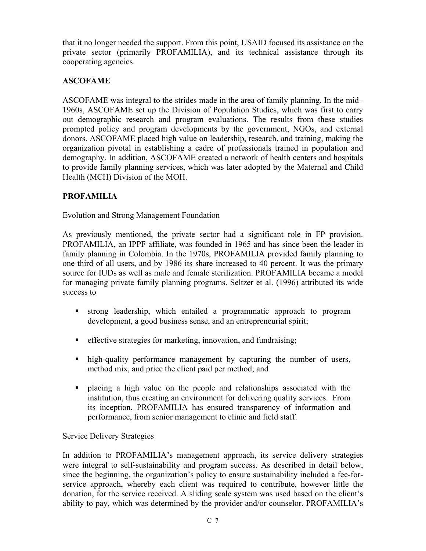that it no longer needed the support. From this point, USAID focused its assistance on the private sector (primarily PROFAMILIA), and its technical assistance through its cooperating agencies.

# **ASCOFAME**

ASCOFAME was integral to the strides made in the area of family planning. In the mid– 1960s, ASCOFAME set up the Division of Population Studies, which was first to carry out demographic research and program evaluations. The results from these studies prompted policy and program developments by the government, NGOs, and external donors. ASCOFAME placed high value on leadership, research, and training, making the organization pivotal in establishing a cadre of professionals trained in population and demography. In addition, ASCOFAME created a network of health centers and hospitals to provide family planning services, which was later adopted by the Maternal and Child Health (MCH) Division of the MOH.

# **PROFAMILIA**

# Evolution and Strong Management Foundation

As previously mentioned, the private sector had a significant role in FP provision. PROFAMILIA, an IPPF affiliate, was founded in 1965 and has since been the leader in family planning in Colombia. In the 1970s, PROFAMILIA provided family planning to one third of all users, and by 1986 its share increased to 40 percent. It was the primary source for IUDs as well as male and female sterilization. PROFAMILIA became a model for managing private family planning programs. Seltzer et al. (1996) attributed its wide success to

- strong leadership, which entailed a programmatic approach to program development, a good business sense, and an entrepreneurial spirit;
- effective strategies for marketing, innovation, and fundraising;
- high-quality performance management by capturing the number of users, method mix, and price the client paid per method; and
- placing a high value on the people and relationships associated with the institution, thus creating an environment for delivering quality services. From its inception, PROFAMILIA has ensured transparency of information and performance, from senior management to clinic and field staff.

# Service Delivery Strategies

In addition to PROFAMILIA's management approach, its service delivery strategies were integral to self-sustainability and program success. As described in detail below, since the beginning, the organization's policy to ensure sustainability included a fee-forservice approach, whereby each client was required to contribute, however little the donation, for the service received. A sliding scale system was used based on the client's ability to pay, which was determined by the provider and/or counselor. PROFAMILIA's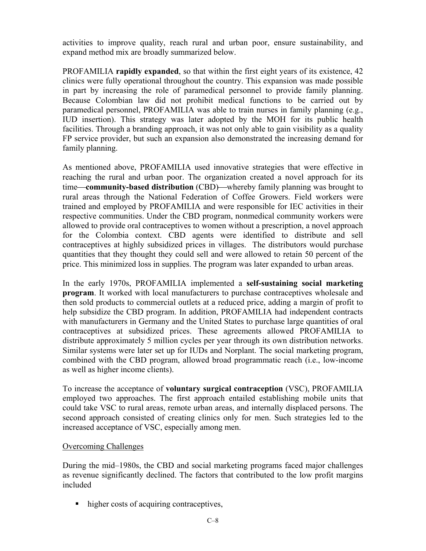activities to improve quality, reach rural and urban poor, ensure sustainability, and expand method mix are broadly summarized below.

PROFAMILIA **rapidly expanded**, so that within the first eight years of its existence, 42 clinics were fully operational throughout the country. This expansion was made possible in part by increasing the role of paramedical personnel to provide family planning. Because Colombian law did not prohibit medical functions to be carried out by paramedical personnel, PROFAMILIA was able to train nurses in family planning (e.g., IUD insertion). This strategy was later adopted by the MOH for its public health facilities. Through a branding approach, it was not only able to gain visibility as a quality FP service provider, but such an expansion also demonstrated the increasing demand for family planning.

As mentioned above, PROFAMILIA used innovative strategies that were effective in reaching the rural and urban poor. The organization created a novel approach for its time—community-based distribution (CBD)—whereby family planning was brought to rural areas through the National Federation of Coffee Growers. Field workers were trained and employed by PROFAMILIA and were responsible for IEC activities in their respective communities. Under the CBD program, nonmedical community workers were allowed to provide oral contraceptives to women without a prescription, a novel approach for the Colombia context. CBD agents were identified to distribute and sell contraceptives at highly subsidized prices in villages. The distributors would purchase quantities that they thought they could sell and were allowed to retain 50 percent of the price. This minimized loss in supplies. The program was later expanded to urban areas.

In the early 1970s, PROFAMILIA implemented a **self-sustaining social marketing program**. It worked with local manufacturers to purchase contraceptives wholesale and then sold products to commercial outlets at a reduced price, adding a margin of profit to help subsidize the CBD program. In addition, PROFAMILIA had independent contracts with manufacturers in Germany and the United States to purchase large quantities of oral contraceptives at subsidized prices. These agreements allowed PROFAMILIA to distribute approximately 5 million cycles per year through its own distribution networks. Similar systems were later set up for IUDs and Norplant. The social marketing program, combined with the CBD program, allowed broad programmatic reach (i.e., low-income as well as higher income clients).

To increase the acceptance of **voluntary surgical contraception** (VSC), PROFAMILIA employed two approaches. The first approach entailed establishing mobile units that could take VSC to rural areas, remote urban areas, and internally displaced persons. The second approach consisted of creating clinics only for men. Such strategies led to the increased acceptance of VSC, especially among men.

## Overcoming Challenges

During the mid–1980s, the CBD and social marketing programs faced major challenges as revenue significantly declined. The factors that contributed to the low profit margins included

• higher costs of acquiring contraceptives,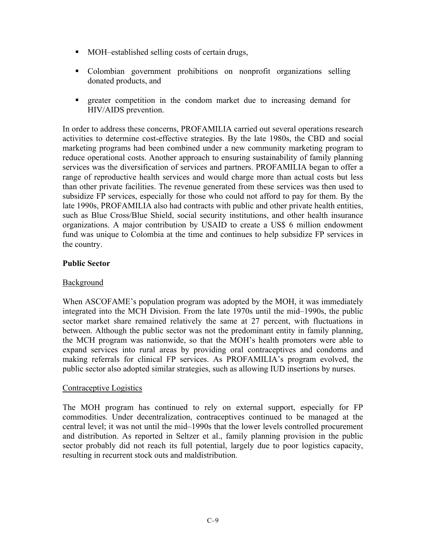- MOH–established selling costs of certain drugs,
- Colombian government prohibitions on nonprofit organizations selling donated products, and
- greater competition in the condom market due to increasing demand for HIV/AIDS prevention.

In order to address these concerns, PROFAMILIA carried out several operations research activities to determine cost-effective strategies. By the late 1980s, the CBD and social marketing programs had been combined under a new community marketing program to reduce operational costs. Another approach to ensuring sustainability of family planning services was the diversification of services and partners. PROFAMILIA began to offer a range of reproductive health services and would charge more than actual costs but less than other private facilities. The revenue generated from these services was then used to subsidize FP services, especially for those who could not afford to pay for them. By the late 1990s, PROFAMILIA also had contracts with public and other private health entities, such as Blue Cross/Blue Shield, social security institutions, and other health insurance organizations. A major contribution by USAID to create a US\$ 6 million endowment fund was unique to Colombia at the time and continues to help subsidize FP services in the country.

## **Public Sector**

## **Background**

When ASCOFAME's population program was adopted by the MOH, it was immediately integrated into the MCH Division. From the late 1970s until the mid–1990s, the public sector market share remained relatively the same at 27 percent, with fluctuations in between. Although the public sector was not the predominant entity in family planning, the MCH program was nationwide, so that the MOH's health promoters were able to expand services into rural areas by providing oral contraceptives and condoms and making referrals for clinical FP services. As PROFAMILIA's program evolved, the public sector also adopted similar strategies, such as allowing IUD insertions by nurses.

## Contraceptive Logistics

The MOH program has continued to rely on external support, especially for FP commodities. Under decentralization, contraceptives continued to be managed at the central level; it was not until the mid–1990s that the lower levels controlled procurement and distribution. As reported in Seltzer et al., family planning provision in the public sector probably did not reach its full potential, largely due to poor logistics capacity, resulting in recurrent stock outs and maldistribution.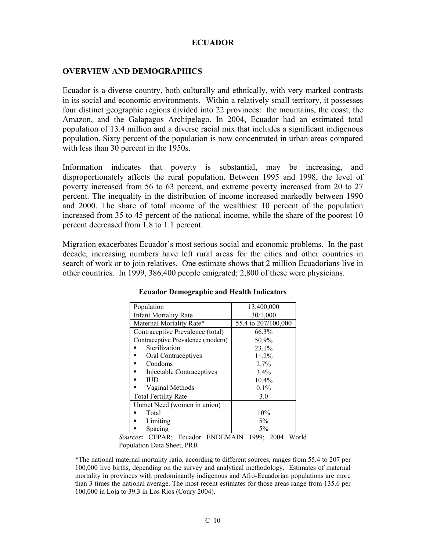## **ECUADOR**

### **OVERVIEW AND DEMOGRAPHICS**

Ecuador is a diverse country, both culturally and ethnically, with very marked contrasts in its social and economic environments. Within a relatively small territory, it possesses four distinct geographic regions divided into 22 provinces: the mountains, the coast, the Amazon, and the Galapagos Archipelago. In 2004, Ecuador had an estimated total population of 13.4 million and a diverse racial mix that includes a significant indigenous population. Sixty percent of the population is now concentrated in urban areas compared with less than 30 percent in the 1950s.

Information indicates that poverty is substantial, may be increasing, and disproportionately affects the rural population. Between 1995 and 1998, the level of poverty increased from 56 to 63 percent, and extreme poverty increased from 20 to 27 percent. The inequality in the distribution of income increased markedly between 1990 and 2000. The share of total income of the wealthiest 10 percent of the population increased from 35 to 45 percent of the national income, while the share of the poorest 10 percent decreased from 1.8 to 1.1 percent.

Migration exacerbates Ecuador's most serious social and economic problems. In the past decade, increasing numbers have left rural areas for the cities and other countries in search of work or to join relatives. One estimate shows that 2 million Ecuadorians live in other countries. In 1999, 386,400 people emigrated; 2,800 of these were physicians.

| Population                        | 13,400,000          |
|-----------------------------------|---------------------|
| <b>Infant Mortality Rate</b>      | 30/1,000            |
| Maternal Mortality Rate*          | 55.4 to 207/100,000 |
| Contraceptive Prevalence (total)  | 66.3%               |
| Contraceptive Prevalence (modern) | 50.9%               |
| Sterilization                     | 23.1%               |
| Oral Contraceptives               | 11.2%               |
| Condoms                           | 2.7%                |
| Injectable Contraceptives         | $3.4\%$             |
| ПJD<br>٠                          | 10.4%               |
| Vaginal Methods                   | $0.1\%$             |
| <b>Total Fertility Rate</b>       | 3.0                 |
| Unmet Need (women in union)       |                     |
| Total                             | 10%                 |
| Limiting                          | $5\%$               |
| Spacing                           | $5\%$               |

#### **Ecuador Demographic and Health Indicators**

*Sources***:** CEPAR; Ecuador ENDEMAIN 1999; 2004 World Population Data Sheet, PRB

\*The national maternal mortality ratio, according to different sources, ranges from 55.4 to 207 per 100,000 live births, depending on the survey and analytical methodology. Estimates of maternal mortality in provinces with predominantly indigenous and Afro-Ecuadorian populations are more than 3 times the national average. The most recent estimates for those areas range from 135.6 per 100,000 in Loja to 39.3 in Los Rios (Coury 2004).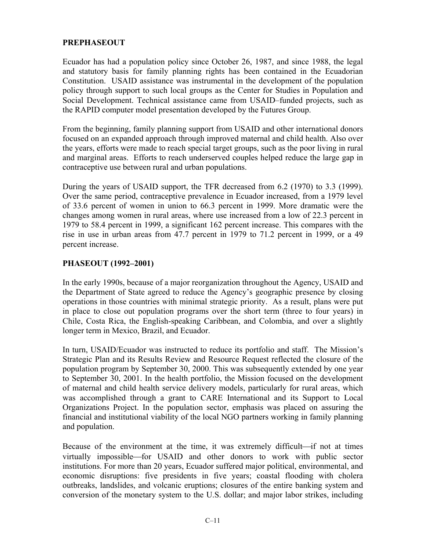# **PREPHASEOUT**

Ecuador has had a population policy since October 26, 1987, and since 1988, the legal and statutory basis for family planning rights has been contained in the Ecuadorian Constitution. USAID assistance was instrumental in the development of the population policy through support to such local groups as the Center for Studies in Population and Social Development. Technical assistance came from USAID–funded projects, such as the RAPID computer model presentation developed by the Futures Group.

From the beginning, family planning support from USAID and other international donors focused on an expanded approach through improved maternal and child health. Also over the years, efforts were made to reach special target groups, such as the poor living in rural and marginal areas. Efforts to reach underserved couples helped reduce the large gap in contraceptive use between rural and urban populations.

During the years of USAID support, the TFR decreased from 6.2 (1970) to 3.3 (1999). Over the same period, contraceptive prevalence in Ecuador increased, from a 1979 level of 33.6 percent of women in union to 66.3 percent in 1999. More dramatic were the changes among women in rural areas, where use increased from a low of 22.3 percent in 1979 to 58.4 percent in 1999, a significant 162 percent increase. This compares with the rise in use in urban areas from 47.7 percent in 1979 to 71.2 percent in 1999, or a 49 percent increase.

## **PHASEOUT (1992–2001)**

In the early 1990s, because of a major reorganization throughout the Agency, USAID and the Department of State agreed to reduce the Agency's geographic presence by closing operations in those countries with minimal strategic priority. As a result, plans were put in place to close out population programs over the short term (three to four years) in Chile, Costa Rica, the English-speaking Caribbean, and Colombia, and over a slightly longer term in Mexico, Brazil, and Ecuador.

In turn, USAID/Ecuador was instructed to reduce its portfolio and staff. The Mission's Strategic Plan and its Results Review and Resource Request reflected the closure of the population program by September 30, 2000. This was subsequently extended by one year to September 30, 2001. In the health portfolio, the Mission focused on the development of maternal and child health service delivery models, particularly for rural areas, which was accomplished through a grant to CARE International and its Support to Local Organizations Project. In the population sector, emphasis was placed on assuring the financial and institutional viability of the local NGO partners working in family planning and population.

Because of the environment at the time, it was extremely difficult—if not at times virtually impossible—for USAID and other donors to work with public sector institutions. For more than 20 years, Ecuador suffered major political, environmental, and economic disruptions: five presidents in five years; coastal flooding with cholera outbreaks, landslides, and volcanic eruptions; closures of the entire banking system and conversion of the monetary system to the U.S. dollar; and major labor strikes, including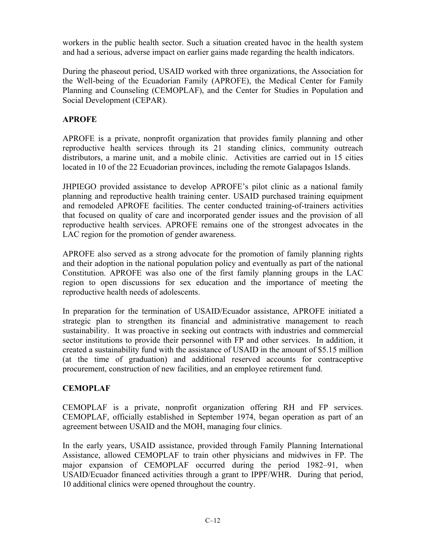workers in the public health sector. Such a situation created havoc in the health system and had a serious, adverse impact on earlier gains made regarding the health indicators.

During the phaseout period, USAID worked with three organizations, the Association for the Well-being of the Ecuadorian Family (APROFE), the Medical Center for Family Planning and Counseling (CEMOPLAF), and the Center for Studies in Population and Social Development (CEPAR).

# **APROFE**

APROFE is a private, nonprofit organization that provides family planning and other reproductive health services through its 21 standing clinics, community outreach distributors, a marine unit, and a mobile clinic. Activities are carried out in 15 cities located in 10 of the 22 Ecuadorian provinces, including the remote Galapagos Islands.

JHPIEGO provided assistance to develop APROFE's pilot clinic as a national family planning and reproductive health training center. USAID purchased training equipment and remodeled APROFE facilities. The center conducted training-of-trainers activities that focused on quality of care and incorporated gender issues and the provision of all reproductive health services. APROFE remains one of the strongest advocates in the LAC region for the promotion of gender awareness.

APROFE also served as a strong advocate for the promotion of family planning rights and their adoption in the national population policy and eventually as part of the national Constitution. APROFE was also one of the first family planning groups in the LAC region to open discussions for sex education and the importance of meeting the reproductive health needs of adolescents.

In preparation for the termination of USAID/Ecuador assistance, APROFE initiated a strategic plan to strengthen its financial and administrative management to reach sustainability. It was proactive in seeking out contracts with industries and commercial sector institutions to provide their personnel with FP and other services. In addition, it created a sustainability fund with the assistance of USAID in the amount of \$5.15 million (at the time of graduation) and additional reserved accounts for contraceptive procurement, construction of new facilities, and an employee retirement fund.

# **CEMOPLAF**

CEMOPLAF is a private, nonprofit organization offering RH and FP services. CEMOPLAF, officially established in September 1974, began operation as part of an agreement between USAID and the MOH, managing four clinics.

In the early years, USAID assistance, provided through Family Planning International Assistance, allowed CEMOPLAF to train other physicians and midwives in FP. The major expansion of CEMOPLAF occurred during the period 1982–91, when USAID/Ecuador financed activities through a grant to IPPF/WHR. During that period, 10 additional clinics were opened throughout the country.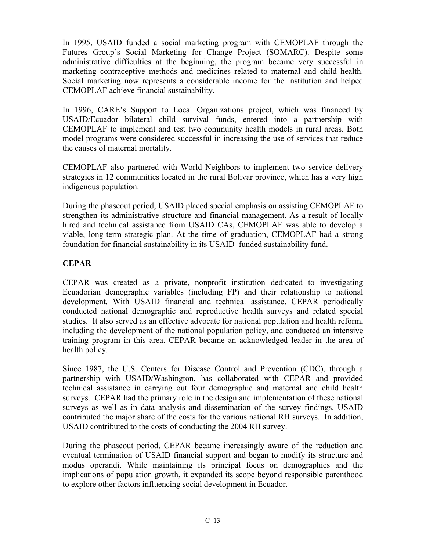In 1995, USAID funded a social marketing program with CEMOPLAF through the Futures Group's Social Marketing for Change Project (SOMARC). Despite some administrative difficulties at the beginning, the program became very successful in marketing contraceptive methods and medicines related to maternal and child health. Social marketing now represents a considerable income for the institution and helped CEMOPLAF achieve financial sustainability.

In 1996, CARE's Support to Local Organizations project, which was financed by USAID/Ecuador bilateral child survival funds, entered into a partnership with CEMOPLAF to implement and test two community health models in rural areas. Both model programs were considered successful in increasing the use of services that reduce the causes of maternal mortality.

CEMOPLAF also partnered with World Neighbors to implement two service delivery strategies in 12 communities located in the rural Bolivar province, which has a very high indigenous population.

During the phaseout period, USAID placed special emphasis on assisting CEMOPLAF to strengthen its administrative structure and financial management. As a result of locally hired and technical assistance from USAID CAs, CEMOPLAF was able to develop a viable, long-term strategic plan. At the time of graduation, CEMOPLAF had a strong foundation for financial sustainability in its USAID–funded sustainability fund.

# **CEPAR**

CEPAR was created as a private, nonprofit institution dedicated to investigating Ecuadorian demographic variables (including FP) and their relationship to national development. With USAID financial and technical assistance, CEPAR periodically conducted national demographic and reproductive health surveys and related special studies. It also served as an effective advocate for national population and health reform, including the development of the national population policy, and conducted an intensive training program in this area. CEPAR became an acknowledged leader in the area of health policy.

Since 1987, the U.S. Centers for Disease Control and Prevention (CDC), through a partnership with USAID/Washington, has collaborated with CEPAR and provided technical assistance in carrying out four demographic and maternal and child health surveys. CEPAR had the primary role in the design and implementation of these national surveys as well as in data analysis and dissemination of the survey findings. USAID contributed the major share of the costs for the various national RH surveys. In addition, USAID contributed to the costs of conducting the 2004 RH survey.

During the phaseout period, CEPAR became increasingly aware of the reduction and eventual termination of USAID financial support and began to modify its structure and modus operandi. While maintaining its principal focus on demographics and the implications of population growth, it expanded its scope beyond responsible parenthood to explore other factors influencing social development in Ecuador.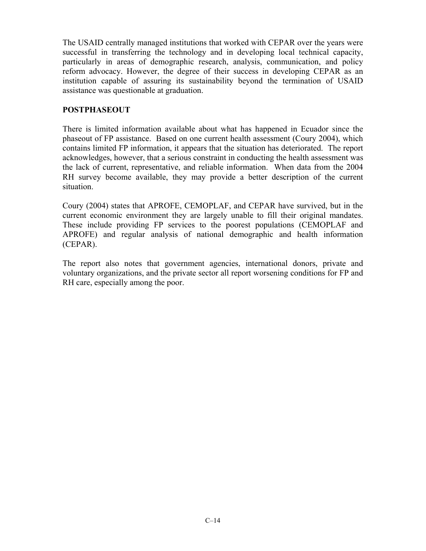The USAID centrally managed institutions that worked with CEPAR over the years were successful in transferring the technology and in developing local technical capacity, particularly in areas of demographic research, analysis, communication, and policy reform advocacy. However, the degree of their success in developing CEPAR as an institution capable of assuring its sustainability beyond the termination of USAID assistance was questionable at graduation.

# **POSTPHASEOUT**

There is limited information available about what has happened in Ecuador since the phaseout of FP assistance. Based on one current health assessment (Coury 2004), which contains limited FP information, it appears that the situation has deteriorated. The report acknowledges, however, that a serious constraint in conducting the health assessment was the lack of current, representative, and reliable information. When data from the 2004 RH survey become available, they may provide a better description of the current situation.

Coury (2004) states that APROFE, CEMOPLAF, and CEPAR have survived, but in the current economic environment they are largely unable to fill their original mandates. These include providing FP services to the poorest populations (CEMOPLAF and APROFE) and regular analysis of national demographic and health information (CEPAR).

The report also notes that government agencies, international donors, private and voluntary organizations, and the private sector all report worsening conditions for FP and RH care, especially among the poor.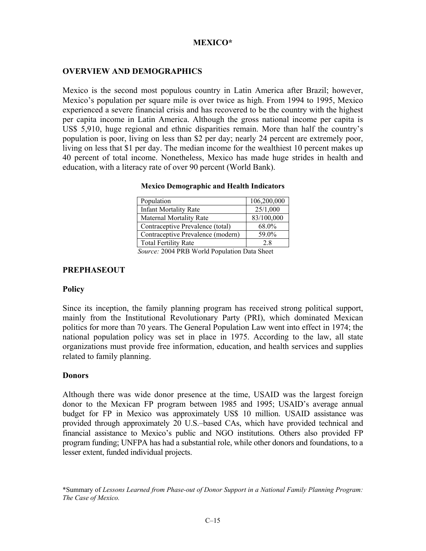## **MEXICO\***

## **OVERVIEW AND DEMOGRAPHICS**

Mexico is the second most populous country in Latin America after Brazil; however, Mexico's population per square mile is over twice as high. From 1994 to 1995, Mexico experienced a severe financial crisis and has recovered to be the country with the highest per capita income in Latin America. Although the gross national income per capita is US\$ 5,910, huge regional and ethnic disparities remain. More than half the country's population is poor, living on less than \$2 per day; nearly 24 percent are extremely poor, living on less that \$1 per day. The median income for the wealthiest 10 percent makes up 40 percent of total income. Nonetheless, Mexico has made huge strides in health and education, with a literacy rate of over 90 percent (World Bank).

| Population                                   | 106,200,000 |
|----------------------------------------------|-------------|
| <b>Infant Mortality Rate</b>                 | 25/1,000    |
| Maternal Mortality Rate                      | 83/100,000  |
| Contraceptive Prevalence (total)             | 68.0%       |
| Contraceptive Prevalence (modern)            | 59.0%       |
| <b>Total Fertility Rate</b>                  | 2.8         |
| Corners 2004 DDD Would Deputation Data Chart |             |

#### **Mexico Demographic and Health Indicators**

*Source:* 2004 PRB World Population Data Sheet

#### **PREPHASEOUT**

### **Policy**

Since its inception, the family planning program has received strong political support, mainly from the Institutional Revolutionary Party (PRI), which dominated Mexican politics for more than 70 years. The General Population Law went into effect in 1974; the national population policy was set in place in 1975. According to the law, all state organizations must provide free information, education, and health services and supplies related to family planning.

### **Donors**

Although there was wide donor presence at the time, USAID was the largest foreign donor to the Mexican FP program between 1985 and 1995; USAID's average annual budget for FP in Mexico was approximately US\$ 10 million. USAID assistance was provided through approximately 20 U.S.–based CAs, which have provided technical and financial assistance to Mexico's public and NGO institutions. Others also provided FP program funding; UNFPA has had a substantial role, while other donors and foundations, to a lesser extent, funded individual projects.

\*Summary of *Lessons Learned from Phase-out of Donor Support in a National Family Planning Program: The Case of Mexico.*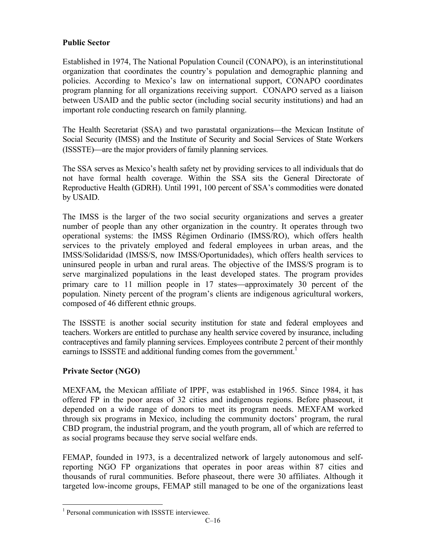# **Public Sector**

Established in 1974, The National Population Council (CONAPO), is an interinstitutional organization that coordinates the country's population and demographic planning and policies. According to Mexico's law on international support, CONAPO coordinates program planning for all organizations receiving support. CONAPO served as a liaison between USAID and the public sector (including social security institutions) and had an important role conducting research on family planning.

The Health Secretariat (SSA) and two parastatal organizations—the Mexican Institute of Social Security (IMSS) and the Institute of Security and Social Services of State Workers (ISSSTE)—are the major providers of family planning services.

The SSA serves as Mexico's health safety net by providing services to all individuals that do not have formal health coverage. Within the SSA sits the General Directorate of Reproductive Health (GDRH). Until 1991, 100 percent of SSA's commodities were donated by USAID.

The IMSS is the larger of the two social security organizations and serves a greater number of people than any other organization in the country. It operates through two operational systems: the IMSS Régimen Ordinario (IMSS/RO), which offers health services to the privately employed and federal employees in urban areas, and the IMSS/Solidaridad (IMSS/S, now IMSS/Oportunidades), which offers health services to uninsured people in urban and rural areas. The objective of the IMSS/S program is to serve marginalized populations in the least developed states. The program provides primary care to 11 million people in 17 states—approximately 30 percent of the population. Ninety percent of the program's clients are indigenous agricultural workers, composed of 46 different ethnic groups.

The ISSSTE is another social security institution for state and federal employees and teachers. Workers are entitled to purchase any health service covered by insurance, including contraceptives and family planning services. Employees contribute 2 percent of their monthly earnings to ISSSTE and additional funding comes from the government.<sup>1</sup>

## **Private Sector (NGO)**

MEXFAM*,* the Mexican affiliate of IPPF, was established in 1965. Since 1984, it has offered FP in the poor areas of 32 cities and indigenous regions. Before phaseout, it depended on a wide range of donors to meet its program needs. MEXFAM worked through six programs in Mexico, including the community doctors' program, the rural CBD program, the industrial program, and the youth program, all of which are referred to as social programs because they serve social welfare ends.

FEMAP, founded in 1973, is a decentralized network of largely autonomous and selfreporting NGO FP organizations that operates in poor areas within 87 cities and thousands of rural communities. Before phaseout, there were 30 affiliates. Although it targeted low-income groups, FEMAP still managed to be one of the organizations least

 $\overline{a}$ <sup>1</sup> Personal communication with ISSSTE interviewee.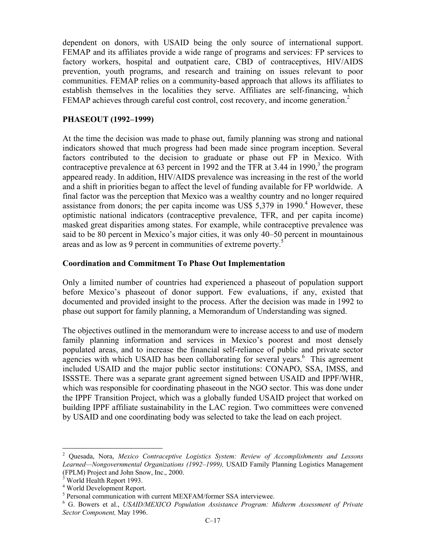dependent on donors, with USAID being the only source of international support. FEMAP and its affiliates provide a wide range of programs and services: FP services to factory workers, hospital and outpatient care, CBD of contraceptives, HIV/AIDS prevention, youth programs, and research and training on issues relevant to poor communities. FEMAP relies on a community-based approach that allows its affiliates to establish themselves in the localities they serve. Affiliates are self-financing, which FEMAP achieves through careful cost control, cost recovery, and income generation.<sup>2</sup>

### **PHASEOUT (1992–1999)**

At the time the decision was made to phase out, family planning was strong and national indicators showed that much progress had been made since program inception. Several factors contributed to the decision to graduate or phase out FP in Mexico. With contraceptive prevalence at 63 percent in 1992 and the TFR at 3.44 in 1990,<sup>3</sup> the program appeared ready. In addition, HIV/AIDS prevalence was increasing in the rest of the world and a shift in priorities began to affect the level of funding available for FP worldwide. A final factor was the perception that Mexico was a wealthy country and no longer required assistance from donors; the per capita income was US\$  $5,379$  in 1990.<sup>4</sup> However, these optimistic national indicators (contraceptive prevalence, TFR, and per capita income) masked great disparities among states. For example, while contraceptive prevalence was said to be 80 percent in Mexico's major cities, it was only 40–50 percent in mountainous areas and as low as 9 percent in communities of extreme poverty.<sup>5</sup>

### **Coordination and Commitment To Phase Out Implementation**

Only a limited number of countries had experienced a phaseout of population support before Mexico's phaseout of donor support. Few evaluations, if any, existed that documented and provided insight to the process. After the decision was made in 1992 to phase out support for family planning, a Memorandum of Understanding was signed.

The objectives outlined in the memorandum were to increase access to and use of modern family planning information and services in Mexico's poorest and most densely populated areas, and to increase the financial self-reliance of public and private sector agencies with which USAID has been collaborating for several years.<sup>6</sup> This agreement included USAID and the major public sector institutions: CONAPO, SSA, IMSS, and ISSSTE. There was a separate grant agreement signed between USAID and IPPF/WHR, which was responsible for coordinating phaseout in the NGO sector. This was done under the IPPF Transition Project, which was a globally funded USAID project that worked on building IPPF affiliate sustainability in the LAC region. Two committees were convened by USAID and one coordinating body was selected to take the lead on each project.

 $\overline{a}$ 

<sup>2</sup> Quesada, Nora, *Mexico Contraceptive Logistics System: Review of Accomplishments and Lessons Learned—Nongovernmental Organizations (1992–1999),* USAID Family Planning Logistics Management (FPLM) Project and John Snow, Inc., 2000.

<sup>&</sup>lt;sup>3</sup> World Health Report 1993.

<sup>4</sup> World Development Report.

<sup>&</sup>lt;sup>5</sup> Personal communication with current MEXFAM/former SSA interviewee.

G. Bowers et al., *USAID/MEXICO Population Assistance Program: Midterm Assessment of Private Sector Component,* May 1996.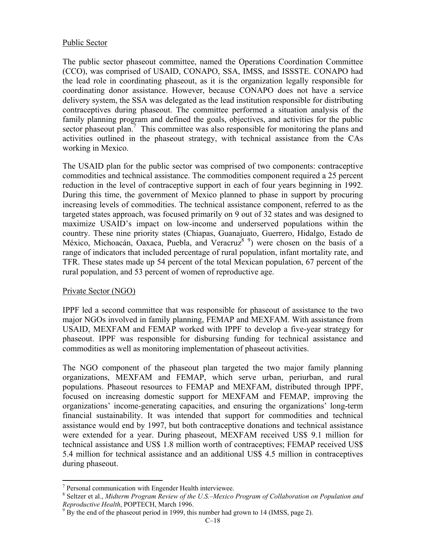### Public Sector

The public sector phaseout committee, named the Operations Coordination Committee (CCO), was comprised of USAID, CONAPO, SSA, IMSS, and ISSSTE. CONAPO had the lead role in coordinating phaseout, as it is the organization legally responsible for coordinating donor assistance. However, because CONAPO does not have a service delivery system, the SSA was delegated as the lead institution responsible for distributing contraceptives during phaseout. The committee performed a situation analysis of the family planning program and defined the goals, objectives, and activities for the public sector phaseout plan.<sup>7</sup> This committee was also responsible for monitoring the plans and activities outlined in the phaseout strategy, with technical assistance from the CAs working in Mexico.

The USAID plan for the public sector was comprised of two components: contraceptive commodities and technical assistance. The commodities component required a 25 percent reduction in the level of contraceptive support in each of four years beginning in 1992. During this time, the government of Mexico planned to phase in support by procuring increasing levels of commodities. The technical assistance component, referred to as the targeted states approach, was focused primarily on 9 out of 32 states and was designed to maximize USAID's impact on low-income and underserved populations within the country. These nine priority states (Chiapas, Guanajuato, Guerrero, Hidalgo, Estado de México, Michoacán, Oaxaca, Puebla, and Veracruz<sup>89</sup>) were chosen on the basis of a range of indicators that included percentage of rural population, infant mortality rate, and TFR. These states made up 54 percent of the total Mexican population, 67 percent of the rural population, and 53 percent of women of reproductive age.

### Private Sector (NGO)

IPPF led a second committee that was responsible for phaseout of assistance to the two major NGOs involved in family planning, FEMAP and MEXFAM. With assistance from USAID, MEXFAM and FEMAP worked with IPPF to develop a five-year strategy for phaseout. IPPF was responsible for disbursing funding for technical assistance and commodities as well as monitoring implementation of phaseout activities.

The NGO component of the phaseout plan targeted the two major family planning organizations, MEXFAM and FEMAP, which serve urban, periurban, and rural populations. Phaseout resources to FEMAP and MEXFAM, distributed through IPPF, focused on increasing domestic support for MEXFAM and FEMAP, improving the organizations' income-generating capacities, and ensuring the organizations' long-term financial sustainability. It was intended that support for commodities and technical assistance would end by 1997, but both contraceptive donations and technical assistance were extended for a year. During phaseout, MEXFAM received US\$ 9.1 million for technical assistance and US\$ 1.8 million worth of contraceptives; FEMAP received US\$ 5.4 million for technical assistance and an additional US\$ 4.5 million in contraceptives during phaseout.

<sup>&</sup>lt;sup>7</sup> Personal communication with Engender Health interviewee.

Seltzer et al., *Midterm Program Review of the U.S.–Mexico Program of Collaboration on Population and Reproductive Health*, POPTECH, March 1996.

 $B<sup>9</sup>$  By the end of the phaseout period in 1999, this number had grown to 14 (IMSS, page 2).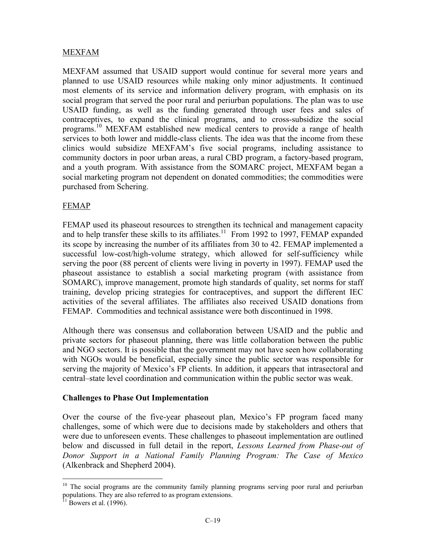## MEXFAM

MEXFAM assumed that USAID support would continue for several more years and planned to use USAID resources while making only minor adjustments. It continued most elements of its service and information delivery program, with emphasis on its social program that served the poor rural and periurban populations. The plan was to use USAID funding, as well as the funding generated through user fees and sales of contraceptives, to expand the clinical programs, and to cross-subsidize the social programs.10 MEXFAM established new medical centers to provide a range of health services to both lower and middle-class clients. The idea was that the income from these clinics would subsidize MEXFAM's five social programs, including assistance to community doctors in poor urban areas, a rural CBD program, a factory-based program, and a youth program. With assistance from the SOMARC project, MEXFAM began a social marketing program not dependent on donated commodities; the commodities were purchased from Schering.

### FEMAP

FEMAP used its phaseout resources to strengthen its technical and management capacity and to help transfer these skills to its affiliates.<sup>11</sup> From 1992 to 1997, FEMAP expanded its scope by increasing the number of its affiliates from 30 to 42. FEMAP implemented a successful low-cost/high-volume strategy, which allowed for self-sufficiency while serving the poor (88 percent of clients were living in poverty in 1997). FEMAP used the phaseout assistance to establish a social marketing program (with assistance from SOMARC), improve management, promote high standards of quality, set norms for staff training, develop pricing strategies for contraceptives, and support the different IEC activities of the several affiliates. The affiliates also received USAID donations from FEMAP. Commodities and technical assistance were both discontinued in 1998.

Although there was consensus and collaboration between USAID and the public and private sectors for phaseout planning, there was little collaboration between the public and NGO sectors. It is possible that the government may not have seen how collaborating with NGOs would be beneficial, especially since the public sector was responsible for serving the majority of Mexico's FP clients. In addition, it appears that intrasectoral and central–state level coordination and communication within the public sector was weak.

### **Challenges to Phase Out Implementation**

Over the course of the five-year phaseout plan, Mexico's FP program faced many challenges, some of which were due to decisions made by stakeholders and others that were due to unforeseen events. These challenges to phaseout implementation are outlined below and discussed in full detail in the report, *Lessons Learned from Phase-out of Donor Support in a National Family Planning Program: The Case of Mexico* (Alkenbrack and Shepherd 2004).

1

<sup>&</sup>lt;sup>10</sup> The social programs are the community family planning programs serving poor rural and periurban populations. They are also referred to as program extensions.

 $11$  Bowers et al. (1996).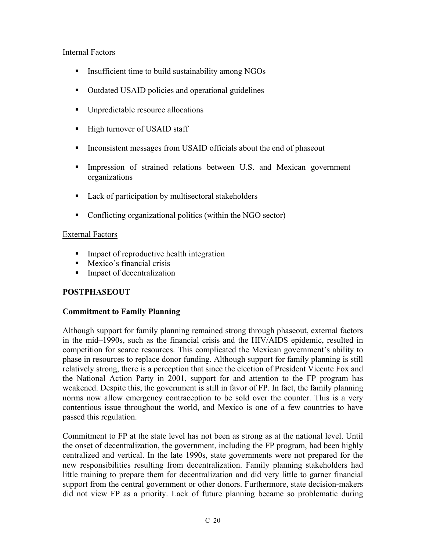## Internal Factors

- Insufficient time to build sustainability among NGOs
- Outdated USAID policies and operational guidelines
- Unpredictable resource allocations
- High turnover of USAID staff
- Inconsistent messages from USAID officials about the end of phaseout
- **Impression of strained relations between U.S. and Mexican government** organizations
- Lack of participation by multisectoral stakeholders
- Conflicting organizational politics (within the NGO sector)

## External Factors

- **Impact of reproductive health integration**
- **Mexico's financial crisis**
- **Impact of decentralization**

# **POSTPHASEOUT**

## **Commitment to Family Planning**

Although support for family planning remained strong through phaseout, external factors in the mid–1990s, such as the financial crisis and the HIV/AIDS epidemic, resulted in competition for scarce resources. This complicated the Mexican government's ability to phase in resources to replace donor funding. Although support for family planning is still relatively strong, there is a perception that since the election of President Vicente Fox and the National Action Party in 2001, support for and attention to the FP program has weakened. Despite this, the government is still in favor of FP. In fact, the family planning norms now allow emergency contraception to be sold over the counter. This is a very contentious issue throughout the world, and Mexico is one of a few countries to have passed this regulation.

Commitment to FP at the state level has not been as strong as at the national level. Until the onset of decentralization, the government, including the FP program, had been highly centralized and vertical. In the late 1990s, state governments were not prepared for the new responsibilities resulting from decentralization. Family planning stakeholders had little training to prepare them for decentralization and did very little to garner financial support from the central government or other donors. Furthermore, state decision-makers did not view FP as a priority. Lack of future planning became so problematic during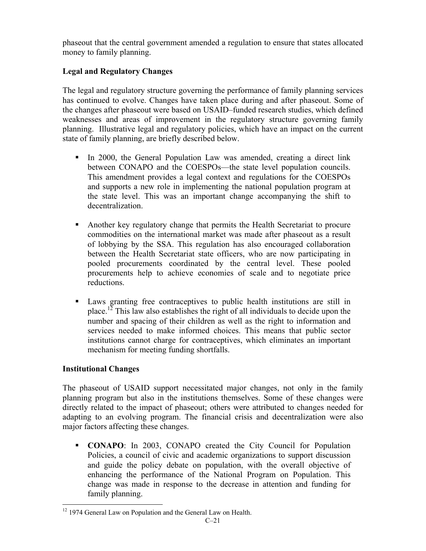phaseout that the central government amended a regulation to ensure that states allocated money to family planning.

# **Legal and Regulatory Changes**

The legal and regulatory structure governing the performance of family planning services has continued to evolve. Changes have taken place during and after phaseout. Some of the changes after phaseout were based on USAID–funded research studies, which defined weaknesses and areas of improvement in the regulatory structure governing family planning. Illustrative legal and regulatory policies, which have an impact on the current state of family planning, are briefly described below.

- In 2000, the General Population Law was amended, creating a direct link between CONAPO and the COESPOs—the state level population councils. This amendment provides a legal context and regulations for the COESPOs and supports a new role in implementing the national population program at the state level. This was an important change accompanying the shift to decentralization.
- Another key regulatory change that permits the Health Secretariat to procure commodities on the international market was made after phaseout as a result of lobbying by the SSA. This regulation has also encouraged collaboration between the Health Secretariat state officers, who are now participating in pooled procurements coordinated by the central level. These pooled procurements help to achieve economies of scale and to negotiate price reductions.
- Laws granting free contraceptives to public health institutions are still in place.<sup>12</sup> This law also establishes the right of all individuals to decide upon the number and spacing of their children as well as the right to information and services needed to make informed choices. This means that public sector institutions cannot charge for contraceptives, which eliminates an important mechanism for meeting funding shortfalls.

## **Institutional Changes**

The phaseout of USAID support necessitated major changes, not only in the family planning program but also in the institutions themselves. Some of these changes were directly related to the impact of phaseout; others were attributed to changes needed for adapting to an evolving program. The financial crisis and decentralization were also major factors affecting these changes.

 **CONAPO**: In 2003, CONAPO created the City Council for Population Policies, a council of civic and academic organizations to support discussion and guide the policy debate on population, with the overall objective of enhancing the performance of the National Program on Population. This change was made in response to the decrease in attention and funding for family planning.

<sup>1</sup> <sup>12</sup> 1974 General Law on Population and the General Law on Health.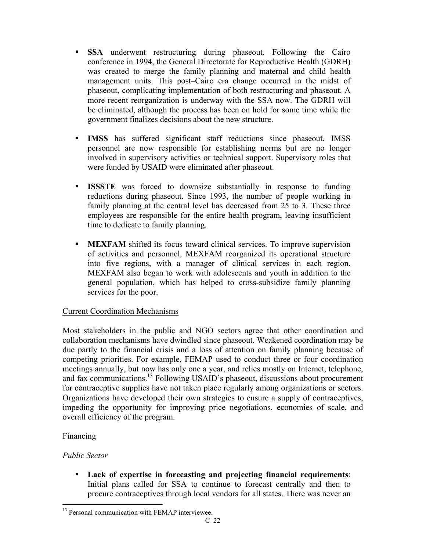- **SSA** underwent restructuring during phaseout. Following the Cairo conference in 1994, the General Directorate for Reproductive Health (GDRH) was created to merge the family planning and maternal and child health management units. This post–Cairo era change occurred in the midst of phaseout, complicating implementation of both restructuring and phaseout. A more recent reorganization is underway with the SSA now. The GDRH will be eliminated, although the process has been on hold for some time while the government finalizes decisions about the new structure.
- **IMSS** has suffered significant staff reductions since phaseout. IMSS personnel are now responsible for establishing norms but are no longer involved in supervisory activities or technical support. Supervisory roles that were funded by USAID were eliminated after phaseout.
- **ISSSTE** was forced to downsize substantially in response to funding reductions during phaseout. Since 1993, the number of people working in family planning at the central level has decreased from 25 to 3. These three employees are responsible for the entire health program, leaving insufficient time to dedicate to family planning.
- **MEXFAM** shifted its focus toward clinical services. To improve supervision of activities and personnel, MEXFAM reorganized its operational structure into five regions, with a manager of clinical services in each region. MEXFAM also began to work with adolescents and youth in addition to the general population, which has helped to cross-subsidize family planning services for the poor.

## Current Coordination Mechanisms

Most stakeholders in the public and NGO sectors agree that other coordination and collaboration mechanisms have dwindled since phaseout. Weakened coordination may be due partly to the financial crisis and a loss of attention on family planning because of competing priorities. For example, FEMAP used to conduct three or four coordination meetings annually, but now has only one a year, and relies mostly on Internet, telephone, and fax communications.13 Following USAID's phaseout, discussions about procurement for contraceptive supplies have not taken place regularly among organizations or sectors. Organizations have developed their own strategies to ensure a supply of contraceptives, impeding the opportunity for improving price negotiations, economies of scale, and overall efficiency of the program.

## Financing

# *Public Sector*

 **Lack of expertise in forecasting and projecting financial requirements**: Initial plans called for SSA to continue to forecast centrally and then to procure contraceptives through local vendors for all states. There was never an

 $\overline{a}$ <sup>13</sup> Personal communication with FEMAP interviewee.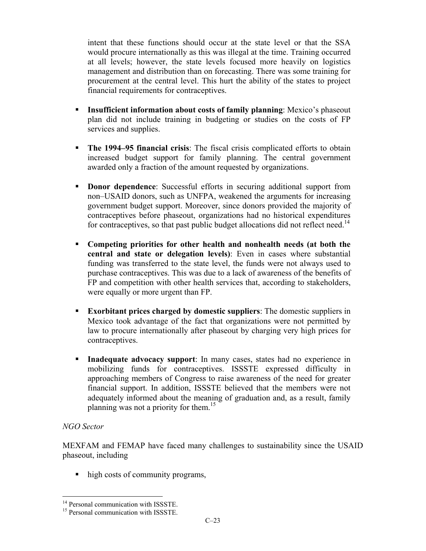intent that these functions should occur at the state level or that the SSA would procure internationally as this was illegal at the time. Training occurred at all levels; however, the state levels focused more heavily on logistics management and distribution than on forecasting. There was some training for procurement at the central level. This hurt the ability of the states to project financial requirements for contraceptives.

- **Insufficient information about costs of family planning**: Mexico's phaseout plan did not include training in budgeting or studies on the costs of FP services and supplies.
- **The 1994–95 financial crisis**: The fiscal crisis complicated efforts to obtain increased budget support for family planning. The central government awarded only a fraction of the amount requested by organizations.
- **Donor dependence**: Successful efforts in securing additional support from non–USAID donors, such as UNFPA, weakened the arguments for increasing government budget support. Moreover, since donors provided the majority of contraceptives before phaseout, organizations had no historical expenditures for contraceptives, so that past public budget allocations did not reflect need.<sup>14</sup>
- **Competing priorities for other health and nonhealth needs (at both the central and state or delegation levels)**: Even in cases where substantial funding was transferred to the state level, the funds were not always used to purchase contraceptives. This was due to a lack of awareness of the benefits of FP and competition with other health services that, according to stakeholders, were equally or more urgent than FP.
- **Exorbitant prices charged by domestic suppliers**: The domestic suppliers in Mexico took advantage of the fact that organizations were not permitted by law to procure internationally after phaseout by charging very high prices for contraceptives.
- **Inadequate advocacy support**: In many cases, states had no experience in mobilizing funds for contraceptives. ISSSTE expressed difficulty in approaching members of Congress to raise awareness of the need for greater financial support. In addition, ISSSTE believed that the members were not adequately informed about the meaning of graduation and, as a result, family planning was not a priority for them.<sup>15</sup>

## *NGO Sector*

1

 MEXFAM and FEMAP have faced many challenges to sustainability since the USAID phaseout, including

• high costs of community programs,

<sup>&</sup>lt;sup>14</sup> Personal communication with ISSSTE.

<sup>&</sup>lt;sup>15</sup> Personal communication with ISSSTE.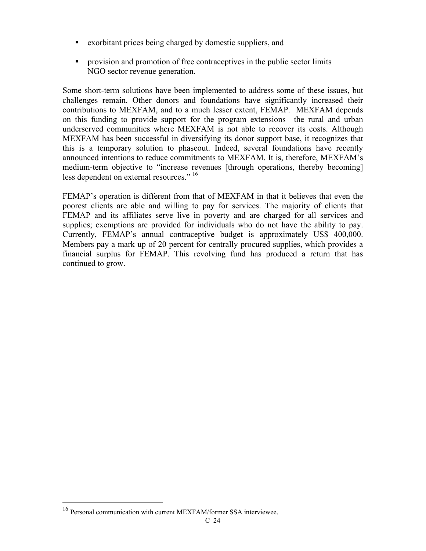- exorbitant prices being charged by domestic suppliers, and
- **•** provision and promotion of free contraceptives in the public sector limits NGO sector revenue generation.

Some short-term solutions have been implemented to address some of these issues, but challenges remain. Other donors and foundations have significantly increased their contributions to MEXFAM, and to a much lesser extent, FEMAP. MEXFAM depends on this funding to provide support for the program extensions—the rural and urban underserved communities where MEXFAM is not able to recover its costs. Although MEXFAM has been successful in diversifying its donor support base, it recognizes that this is a temporary solution to phaseout. Indeed, several foundations have recently announced intentions to reduce commitments to MEXFAM. It is, therefore, MEXFAM's medium-term objective to "increase revenues [through operations, thereby becoming] less dependent on external resources." <sup>16</sup>

FEMAP's operation is different from that of MEXFAM in that it believes that even the poorest clients are able and willing to pay for services. The majority of clients that FEMAP and its affiliates serve live in poverty and are charged for all services and supplies; exemptions are provided for individuals who do not have the ability to pay. Currently, FEMAP's annual contraceptive budget is approximately US\$ 400,000. Members pay a mark up of 20 percent for centrally procured supplies, which provides a financial surplus for FEMAP. This revolving fund has produced a return that has continued to grow.

1

<sup>&</sup>lt;sup>16</sup> Personal communication with current MEXFAM/former SSA interviewee.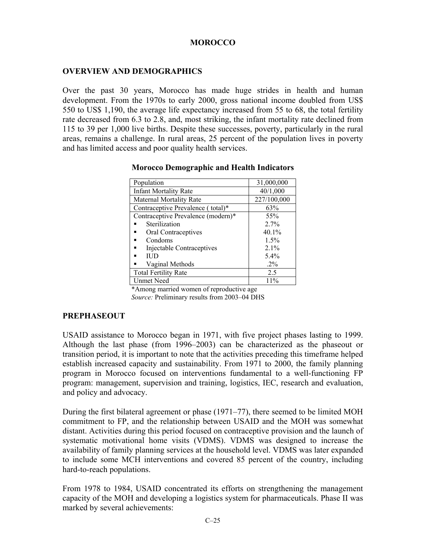# **MOROCCO**

# **OVERVIEW AND DEMOGRAPHICS**

Over the past 30 years, Morocco has made huge strides in health and human development. From the 1970s to early 2000, gross national income doubled from US\$ 550 to US\$ 1,190, the average life expectancy increased from 55 to 68, the total fertility rate decreased from 6.3 to 2.8, and, most striking, the infant mortality rate declined from 115 to 39 per 1,000 live births. Despite these successes, poverty, particularly in the rural areas, remains a challenge. In rural areas, 25 percent of the population lives in poverty and has limited access and poor quality health services.

| Population                         | 31,000,000  |
|------------------------------------|-------------|
| <b>Infant Mortality Rate</b>       | 40/1,000    |
| <b>Maternal Mortality Rate</b>     | 227/100,000 |
| Contraceptive Prevalence (total)*  | 63%         |
| Contraceptive Prevalence (modern)* | 55%         |
| Sterilization                      | 2.7%        |
| Oral Contraceptives                | 40.1%       |
| Condoms                            | 1.5%        |
| Injectable Contraceptives          | $2.1\%$     |
| ПD                                 | 5.4%        |
| Vaginal Methods                    | $.2\%$      |
| <b>Total Fertility Rate</b>        | 2.5         |
| Unmet Need                         | 11%         |

#### **Morocco Demographic and Health Indicators**

\*Among married women of reproductive age *Source:* Preliminary results from 2003–04 DHS

#### **PREPHASEOUT**

USAID assistance to Morocco began in 1971, with five project phases lasting to 1999. Although the last phase (from 1996–2003) can be characterized as the phaseout or transition period, it is important to note that the activities preceding this timeframe helped establish increased capacity and sustainability. From 1971 to 2000, the family planning program in Morocco focused on interventions fundamental to a well-functioning FP program: management, supervision and training, logistics, IEC, research and evaluation, and policy and advocacy.

During the first bilateral agreement or phase (1971–77), there seemed to be limited MOH commitment to FP, and the relationship between USAID and the MOH was somewhat distant. Activities during this period focused on contraceptive provision and the launch of systematic motivational home visits (VDMS). VDMS was designed to increase the availability of family planning services at the household level. VDMS was later expanded to include some MCH interventions and covered 85 percent of the country, including hard-to-reach populations.

From 1978 to 1984, USAID concentrated its efforts on strengthening the management capacity of the MOH and developing a logistics system for pharmaceuticals. Phase II was marked by several achievements: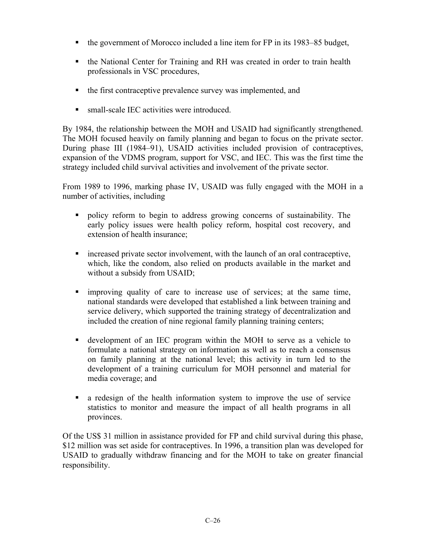- $\blacksquare$  the government of Morocco included a line item for FP in its 1983–85 budget,
- the National Center for Training and RH was created in order to train health professionals in VSC procedures,
- the first contraceptive prevalence survey was implemented, and
- small-scale IEC activities were introduced.

By 1984, the relationship between the MOH and USAID had significantly strengthened. The MOH focused heavily on family planning and began to focus on the private sector. During phase III (1984–91), USAID activities included provision of contraceptives, expansion of the VDMS program, support for VSC, and IEC. This was the first time the strategy included child survival activities and involvement of the private sector.

From 1989 to 1996, marking phase IV, USAID was fully engaged with the MOH in a number of activities, including

- policy reform to begin to address growing concerns of sustainability. The early policy issues were health policy reform, hospital cost recovery, and extension of health insurance;
- increased private sector involvement, with the launch of an oral contraceptive, which, like the condom, also relied on products available in the market and without a subsidy from USAID;
- improving quality of care to increase use of services; at the same time, national standards were developed that established a link between training and service delivery, which supported the training strategy of decentralization and included the creation of nine regional family planning training centers;
- development of an IEC program within the MOH to serve as a vehicle to formulate a national strategy on information as well as to reach a consensus on family planning at the national level; this activity in turn led to the development of a training curriculum for MOH personnel and material for media coverage; and
- a redesign of the health information system to improve the use of service statistics to monitor and measure the impact of all health programs in all provinces.

Of the US\$ 31 million in assistance provided for FP and child survival during this phase, \$12 million was set aside for contraceptives. In 1996, a transition plan was developed for USAID to gradually withdraw financing and for the MOH to take on greater financial responsibility.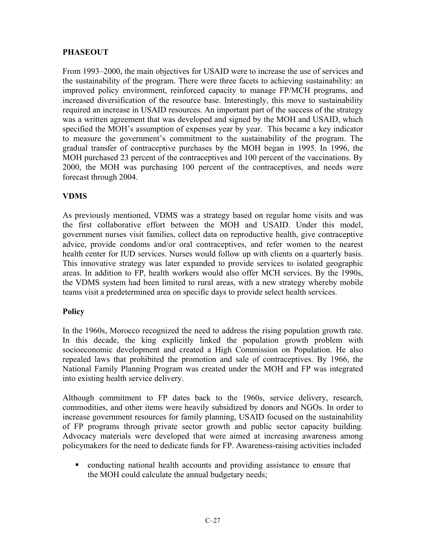# **PHASEOUT**

From 1993–2000, the main objectives for USAID were to increase the use of services and the sustainability of the program. There were three facets to achieving sustainability: an improved policy environment, reinforced capacity to manage FP/MCH programs, and increased diversification of the resource base. Interestingly, this move to sustainability required an increase in USAID resources. An important part of the success of the strategy was a written agreement that was developed and signed by the MOH and USAID, which specified the MOH's assumption of expenses year by year. This became a key indicator to measure the government's commitment to the sustainability of the program. The gradual transfer of contraceptive purchases by the MOH began in 1995. In 1996, the MOH purchased 23 percent of the contraceptives and 100 percent of the vaccinations. By 2000, the MOH was purchasing 100 percent of the contraceptives, and needs were forecast through 2004.

# **VDMS**

As previously mentioned, VDMS was a strategy based on regular home visits and was the first collaborative effort between the MOH and USAID. Under this model, government nurses visit families, collect data on reproductive health, give contraceptive advice, provide condoms and/or oral contraceptives, and refer women to the nearest health center for IUD services. Nurses would follow up with clients on a quarterly basis. This innovative strategy was later expanded to provide services to isolated geographic areas. In addition to FP, health workers would also offer MCH services. By the 1990s, the VDMS system had been limited to rural areas, with a new strategy whereby mobile teams visit a predetermined area on specific days to provide select health services.

# **Policy**

In the 1960s, Morocco recognized the need to address the rising population growth rate. In this decade, the king explicitly linked the population growth problem with socioeconomic development and created a High Commission on Population. He also repealed laws that prohibited the promotion and sale of contraceptives. By 1966, the National Family Planning Program was created under the MOH and FP was integrated into existing health service delivery.

Although commitment to FP dates back to the 1960s, service delivery, research, commodities, and other items were heavily subsidized by donors and NGOs. In order to increase government resources for family planning, USAID focused on the sustainability of FP programs through private sector growth and public sector capacity building. Advocacy materials were developed that were aimed at increasing awareness among policymakers for the need to dedicate funds for FP. Awareness-raising activities included

• conducting national health accounts and providing assistance to ensure that the MOH could calculate the annual budgetary needs;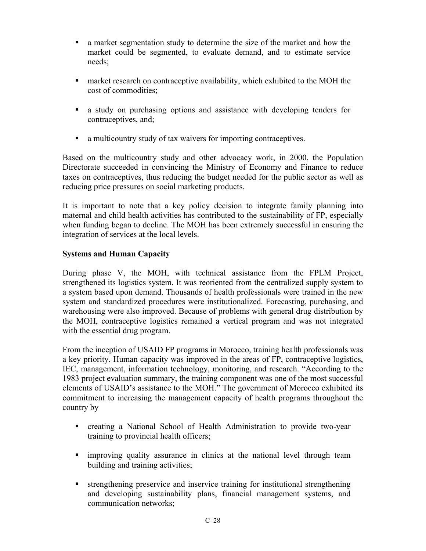- a market segmentation study to determine the size of the market and how the market could be segmented, to evaluate demand, and to estimate service needs;
- **EXECUTE:** market research on contraceptive availability, which exhibited to the MOH the cost of commodities;
- a study on purchasing options and assistance with developing tenders for contraceptives, and;
- a multicountry study of tax waivers for importing contraceptives.

Based on the multicountry study and other advocacy work, in 2000, the Population Directorate succeeded in convincing the Ministry of Economy and Finance to reduce taxes on contraceptives, thus reducing the budget needed for the public sector as well as reducing price pressures on social marketing products.

It is important to note that a key policy decision to integrate family planning into maternal and child health activities has contributed to the sustainability of FP, especially when funding began to decline. The MOH has been extremely successful in ensuring the integration of services at the local levels.

# **Systems and Human Capacity**

During phase V, the MOH, with technical assistance from the FPLM Project, strengthened its logistics system. It was reoriented from the centralized supply system to a system based upon demand. Thousands of health professionals were trained in the new system and standardized procedures were institutionalized. Forecasting, purchasing, and warehousing were also improved. Because of problems with general drug distribution by the MOH, contraceptive logistics remained a vertical program and was not integrated with the essential drug program.

From the inception of USAID FP programs in Morocco, training health professionals was a key priority. Human capacity was improved in the areas of FP, contraceptive logistics, IEC, management, information technology, monitoring, and research. "According to the 1983 project evaluation summary, the training component was one of the most successful elements of USAID's assistance to the MOH." The government of Morocco exhibited its commitment to increasing the management capacity of health programs throughout the country by

- creating a National School of Health Administration to provide two-year training to provincial health officers;
- improving quality assurance in clinics at the national level through team building and training activities;
- strengthening preservice and inservice training for institutional strengthening and developing sustainability plans, financial management systems, and communication networks;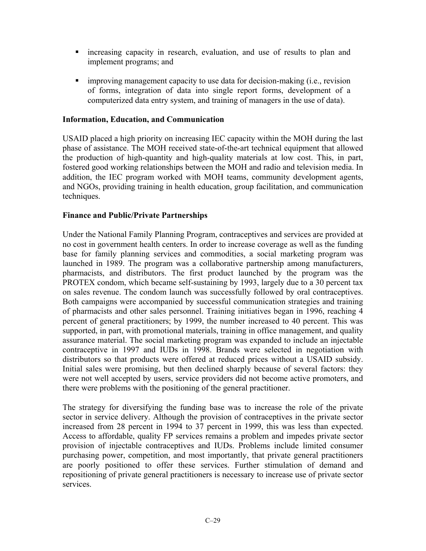- increasing capacity in research, evaluation, and use of results to plan and implement programs; and
- improving management capacity to use data for decision-making (i.e., revision of forms, integration of data into single report forms, development of a computerized data entry system, and training of managers in the use of data).

## **Information, Education, and Communication**

USAID placed a high priority on increasing IEC capacity within the MOH during the last phase of assistance. The MOH received state-of-the-art technical equipment that allowed the production of high-quantity and high-quality materials at low cost. This, in part, fostered good working relationships between the MOH and radio and television media. In addition, the IEC program worked with MOH teams, community development agents, and NGOs, providing training in health education, group facilitation, and communication techniques.

# **Finance and Public/Private Partnerships**

Under the National Family Planning Program, contraceptives and services are provided at no cost in government health centers. In order to increase coverage as well as the funding base for family planning services and commodities, a social marketing program was launched in 1989. The program was a collaborative partnership among manufacturers, pharmacists, and distributors. The first product launched by the program was the PROTEX condom, which became self-sustaining by 1993, largely due to a 30 percent tax on sales revenue. The condom launch was successfully followed by oral contraceptives. Both campaigns were accompanied by successful communication strategies and training of pharmacists and other sales personnel. Training initiatives began in 1996, reaching 4 percent of general practitioners; by 1999, the number increased to 40 percent. This was supported, in part, with promotional materials, training in office management, and quality assurance material. The social marketing program was expanded to include an injectable contraceptive in 1997 and IUDs in 1998. Brands were selected in negotiation with distributors so that products were offered at reduced prices without a USAID subsidy. Initial sales were promising, but then declined sharply because of several factors: they were not well accepted by users, service providers did not become active promoters, and there were problems with the positioning of the general practitioner.

The strategy for diversifying the funding base was to increase the role of the private sector in service delivery. Although the provision of contraceptives in the private sector increased from 28 percent in 1994 to 37 percent in 1999, this was less than expected. Access to affordable, quality FP services remains a problem and impedes private sector provision of injectable contraceptives and IUDs. Problems include limited consumer purchasing power, competition, and most importantly, that private general practitioners are poorly positioned to offer these services. Further stimulation of demand and repositioning of private general practitioners is necessary to increase use of private sector services.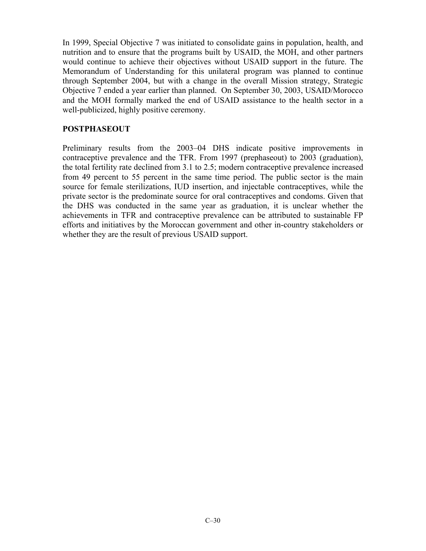In 1999, Special Objective 7 was initiated to consolidate gains in population, health, and nutrition and to ensure that the programs built by USAID, the MOH, and other partners would continue to achieve their objectives without USAID support in the future. The Memorandum of Understanding for this unilateral program was planned to continue through September 2004, but with a change in the overall Mission strategy, Strategic Objective 7 ended a year earlier than planned. On September 30, 2003, USAID/Morocco and the MOH formally marked the end of USAID assistance to the health sector in a well-publicized, highly positive ceremony.

# **POSTPHASEOUT**

Preliminary results from the 2003–04 DHS indicate positive improvements in contraceptive prevalence and the TFR. From 1997 (prephaseout) to 2003 (graduation), the total fertility rate declined from 3.1 to 2.5; modern contraceptive prevalence increased from 49 percent to 55 percent in the same time period. The public sector is the main source for female sterilizations, IUD insertion, and injectable contraceptives, while the private sector is the predominate source for oral contraceptives and condoms. Given that the DHS was conducted in the same year as graduation, it is unclear whether the achievements in TFR and contraceptive prevalence can be attributed to sustainable FP efforts and initiatives by the Moroccan government and other in-country stakeholders or whether they are the result of previous USAID support.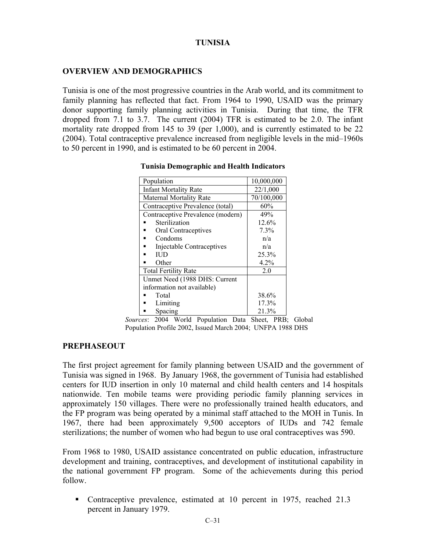# **TUNISIA**

# **OVERVIEW AND DEMOGRAPHICS**

Tunisia is one of the most progressive countries in the Arab world, and its commitment to family planning has reflected that fact. From 1964 to 1990, USAID was the primary donor supporting family planning activities in Tunisia. During that time, the TFR dropped from 7.1 to 3.7. The current (2004) TFR is estimated to be 2.0. The infant mortality rate dropped from 145 to 39 (per 1,000), and is currently estimated to be 22 (2004). Total contraceptive prevalence increased from negligible levels in the mid–1960s to 50 percent in 1990, and is estimated to be 60 percent in 2004.

| Population                        | 10,000,000 |
|-----------------------------------|------------|
| <b>Infant Mortality Rate</b>      | 22/1,000   |
| <b>Maternal Mortality Rate</b>    | 70/100,000 |
| Contraceptive Prevalence (total)  | 60%        |
| Contraceptive Prevalence (modern) | 49%        |
| Sterilization                     | 12.6%      |
| Oral Contraceptives               | 7.3%       |
| Condoms                           | n/a        |
| Injectable Contraceptives         | n/a        |
| IUD.                              | 25.3%      |
| Other                             | 4.2%       |
| <b>Total Fertility Rate</b>       | 2.0        |
| Unmet Need (1988 DHS: Current     |            |
| information not available)        |            |
| Total                             | 38.6%      |
| Limiting                          | 17.3%      |
| Spacing                           | 21.3%      |

#### **Tunisia Demographic and Health Indicators**

*Sources*: 2004 World Population Data Sheet, PRB; Global Population Profile 2002, Issued March 2004; UNFPA 1988 DHS

# **PREPHASEOUT**

The first project agreement for family planning between USAID and the government of Tunisia was signed in 1968. By January 1968, the government of Tunisia had established centers for IUD insertion in only 10 maternal and child health centers and 14 hospitals nationwide. Ten mobile teams were providing periodic family planning services in approximately 150 villages. There were no professionally trained health educators, and the FP program was being operated by a minimal staff attached to the MOH in Tunis. In 1967, there had been approximately 9,500 acceptors of IUDs and 742 female sterilizations; the number of women who had begun to use oral contraceptives was 590.

From 1968 to 1980, USAID assistance concentrated on public education, infrastructure development and training, contraceptives, and development of institutional capability in the national government FP program. Some of the achievements during this period follow.

 Contraceptive prevalence, estimated at 10 percent in 1975, reached 21.3 percent in January 1979.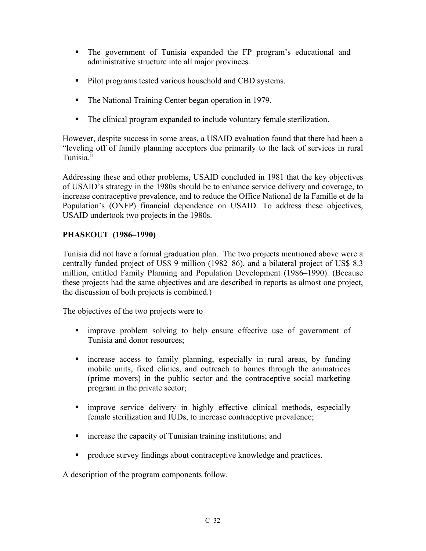- The government of Tunisia expanded the FP program's educational and administrative structure into all major provinces.
- Pilot programs tested various household and CBD systems.
- The National Training Center began operation in 1979.
- The clinical program expanded to include voluntary female sterilization.

However, despite success in some areas, a USAID evaluation found that there had been a "leveling off of family planning acceptors due primarily to the lack of services in rural Tunisia."

Addressing these and other problems, USAID concluded in 1981 that the key objectives of USAID's strategy in the 1980s should be to enhance service delivery and coverage, to increase contraceptive prevalence, and to reduce the Office National de la Famille et de la Population's (ONFP) financial dependence on USAID. To address these objectives, USAID undertook two projects in the 1980s.

# **PHASEOUT (1986–1990)**

Tunisia did not have a formal graduation plan. The two projects mentioned above were a centrally funded project of US\$ 9 million (1982–86), and a bilateral project of US\$ 8.3 million, entitled Family Planning and Population Development (1986–1990). (Because these projects had the same objectives and are described in reports as almost one project, the discussion of both projects is combined.)

The objectives of the two projects were to

- improve problem solving to help ensure effective use of government of Tunisia and donor resources;
- increase access to family planning, especially in rural areas, by funding mobile units, fixed clinics, and outreach to homes through the animatrices (prime movers) in the public sector and the contraceptive social marketing program in the private sector;
- improve service delivery in highly effective clinical methods, especially female sterilization and IUDs, to increase contraceptive prevalence;
- **Example 1** increase the capacity of Tunisian training institutions; and
- **•** produce survey findings about contraceptive knowledge and practices.

A description of the program components follow.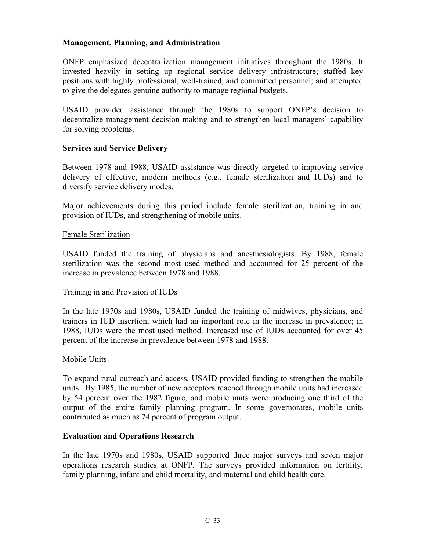# **Management, Planning, and Administration**

ONFP emphasized decentralization management initiatives throughout the 1980s. It invested heavily in setting up regional service delivery infrastructure; staffed key positions with highly professional, well-trained, and committed personnel; and attempted to give the delegates genuine authority to manage regional budgets.

USAID provided assistance through the 1980s to support ONFP's decision to decentralize management decision-making and to strengthen local managers' capability for solving problems.

# **Services and Service Delivery**

Between 1978 and 1988, USAID assistance was directly targeted to improving service delivery of effective, modern methods (e.g., female sterilization and IUDs) and to diversify service delivery modes.

Major achievements during this period include female sterilization, training in and provision of IUDs, and strengthening of mobile units.

#### Female Sterilization

USAID funded the training of physicians and anesthesiologists. By 1988, female sterilization was the second most used method and accounted for 25 percent of the increase in prevalence between 1978 and 1988.

#### Training in and Provision of IUDs

In the late 1970s and 1980s, USAID funded the training of midwives, physicians, and trainers in IUD insertion, which had an important role in the increase in prevalence; in 1988, IUDs were the most used method. Increased use of IUDs accounted for over 45 percent of the increase in prevalence between 1978 and 1988.

#### Mobile Units

To expand rural outreach and access, USAID provided funding to strengthen the mobile units. By 1985, the number of new acceptors reached through mobile units had increased by 54 percent over the 1982 figure, and mobile units were producing one third of the output of the entire family planning program. In some governorates, mobile units contributed as much as 74 percent of program output.

# **Evaluation and Operations Research**

In the late 1970s and 1980s, USAID supported three major surveys and seven major operations research studies at ONFP. The surveys provided information on fertility, family planning, infant and child mortality, and maternal and child health care.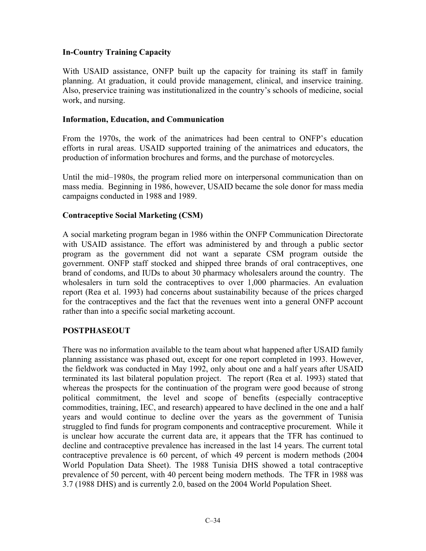# **In-Country Training Capacity**

With USAID assistance, ONFP built up the capacity for training its staff in family planning. At graduation, it could provide management, clinical, and inservice training. Also, preservice training was institutionalized in the country's schools of medicine, social work, and nursing.

# **Information, Education, and Communication**

From the 1970s, the work of the animatrices had been central to ONFP's education efforts in rural areas. USAID supported training of the animatrices and educators, the production of information brochures and forms, and the purchase of motorcycles.

Until the mid–1980s, the program relied more on interpersonal communication than on mass media. Beginning in 1986, however, USAID became the sole donor for mass media campaigns conducted in 1988 and 1989.

# **Contraceptive Social Marketing (CSM)**

A social marketing program began in 1986 within the ONFP Communication Directorate with USAID assistance. The effort was administered by and through a public sector program as the government did not want a separate CSM program outside the government. ONFP staff stocked and shipped three brands of oral contraceptives, one brand of condoms, and IUDs to about 30 pharmacy wholesalers around the country. The wholesalers in turn sold the contraceptives to over 1,000 pharmacies. An evaluation report (Rea et al. 1993) had concerns about sustainability because of the prices charged for the contraceptives and the fact that the revenues went into a general ONFP account rather than into a specific social marketing account.

# **POSTPHASEOUT**

There was no information available to the team about what happened after USAID family planning assistance was phased out, except for one report completed in 1993. However, the fieldwork was conducted in May 1992, only about one and a half years after USAID terminated its last bilateral population project. The report (Rea et al. 1993) stated that whereas the prospects for the continuation of the program were good because of strong political commitment, the level and scope of benefits (especially contraceptive commodities, training, IEC, and research) appeared to have declined in the one and a half years and would continue to decline over the years as the government of Tunisia struggled to find funds for program components and contraceptive procurement. While it is unclear how accurate the current data are, it appears that the TFR has continued to decline and contraceptive prevalence has increased in the last 14 years. The current total contraceptive prevalence is 60 percent, of which 49 percent is modern methods (2004 World Population Data Sheet). The 1988 Tunisia DHS showed a total contraceptive prevalence of 50 percent, with 40 percent being modern methods. The TFR in 1988 was 3.7 (1988 DHS) and is currently 2.0, based on the 2004 World Population Sheet.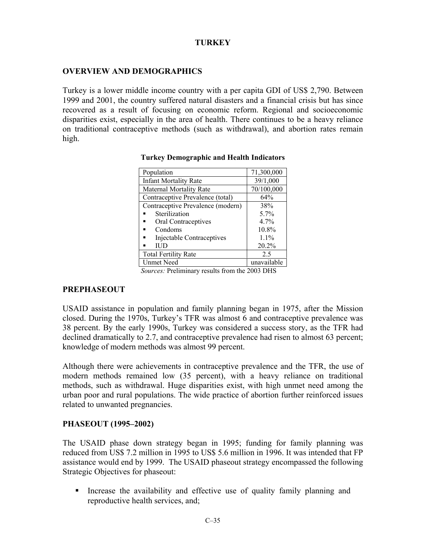# **TURKEY**

## **OVERVIEW AND DEMOGRAPHICS**

Turkey is a lower middle income country with a per capita GDI of US\$ 2,790. Between 1999 and 2001, the country suffered natural disasters and a financial crisis but has since recovered as a result of focusing on economic reform. Regional and socioeconomic disparities exist, especially in the area of health. There continues to be a heavy reliance on traditional contraceptive methods (such as withdrawal), and abortion rates remain high.

| Population                        | 71,300,000  |
|-----------------------------------|-------------|
| <b>Infant Mortality Rate</b>      | 39/1,000    |
| <b>Maternal Mortality Rate</b>    | 70/100,000  |
| Contraceptive Prevalence (total)  | 64%         |
| Contraceptive Prevalence (modern) | 38%         |
| Sterilization                     | $5.7\%$     |
| Oral Contraceptives               | $4.7\%$     |
| Condoms                           | 10.8%       |
| Injectable Contraceptives         | $1.1\%$     |
| IUD.                              | 20.2%       |
| <b>Total Fertility Rate</b>       | 2.5         |
| Unmet Need                        | unavailable |

#### **Turkey Demographic and Health Indicators**

*Sources:* Preliminary results from the 2003 DHS

#### **PREPHASEOUT**

USAID assistance in population and family planning began in 1975, after the Mission closed. During the 1970s, Turkey's TFR was almost 6 and contraceptive prevalence was 38 percent. By the early 1990s, Turkey was considered a success story, as the TFR had declined dramatically to 2.7, and contraceptive prevalence had risen to almost 63 percent; knowledge of modern methods was almost 99 percent.

Although there were achievements in contraceptive prevalence and the TFR, the use of modern methods remained low (35 percent), with a heavy reliance on traditional methods, such as withdrawal. Huge disparities exist, with high unmet need among the urban poor and rural populations. The wide practice of abortion further reinforced issues related to unwanted pregnancies.

#### **PHASEOUT (1995–2002)**

The USAID phase down strategy began in 1995; funding for family planning was reduced from US\$ 7.2 million in 1995 to US\$ 5.6 million in 1996. It was intended that FP assistance would end by 1999. The USAID phaseout strategy encompassed the following Strategic Objectives for phaseout:

 Increase the availability and effective use of quality family planning and reproductive health services, and;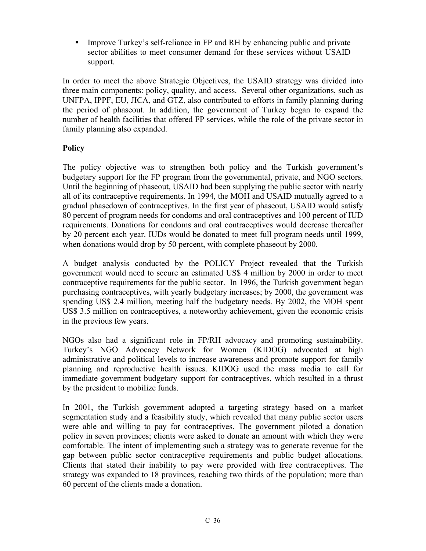Improve Turkey's self-reliance in FP and RH by enhancing public and private sector abilities to meet consumer demand for these services without USAID support.

In order to meet the above Strategic Objectives, the USAID strategy was divided into three main components: policy, quality, and access. Several other organizations, such as UNFPA, IPPF, EU, JICA, and GTZ, also contributed to efforts in family planning during the period of phaseout. In addition, the government of Turkey began to expand the number of health facilities that offered FP services, while the role of the private sector in family planning also expanded.

# **Policy**

The policy objective was to strengthen both policy and the Turkish government's budgetary support for the FP program from the governmental, private, and NGO sectors. Until the beginning of phaseout, USAID had been supplying the public sector with nearly all of its contraceptive requirements. In 1994, the MOH and USAID mutually agreed to a gradual phasedown of contraceptives. In the first year of phaseout, USAID would satisfy 80 percent of program needs for condoms and oral contraceptives and 100 percent of IUD requirements. Donations for condoms and oral contraceptives would decrease thereafter by 20 percent each year. IUDs would be donated to meet full program needs until 1999, when donations would drop by 50 percent, with complete phaseout by 2000.

A budget analysis conducted by the POLICY Project revealed that the Turkish government would need to secure an estimated US\$ 4 million by 2000 in order to meet contraceptive requirements for the public sector. In 1996, the Turkish government began purchasing contraceptives, with yearly budgetary increases; by 2000, the government was spending US\$ 2.4 million, meeting half the budgetary needs. By 2002, the MOH spent US\$ 3.5 million on contraceptives, a noteworthy achievement, given the economic crisis in the previous few years.

NGOs also had a significant role in FP/RH advocacy and promoting sustainability. Turkey's NGO Advocacy Network for Women (KIDOG) advocated at high administrative and political levels to increase awareness and promote support for family planning and reproductive health issues. KIDOG used the mass media to call for immediate government budgetary support for contraceptives, which resulted in a thrust by the president to mobilize funds.

In 2001, the Turkish government adopted a targeting strategy based on a market segmentation study and a feasibility study, which revealed that many public sector users were able and willing to pay for contraceptives. The government piloted a donation policy in seven provinces; clients were asked to donate an amount with which they were comfortable. The intent of implementing such a strategy was to generate revenue for the gap between public sector contraceptive requirements and public budget allocations. Clients that stated their inability to pay were provided with free contraceptives. The strategy was expanded to 18 provinces, reaching two thirds of the population; more than 60 percent of the clients made a donation.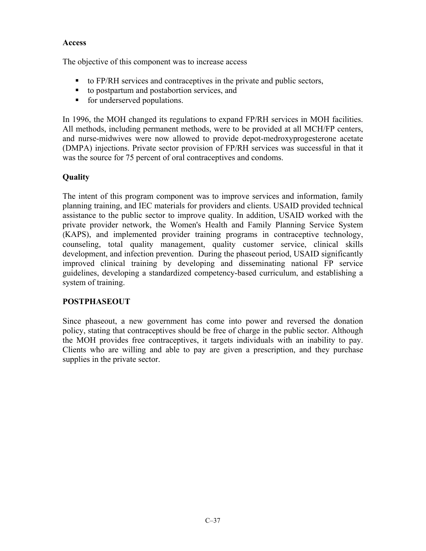# **Access**

The objective of this component was to increase access

- $\bullet$  to FP/RH services and contraceptives in the private and public sectors,
- to postpartum and postabortion services, and
- **for underserved populations.**

In 1996, the MOH changed its regulations to expand FP/RH services in MOH facilities. All methods, including permanent methods, were to be provided at all MCH/FP centers, and nurse-midwives were now allowed to provide depot-medroxyprogesterone acetate (DMPA) injections. Private sector provision of FP/RH services was successful in that it was the source for 75 percent of oral contraceptives and condoms.

# **Quality**

The intent of this program component was to improve services and information, family planning training, and IEC materials for providers and clients. USAID provided technical assistance to the public sector to improve quality. In addition, USAID worked with the private provider network, the Women's Health and Family Planning Service System (KAPS), and implemented provider training programs in contraceptive technology, counseling, total quality management, quality customer service, clinical skills development, and infection prevention. During the phaseout period, USAID significantly improved clinical training by developing and disseminating national FP service guidelines, developing a standardized competency-based curriculum, and establishing a system of training.

# **POSTPHASEOUT**

Since phaseout, a new government has come into power and reversed the donation policy, stating that contraceptives should be free of charge in the public sector. Although the MOH provides free contraceptives, it targets individuals with an inability to pay. Clients who are willing and able to pay are given a prescription, and they purchase supplies in the private sector.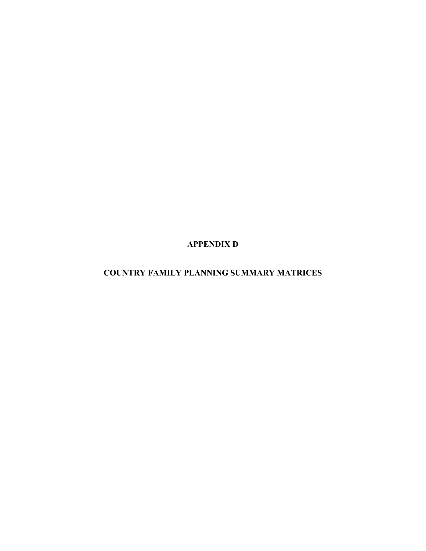**APPENDIX D** 

**COUNTRY FAMILY PLANNING SUMMARY MATRICES**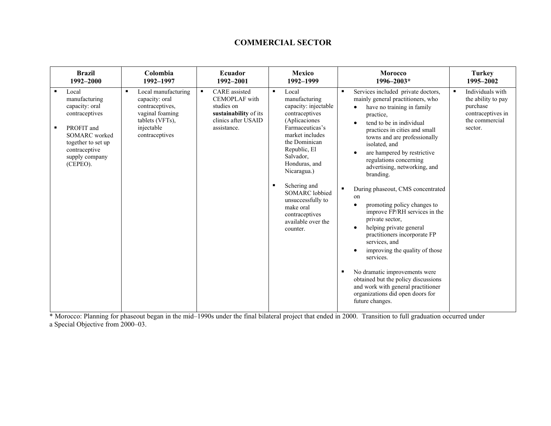#### **COMMERCIAL SECTOR**

| <b>Brazil</b>                                                                                                                                                              | Colombia                                                                                                                            | Ecuador                                                                                                                                     | <b>Mexico</b>                                                                                                                                                                                                                                                                                                                                                            | <b>Morocco</b>                                                                                                                                                                                                                                                                                                                                                                                                                                                                                                                                                                                                                                                                                                                                                       | <b>Turkey</b>                                                                                        |
|----------------------------------------------------------------------------------------------------------------------------------------------------------------------------|-------------------------------------------------------------------------------------------------------------------------------------|---------------------------------------------------------------------------------------------------------------------------------------------|--------------------------------------------------------------------------------------------------------------------------------------------------------------------------------------------------------------------------------------------------------------------------------------------------------------------------------------------------------------------------|----------------------------------------------------------------------------------------------------------------------------------------------------------------------------------------------------------------------------------------------------------------------------------------------------------------------------------------------------------------------------------------------------------------------------------------------------------------------------------------------------------------------------------------------------------------------------------------------------------------------------------------------------------------------------------------------------------------------------------------------------------------------|------------------------------------------------------------------------------------------------------|
| 1992-2000                                                                                                                                                                  | 1992-1997                                                                                                                           | 1992-2001                                                                                                                                   | 1992-1999                                                                                                                                                                                                                                                                                                                                                                | 1996-2003*                                                                                                                                                                                                                                                                                                                                                                                                                                                                                                                                                                                                                                                                                                                                                           | 1995-2002                                                                                            |
| Local<br>manufacturing<br>capacity: oral<br>contraceptives<br>PROFIT and<br>٠<br><b>SOMARC</b> worked<br>together to set up<br>contraceptive<br>supply company<br>(CEPEO). | Local manufacturing<br>٠<br>capacity: oral<br>contraceptives,<br>vaginal foaming<br>tablets (VFTs),<br>injectable<br>contraceptives | <b>CARE</b> assisted<br>$\blacksquare$<br><b>CEMOPLAF</b> with<br>studies on<br>sustainability of its<br>clinics after USAID<br>assistance. | Local<br>$\blacksquare$<br>manufacturing<br>capacity: injectable<br>contraceptives<br>(Aplicaciones<br>Farmaceuticas's<br>market includes<br>the Dominican<br>Republic, El<br>Salvador,<br>Honduras, and<br>Nicaragua.)<br>Schering and<br>$\blacksquare$<br><b>SOMARC</b> lobbied<br>unsuccessfully to<br>make oral<br>contraceptives<br>available over the<br>counter. | Services included private doctors,<br>mainly general practitioners, who<br>have no training in family<br>practice,<br>tend to be in individual<br>practices in cities and small<br>towns and are professionally<br>isolated, and<br>are hampered by restrictive<br>regulations concerning<br>advertising, networking, and<br>branding.<br>During phaseout, CMS concentrated<br>on<br>promoting policy changes to<br>improve FP/RH services in the<br>private sector,<br>helping private general<br>practitioners incorporate FP<br>services, and<br>improving the quality of those<br>services.<br>No dramatic improvements were<br>obtained but the policy discussions<br>and work with general practitioner<br>organizations did open doors for<br>future changes. | Individuals with<br>the ability to pay<br>purchase<br>contraceptives in<br>the commercial<br>sector. |

\* Morocco: Planning for phaseout began in the mid–1990s under the final bilateral project that ended in 2000. Transition to full graduation occurred under a Special Objective from 2000–03.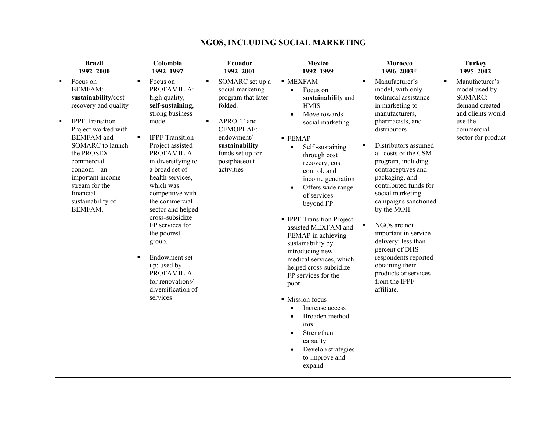| <b>Brazil</b>                                                                                                                                                                                                                                                                                                            | Colombia                                                                                                                                                                                                                                                                                                                                                                                                                                                                                                      | Ecuador                                                                                                                                                                                                               | <b>Mexico</b>                                                                                                                                                                                                                                                                                                                                                                                                                                                                                                                                                                                                                                                                                         | Morocco                                                                                                                                                                                                                                                                                                                                                                                                                                                                                                                                                                          | <b>Turkey</b>                                                                                                                                      |
|--------------------------------------------------------------------------------------------------------------------------------------------------------------------------------------------------------------------------------------------------------------------------------------------------------------------------|---------------------------------------------------------------------------------------------------------------------------------------------------------------------------------------------------------------------------------------------------------------------------------------------------------------------------------------------------------------------------------------------------------------------------------------------------------------------------------------------------------------|-----------------------------------------------------------------------------------------------------------------------------------------------------------------------------------------------------------------------|-------------------------------------------------------------------------------------------------------------------------------------------------------------------------------------------------------------------------------------------------------------------------------------------------------------------------------------------------------------------------------------------------------------------------------------------------------------------------------------------------------------------------------------------------------------------------------------------------------------------------------------------------------------------------------------------------------|----------------------------------------------------------------------------------------------------------------------------------------------------------------------------------------------------------------------------------------------------------------------------------------------------------------------------------------------------------------------------------------------------------------------------------------------------------------------------------------------------------------------------------------------------------------------------------|----------------------------------------------------------------------------------------------------------------------------------------------------|
| 1992-2000                                                                                                                                                                                                                                                                                                                | 1992-1997                                                                                                                                                                                                                                                                                                                                                                                                                                                                                                     | 1992-2001                                                                                                                                                                                                             | 1992-1999                                                                                                                                                                                                                                                                                                                                                                                                                                                                                                                                                                                                                                                                                             | 1996-2003*                                                                                                                                                                                                                                                                                                                                                                                                                                                                                                                                                                       | 1995-2002                                                                                                                                          |
| Focus on<br><b>BEMFAM:</b><br>sustainability/cost<br>recovery and quality<br><b>IPPF</b> Transition<br>$\blacksquare$<br>Project worked with<br><b>BEMFAM</b> and<br><b>SOMARC</b> to launch<br>the PROSEX<br>commercial<br>condom—an<br>important income<br>stream for the<br>financial<br>sustainability of<br>BEMFAM. | Focus on<br>$\blacksquare$<br>PROFAMILIA:<br>high quality,<br>self-sustaining,<br>strong business<br>model<br><b>IPPF</b> Transition<br>$\blacksquare$<br>Project assisted<br><b>PROFAMILIA</b><br>in diversifying to<br>a broad set of<br>health services,<br>which was<br>competitive with<br>the commercial<br>sector and helped<br>cross-subsidize<br>FP services for<br>the poorest<br>group.<br>Endowment set<br>up; used by<br><b>PROFAMILIA</b><br>for renovations/<br>diversification of<br>services | SOMARC set up a<br>$\blacksquare$<br>social marketing<br>program that later<br>folded.<br>APROFE and<br>$\blacksquare$<br>CEMOPLAF:<br>endowment/<br>sustainability<br>funds set up for<br>postphaseout<br>activities | <b>MEXFAM</b><br>Focus on<br>$\bullet$<br>sustainability and<br><b>HMIS</b><br>Move towards<br>$\bullet$<br>social marketing<br>$\blacksquare$ FEMAP<br>Self-sustaining<br>$\bullet$<br>through cost<br>recovery, cost<br>control, and<br>income generation<br>Offers wide range<br>of services<br>beyond FP<br>• IPPF Transition Project<br>assisted MEXFAM and<br>FEMAP in achieving<br>sustainability by<br>introducing new<br>medical services, which<br>helped cross-subsidize<br>FP services for the<br>poor.<br>• Mission focus<br>Increase access<br>$\bullet$<br>Broaden method<br>$\bullet$<br>mix<br>Strengthen<br>$\bullet$<br>capacity<br>Develop strategies<br>to improve and<br>expand | Manufacturer's<br>$\blacksquare$<br>model, with only<br>technical assistance<br>in marketing to<br>manufacturers,<br>pharmacists, and<br>distributors<br>$\blacksquare$<br>Distributors assumed<br>all costs of the CSM<br>program, including<br>contraceptives and<br>packaging, and<br>contributed funds for<br>social marketing<br>campaigns sanctioned<br>by the MOH.<br>$\blacksquare$<br>NGOs are not<br>important in service<br>delivery: less than 1<br>percent of DHS<br>respondents reported<br>obtaining their<br>products or services<br>from the IPPF<br>affiliate. | Manufacturer's<br>$\blacksquare$<br>model used by<br>SOMARC:<br>demand created<br>and clients would<br>use the<br>commercial<br>sector for product |

# **NGOS, INCLUDING SOCIAL MARKETING**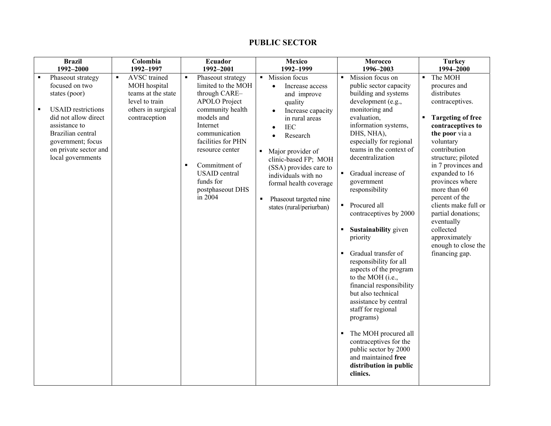#### **PUBLIC SECTOR**

| <b>Brazil</b>                                                                                                                                                                                                      | Colombia                                                                                                                      | Ecuador                                                                                                                                                                                                                                                                                                           | <b>Mexico</b>                                                                                                                                                                                                                                                                                                                                                                | Morocco                                                                                                                                                                                                                                                                                                                                                                                                                                                                                                                                                                                                                                                                                                                                                                                                                  | <b>Turkey</b>                                                                                                                                                                                                                                                                                                                                                                                                                     |
|--------------------------------------------------------------------------------------------------------------------------------------------------------------------------------------------------------------------|-------------------------------------------------------------------------------------------------------------------------------|-------------------------------------------------------------------------------------------------------------------------------------------------------------------------------------------------------------------------------------------------------------------------------------------------------------------|------------------------------------------------------------------------------------------------------------------------------------------------------------------------------------------------------------------------------------------------------------------------------------------------------------------------------------------------------------------------------|--------------------------------------------------------------------------------------------------------------------------------------------------------------------------------------------------------------------------------------------------------------------------------------------------------------------------------------------------------------------------------------------------------------------------------------------------------------------------------------------------------------------------------------------------------------------------------------------------------------------------------------------------------------------------------------------------------------------------------------------------------------------------------------------------------------------------|-----------------------------------------------------------------------------------------------------------------------------------------------------------------------------------------------------------------------------------------------------------------------------------------------------------------------------------------------------------------------------------------------------------------------------------|
| 1992-2000                                                                                                                                                                                                          | 1992-1997                                                                                                                     | 1992-2001                                                                                                                                                                                                                                                                                                         | 1992-1999                                                                                                                                                                                                                                                                                                                                                                    | 1996-2003                                                                                                                                                                                                                                                                                                                                                                                                                                                                                                                                                                                                                                                                                                                                                                                                                | 1994-2000                                                                                                                                                                                                                                                                                                                                                                                                                         |
| Phaseout strategy<br>focused on two<br>states (poor)<br><b>USAID</b> restrictions<br>did not allow direct<br>assistance to<br>Brazilian central<br>government; focus<br>on private sector and<br>local governments | AVSC trained<br>$\blacksquare$<br>MOH hospital<br>teams at the state<br>level to train<br>others in surgical<br>contraception | Phaseout strategy<br>$\blacksquare$<br>limited to the MOH<br>through CARE-<br><b>APOLO</b> Project<br>community health<br>models and<br>Internet<br>communication<br>facilities for PHN<br>resource center<br>Commitment of<br>$\blacksquare$<br><b>USAID</b> central<br>funds for<br>postphaseout DHS<br>in 2004 | Mission focus<br>$\blacksquare$<br>Increase access<br>$\bullet$<br>and improve<br>quality<br>Increase capacity<br>in rural areas<br><b>IEC</b><br>Research<br>Major provider of<br>$\blacksquare$<br>clinic-based FP; MOH<br>(SSA) provides care to<br>individuals with no<br>formal health coverage<br>Phaseout targeted nine<br>$\blacksquare$<br>states (rural/periurban) | Mission focus on<br>$\blacksquare$<br>public sector capacity<br>building and systems<br>development (e.g.,<br>monitoring and<br>evaluation,<br>information systems,<br>DHS, NHA),<br>especially for regional<br>teams in the context of<br>decentralization<br>Gradual increase of<br>$\blacksquare$<br>government<br>responsibility<br>Procured all<br>$\blacksquare$<br>contraceptives by 2000<br><b>Sustainability</b> given<br>$\blacksquare$<br>priority<br>Gradual transfer of<br>responsibility for all<br>aspects of the program<br>to the MOH (i.e.,<br>financial responsibility<br>but also technical<br>assistance by central<br>staff for regional<br>programs)<br>The MOH procured all<br>٠<br>contraceptives for the<br>public sector by 2000<br>and maintained free<br>distribution in public<br>clinics. | The MOH<br>$\blacksquare$<br>procures and<br>distributes<br>contraceptives.<br><b>Targeting of free</b><br>contraceptives to<br>the poor via a<br>voluntary<br>contribution<br>structure; piloted<br>in 7 provinces and<br>expanded to 16<br>provinces where<br>more than 60<br>percent of the<br>clients make full or<br>partial donations;<br>eventually<br>collected<br>approximately<br>enough to close the<br>financing gap. |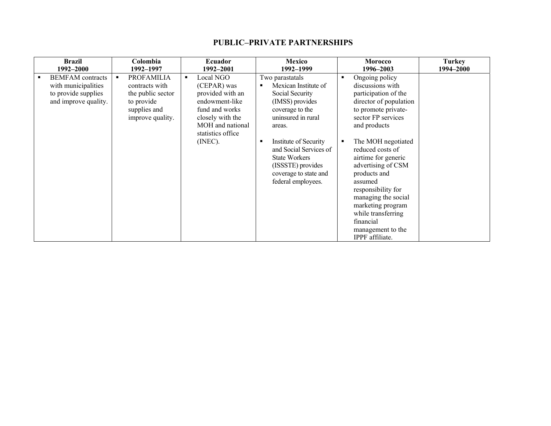#### **PUBLIC–PRIVATE PARTNERSHIPS**

|   | <b>Brazil</b><br>1992–2000                                                                    | Colombia<br>1992-1997 |                                                                                                            |   | Ecuador<br>1992-2001                                                                                                                                     |                | <b>Mexico</b><br>1992-1999                                                                                                                                                                                                                                                      | <b>Morocco</b><br>1996-2003 |                                                                                                                                                                                                                                                                                                                                                                                                                         | <b>Turkey</b><br>1994–2000 |
|---|-----------------------------------------------------------------------------------------------|-----------------------|------------------------------------------------------------------------------------------------------------|---|----------------------------------------------------------------------------------------------------------------------------------------------------------|----------------|---------------------------------------------------------------------------------------------------------------------------------------------------------------------------------------------------------------------------------------------------------------------------------|-----------------------------|-------------------------------------------------------------------------------------------------------------------------------------------------------------------------------------------------------------------------------------------------------------------------------------------------------------------------------------------------------------------------------------------------------------------------|----------------------------|
| п | <b>BEMFAM</b> contracts<br>with municipalities<br>to provide supplies<br>and improve quality. |                       | <b>PROFAMILIA</b><br>contracts with<br>the public sector<br>to provide<br>supplies and<br>improve quality. | ٠ | Local NGO<br>(CEPAR) was<br>provided with an<br>endowment-like<br>fund and works<br>closely with the<br>MOH and national<br>statistics office<br>(INEC). | $\blacksquare$ | Two parastatals<br>Mexican Institute of<br>Social Security<br>(IMSS) provides<br>coverage to the<br>uninsured in rural<br>areas.<br>Institute of Security<br>and Social Services of<br><b>State Workers</b><br>(ISSSTE) provides<br>coverage to state and<br>federal employees. | п<br>п                      | Ongoing policy<br>discussions with<br>participation of the<br>director of population<br>to promote private-<br>sector FP services<br>and products<br>The MOH negotiated<br>reduced costs of<br>airtime for generic<br>advertising of CSM<br>products and<br>assumed<br>responsibility for<br>managing the social<br>marketing program<br>while transferring<br>financial<br>management to the<br><b>IPPF</b> affiliate. |                            |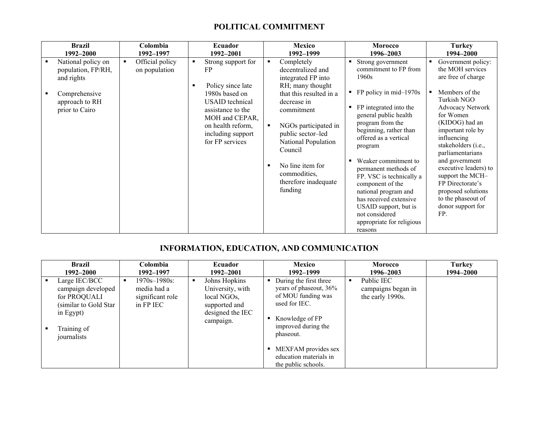# **POLITICAL COMMITMENT**

| <b>Brazil</b>                                                                                                                 | Colombia                         | Ecuador                                                                                                                                                                                | Mexico                                                                                                                                                                                                                                                                                            | <b>Morocco</b>                                                                                                                                                                                                                                                                                                                                                                                                                                                                   | <b>Turkey</b>                                                                                                                                                                                                                                                                                                                                                                                       |
|-------------------------------------------------------------------------------------------------------------------------------|----------------------------------|----------------------------------------------------------------------------------------------------------------------------------------------------------------------------------------|---------------------------------------------------------------------------------------------------------------------------------------------------------------------------------------------------------------------------------------------------------------------------------------------------|----------------------------------------------------------------------------------------------------------------------------------------------------------------------------------------------------------------------------------------------------------------------------------------------------------------------------------------------------------------------------------------------------------------------------------------------------------------------------------|-----------------------------------------------------------------------------------------------------------------------------------------------------------------------------------------------------------------------------------------------------------------------------------------------------------------------------------------------------------------------------------------------------|
| 1992–2000                                                                                                                     | 1992–1997                        | 1992-2001                                                                                                                                                                              | 1992–1999                                                                                                                                                                                                                                                                                         | 1996–2003                                                                                                                                                                                                                                                                                                                                                                                                                                                                        | 1994-2000                                                                                                                                                                                                                                                                                                                                                                                           |
| National policy on<br>$\blacksquare$<br>population, FP/RH,<br>and rights<br>Comprehensive<br>approach to RH<br>prior to Cairo | Official policy<br>on population | Strong support for<br>FP<br>Policy since late<br>1980s based on<br>USAID technical<br>assistance to the<br>MOH and CEPAR,<br>on health reform,<br>including support<br>for FP services | Completely<br>٠<br>decentralized and<br>integrated FP into<br>RH; many thought<br>that this resulted in a<br>decrease in<br>commitment<br>NGOs participated in<br>public sector-led<br>National Population<br>Council<br>No line item for<br>п<br>commodities,<br>therefore inadequate<br>funding | Strong government<br>commitment to FP from<br>1960s<br>$\blacksquare$ FP policy in mid-1970s<br>FP integrated into the<br>٠<br>general public health<br>program from the<br>beginning, rather than<br>offered as a vertical<br>program<br>Weaker commitment to<br>٠<br>permanent methods of<br>FP. VSC is technically a<br>component of the<br>national program and<br>has received extensive<br>USAID support, but is<br>not considered<br>appropriate for religious<br>reasons | Government policy:<br>the MOH services<br>are free of charge<br>Members of the<br>Turkish NGO<br>Advocacy Network<br>for Women<br>(KIDOG) had an<br>important role by<br>influencing<br>stakeholders ( <i>i.e.</i> ,<br>parliamentarians<br>and government<br>executive leaders) to<br>support the MCH-<br>FP Directorate's<br>proposed solutions<br>to the phaseout of<br>donor support for<br>FP. |

# **INFORMATION, EDUCATION, AND COMMUNICATION**

| Brazil<br>1992–2000                                                                                                      | Colombia<br>1992–1997                                             | Ecuador<br>1992–2001                                                                               | Mexico<br>1992–1999                                                                                                                            |   | <b>Morocco</b><br>1996–2003                          | <b>Turkey</b><br>1994–2000 |
|--------------------------------------------------------------------------------------------------------------------------|-------------------------------------------------------------------|----------------------------------------------------------------------------------------------------|------------------------------------------------------------------------------------------------------------------------------------------------|---|------------------------------------------------------|----------------------------|
| Large IEC/BCC<br>campaign developed<br>for PROQUALI<br>(similar to Gold Star)<br>in Egypt)<br>Training of<br>journalists | $1970s - 1980s$ :<br>media had a<br>significant role<br>in FP IEC | Johns Hopkins<br>University, with<br>local NGOs,<br>supported and<br>designed the IEC<br>campaign. | During the first three<br>years of phaseout, 36%<br>of MOU funding was<br>used for IEC.<br>Knowledge of FP<br>improved during the<br>phaseout. | п | Public IEC<br>campaigns began in<br>the early 1990s. |                            |
|                                                                                                                          |                                                                   |                                                                                                    | MEXFAM provides sex<br>education materials in<br>the public schools.                                                                           |   |                                                      |                            |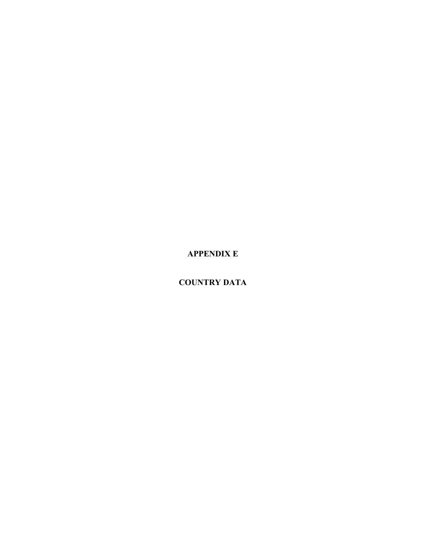**APPENDIX E** 

**COUNTRY DATA**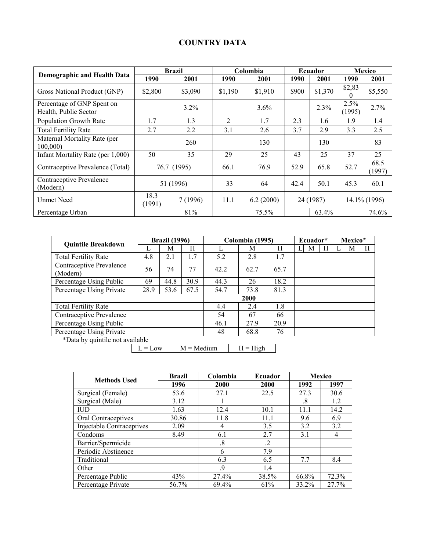# **COUNTRY DATA**

|                                                     |                | <b>Brazil</b> |                | Colombia               |       | Ecuador | <b>Mexico</b>      |                |  |
|-----------------------------------------------------|----------------|---------------|----------------|------------------------|-------|---------|--------------------|----------------|--|
| <b>Demographic and Health Data</b>                  | 1990           | 2001          | 1990           | 2001                   | 1990  | 2001    | 1990               | 2001           |  |
| Gross National Product (GNP)                        | \$2,800        | \$3,090       | \$1,190        | \$1,910                | \$900 | \$1,370 | \$2,83<br>$\Omega$ | \$5,550        |  |
| Percentage of GNP Spent on<br>Health, Public Sector |                | 3.2%          |                | 3.6%                   |       | 2.3%    | 2.5%<br>(1995)     | 2.7%           |  |
| Population Growth Rate                              | 1.7            | 1.3           | $\overline{2}$ | 1.7                    | 2.3   | 1.6     | 1.9                | 1.4            |  |
| <b>Total Fertility Rate</b>                         | 2.7            | 2.2           | 3.1            | 2.6                    | 3.7   | 2.9     | 3.3                | 2.5            |  |
| Maternal Mortality Rate (per<br>100,000             |                | 260           |                | 130                    |       | 130     |                    | 83             |  |
| Infant Mortality Rate (per 1,000)                   | 50             | 35            | 29             | 25                     | 43    | 25      | 37                 | 25             |  |
| Contraceptive Prevalence (Total)                    |                | 76.7 (1995)   | 66.1           | 76.9                   | 52.9  | 65.8    | 52.7               | 68.5<br>(1997) |  |
| Contraceptive Prevalence<br>(Modern)                | 51 (1996)      |               | 33             | 64                     | 42.4  | 50.1    | 45.3               | 60.1           |  |
| <b>Unmet Need</b>                                   | 18.3<br>(1991) | 7 (1996)      | 11.1           | 6.2(2000)<br>24 (1987) |       |         |                    | 14.1% (1996)   |  |
| Percentage Urban                                    |                | 81%           |                | 75.5%                  |       | 63.4%   |                    | 74.6%          |  |

| <b>Quintile Breakdown</b>            |      | <b>Brazil</b> (1996) |      | Colombia (1995) |             |      |   | Ecuador* |   |  | Mexico* |   |  |
|--------------------------------------|------|----------------------|------|-----------------|-------------|------|---|----------|---|--|---------|---|--|
|                                      | L    | М                    | Н    |                 | М           | H    | L | М        | Η |  | М       | Н |  |
| <b>Total Fertility Rate</b>          | 4.8  | 2.1                  | 1.7  | 5.2             | 2.8         | 1.7  |   |          |   |  |         |   |  |
| Contraceptive Prevalence<br>(Modern) | 56   | 74                   | 77   | 42.2            | 62.7        | 65.7 |   |          |   |  |         |   |  |
| Percentage Using Public              | 69   | 44.8                 | 30.9 | 44.3            | 26          | 18.2 |   |          |   |  |         |   |  |
| Percentage Using Private             | 28.9 | 53.6                 | 67.5 | 54.7            | 73.8        | 81.3 |   |          |   |  |         |   |  |
|                                      |      |                      |      |                 | <b>2000</b> |      |   |          |   |  |         |   |  |
| <b>Total Fertility Rate</b>          |      |                      |      | 4.4             | 2.4         | 1.8  |   |          |   |  |         |   |  |
| Contraceptive Prevalence             |      |                      |      | 54              | 67          | 66   |   |          |   |  |         |   |  |
| Percentage Using Public              |      |                      |      | 46.1            | 27.9        | 20.9 |   |          |   |  |         |   |  |
| Percentage Using Private             |      |                      |      | 48              | 68.8        | 76   |   |          |   |  |         |   |  |
| *Data by quintile not available      |      |                      |      |                 |             |      |   |          |   |  |         |   |  |

\*Data by quintile not available

 $M = \text{Median}$   $H = \text{High}$ 

| <b>Methods Used</b>              | <b>Brazil</b> | Colombia | Ecuador | <b>Mexico</b> |       |  |  |
|----------------------------------|---------------|----------|---------|---------------|-------|--|--|
|                                  | 1996          | 2000     | 2000    | 1992          | 1997  |  |  |
| Surgical (Female)                | 53.6          | 27.1     | 22.5    | 27.3          | 30.6  |  |  |
| Surgical (Male)                  | 3.12          |          |         | .8            | 1.2   |  |  |
| IUD                              | 1.63          | 12.4     | 10.1    | 11.1          | 14.2  |  |  |
| Oral Contraceptives              | 30.86         | 11.8     | 11.1    | 9.6           | 6.9   |  |  |
| <b>Injectable Contraceptives</b> | 2.09          | 4        | 3.5     | 3.2           | 3.2   |  |  |
| Condoms                          | 8.49          | 6.1      | 2.7     | 3.1           | 4     |  |  |
| Barrier/Spermicide               |               | .8       | $\cdot$ |               |       |  |  |
| Periodic Abstinence              |               | 6        | 7.9     |               |       |  |  |
| Traditional                      |               | 6.3      | 6.5     | 7.7           | 8.4   |  |  |
| Other                            |               | .9       | 1.4     |               |       |  |  |
| Percentage Public                | 43%           | 27.4%    | 38.5%   | 66.8%         | 72.3% |  |  |
| Percentage Private               | 56.7%         | 69.4%    | 61%     | 33.2%         | 27.7% |  |  |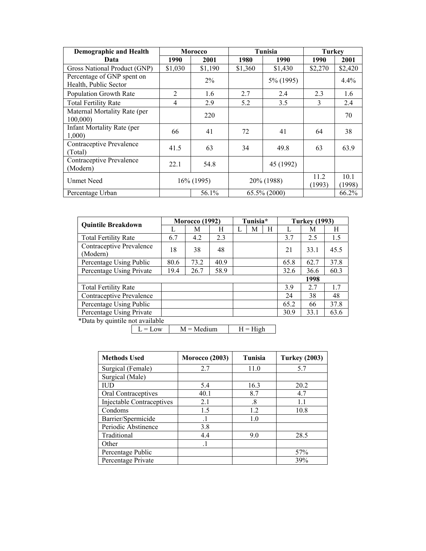| <b>Demographic and Health</b>                       | Morocco        |               |                 | Tunisia    | Turkey         |                |
|-----------------------------------------------------|----------------|---------------|-----------------|------------|----------------|----------------|
| Data                                                | 1990           | 2001          | 1980            | 1990       | 1990           | 2001           |
| Gross National Product (GNP)                        | \$1,030        | \$1,190       | \$1,360         | \$1,430    | \$2,270        | \$2,420        |
| Percentage of GNP spent on<br>Health, Public Sector |                | $2\%$         |                 | 5% (1995)  |                | $4.4\%$        |
| <b>Population Growth Rate</b>                       | $\overline{2}$ | 1.6           | 2.7             | 2.4        | 2.3            | 1.6            |
| <b>Total Fertility Rate</b>                         | 4              | 2.9           | 5.2             | 3.5        | 3              | 2.4            |
| Maternal Mortality Rate (per<br>100,000)            |                | 220           |                 |            |                | 70             |
| Infant Mortality Rate (per<br>1,000)                | 66             | 41            | 72              | 41         | 64             | 38             |
| Contraceptive Prevalence<br>(Total)                 | 41.5           | 63            | 34              | 49.8       | 63             | 63.9           |
| Contraceptive Prevalence<br>(Modern)                | 22.1           | 54.8          |                 | 45 (1992)  |                |                |
| <b>Unmet Need</b>                                   |                | $16\%$ (1995) |                 | 20% (1988) | 11.2<br>(1993) | 10.1<br>(1998) |
| Percentage Urban                                    |                | 56.1%         | $65.5\%$ (2000) |            |                | 66.2%          |

| <b>Quintile Breakdown</b>            | <b>Morocco</b> (1992) |      |      | Tunisia* |   | <b>Turkey (1993)</b> |      |      |      |
|--------------------------------------|-----------------------|------|------|----------|---|----------------------|------|------|------|
|                                      | L                     | М    | H    | L        | М | H                    | L    | М    | H    |
| <b>Total Fertility Rate</b>          | 6.7                   | 4.2  | 2.3  |          |   |                      | 3.7  | 2.5  | 1.5  |
| Contraceptive Prevalence<br>(Modern) | 18                    | 38   | 48   |          |   |                      | 21   | 33.1 | 45.5 |
| Percentage Using Public              | 80.6                  | 73.2 | 40.9 |          |   |                      | 65.8 | 62.7 | 37.8 |
| Percentage Using Private             | 19.4                  | 26.7 | 58.9 |          |   |                      | 32.6 | 36.6 | 60.3 |
|                                      |                       |      |      |          |   |                      |      | 1998 |      |
| <b>Total Fertility Rate</b>          |                       |      |      |          |   |                      | 3.9  | 2.7  | 1.7  |
| Contraceptive Prevalence             |                       |      |      |          |   |                      | 24   | 38   | 48   |
| Percentage Using Public              |                       |      |      |          |   |                      | 65.2 | 66   | 37.8 |
| Percentage Using Private             |                       |      |      |          |   |                      | 30.9 | 33.1 | 63.6 |
| $*$ Data by quintila not available   |                       |      |      |          |   |                      |      |      |      |

\*Data by quintile not available

 $L = Low$   $M = Medium$   $H = High$ 

| <b>Methods Used</b>              | <b>Morocco</b> (2003) | Tunisia | <b>Turkey (2003)</b> |
|----------------------------------|-----------------------|---------|----------------------|
| Surgical (Female)                | 2.7                   | 11.0    | 5.7                  |
| Surgical (Male)                  |                       |         |                      |
| IUD                              | 5.4                   | 16.3    | 20.2                 |
| Oral Contraceptives              | 40.1                  | 8.7     | 4.7                  |
| <b>Injectable Contraceptives</b> | 2.1                   | .8      | 1.1                  |
| Condoms                          | 1.5                   | 1.2     | 10.8                 |
| Barrier/Spermicide               | $\cdot$ 1             | 1.0     |                      |
| Periodic Abstinence              | 3.8                   |         |                      |
| Traditional                      | 4.4                   | 9.0     | 28.5                 |
| Other                            | $\cdot$ 1             |         |                      |
| Percentage Public                |                       |         | 57%                  |
| Percentage Private               |                       |         | 39%                  |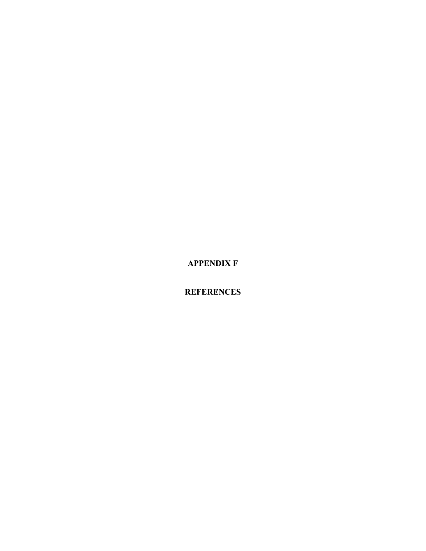**APPENDIX F** 

**REFERENCES**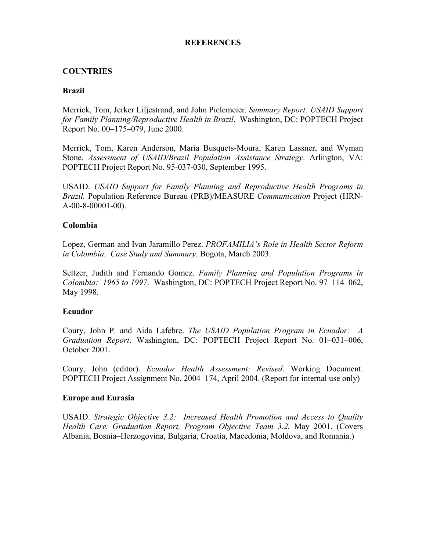## **REFERENCES**

# **COUNTRIES**

## **Brazil**

Merrick, Tom, Jerker Liljestrand, and John Pielemeier. *Summary Report: USAID Support for Family Planning/Reproductive Health in Brazil*. Washington, DC: POPTECH Project Report No. 00–175–079, June 2000.

Merrick, Tom, Karen Anderson, Maria Busquets-Moura, Karen Lassner, and Wyman Stone. *Assessment of USAID/Brazil Population Assistance Strategy*. Arlington, VA: POPTECH Project Report No. 95-037-030, September 1995.

USAID. *USAID Support for Family Planning and Reproductive Health Programs in Brazil.* Population Reference Bureau (PRB)/MEASURE *Communication* Project (HRN-A-00-8-00001-00).

#### **Colombia**

Lopez, German and Ivan Jaramillo Perez. *PROFAMILIA's Role in Health Sector Reform in Colombia. Case Study and Summary.* Bogota, March 2003.

Seltzer, Judith and Fernando Gomez. *Family Planning and Population Programs in Colombia: 1965 to 1997*. Washington, DC: POPTECH Project Report No. 97–114–062, May 1998.

#### **Ecuador**

Coury, John P. and Aida Lafebre. *The USAID Population Program in Ecuador: A Graduation Report*. Washington, DC: POPTECH Project Report No. 01–031–006, October 2001.

Coury, John (editor). *Ecuador Health Assessment: Revised*. Working Document. POPTECH Project Assignment No. 2004–174, April 2004. (Report for internal use only)

#### **Europe and Eurasia**

USAID. *Strategic Objective 3.2: Increased Health Promotion and Access to Quality Health Care. Graduation Report, Program Objective Team 3.2.* May 2001. (Covers Albania, Bosnia–Herzogovina, Bulgaria, Croatia, Macedonia, Moldova, and Romania.)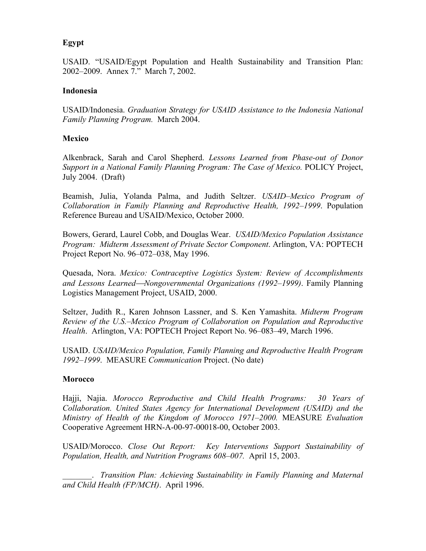# **Egypt**

USAID. "USAID/Egypt Population and Health Sustainability and Transition Plan: 2002–2009. Annex 7." March 7, 2002.

# **Indonesia**

USAID/Indonesia. *Graduation Strategy for USAID Assistance to the Indonesia National Family Planning Program.* March 2004.

## **Mexico**

Alkenbrack, Sarah and Carol Shepherd. *Lessons Learned from Phase-out of Donor Support in a National Family Planning Program: The Case of Mexico.* POLICY Project, July 2004. (Draft)

Beamish, Julia, Yolanda Palma, and Judith Seltzer. *USAID–Mexico Program of Collaboration in Family Planning and Reproductive Health, 1992–1999*. Population Reference Bureau and USAID/Mexico, October 2000.

Bowers, Gerard, Laurel Cobb, and Douglas Wear. *USAID/Mexico Population Assistance Program: Midterm Assessment of Private Sector Component*. Arlington, VA: POPTECH Project Report No. 96–072–038, May 1996.

Quesada, Nora. *Mexico: Contraceptive Logistics System: Review of Accomplishments and Lessons LearnedNongovernmental Organizations (1992–1999)*. Family Planning Logistics Management Project, USAID, 2000.

Seltzer, Judith R., Karen Johnson Lassner, and S. Ken Yamashita. *Midterm Program Review of the U.S.–Mexico Program of Collaboration on Population and Reproductive Health*. Arlington, VA: POPTECH Project Report No. 96–083–49, March 1996.

USAID. *USAID/Mexico Population, Family Planning and Reproductive Health Program 1992–1999*. MEASURE *Communication* Project. (No date)

#### **Morocco**

Hajji, Najia. *Morocco Reproductive and Child Health Programs: 30 Years of Collaboration. United States Agency for International Development (USAID) and the Ministry of Health of the Kingdom of Morocco 1971–2000.* MEASURE *Evaluation* Cooperative Agreement HRN-A-00-97-00018-00, October 2003.

USAID/Morocco. *Close Out Report: Key Interventions Support Sustainability of Population, Health, and Nutrition Programs 608–007.* April 15, 2003.

\_\_\_\_\_\_\_. *Transition Plan: Achieving Sustainability in Family Planning and Maternal and Child Health (FP/MCH)*. April 1996.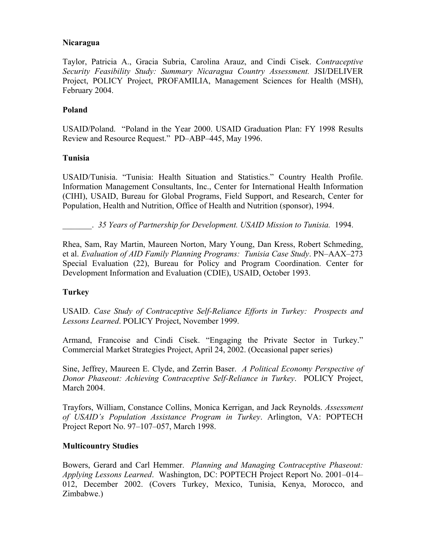#### **Nicaragua**

Taylor, Patricia A., Gracia Subria, Carolina Arauz, and Cindi Cisek. *Contraceptive Security Feasibility Study: Summary Nicaragua Country Assessment.* JSI/DELIVER Project, POLICY Project, PROFAMILIA, Management Sciences for Health (MSH), February 2004.

# **Poland**

USAID/Poland. "Poland in the Year 2000. USAID Graduation Plan: FY 1998 Results Review and Resource Request." PD–ABP–445, May 1996.

#### **Tunisia**

USAID/Tunisia. "Tunisia: Health Situation and Statistics." Country Health Profile. Information Management Consultants, Inc., Center for International Health Information (CIHI), USAID, Bureau for Global Programs, Field Support, and Research, Center for Population, Health and Nutrition, Office of Health and Nutrition (sponsor), 1994.

\_\_\_\_\_\_\_. *35 Years of Partnership for Development. USAID Mission to Tunisia.* 1994.

Rhea, Sam, Ray Martin, Maureen Norton, Mary Young, Dan Kress, Robert Schmeding, et al. *Evaluation of AID Family Planning Programs: Tunisia Case Study*. PN–AAX–273 Special Evaluation (22), Bureau for Policy and Program Coordination. Center for Development Information and Evaluation (CDIE), USAID, October 1993.

# **Turkey**

USAID. *Case Study of Contraceptive Self-Reliance Efforts in Turkey: Prospects and Lessons Learned*. POLICY Project, November 1999.

Armand, Francoise and Cindi Cisek. "Engaging the Private Sector in Turkey." Commercial Market Strategies Project, April 24, 2002. (Occasional paper series)

Sine, Jeffrey, Maureen E. Clyde, and Zerrin Baser. *A Political Economy Perspective of Donor Phaseout: Achieving Contraceptive Self-Reliance in Turkey*. POLICY Project, March 2004.

Trayfors, William, Constance Collins, Monica Kerrigan, and Jack Reynolds. *Assessment of USAID's Population Assistance Program in Turkey*. Arlington, VA: POPTECH Project Report No. 97–107–057, March 1998.

# **Multicountry Studies**

Bowers, Gerard and Carl Hemmer. *Planning and Managing Contraceptive Phaseout: Applying Lessons Learned*. Washington, DC: POPTECH Project Report No. 2001–014– 012, December 2002. (Covers Turkey, Mexico, Tunisia, Kenya, Morocco, and Zimbabwe.)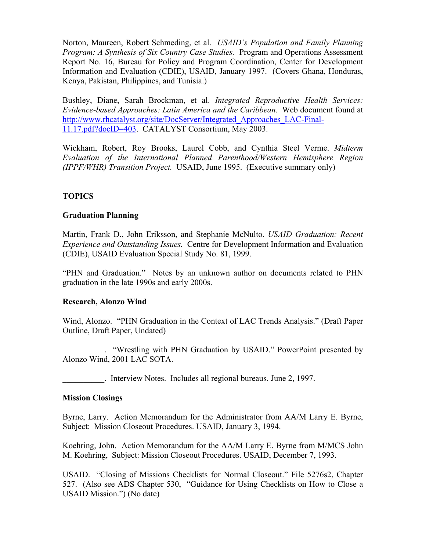Norton, Maureen, Robert Schmeding, et al. *USAID's Population and Family Planning Program: A Synthesis of Six Country Case Studies.* Program and Operations Assessment Report No. 16, Bureau for Policy and Program Coordination, Center for Development Information and Evaluation (CDIE), USAID, January 1997. (Covers Ghana, Honduras, Kenya, Pakistan, Philippines, and Tunisia.)

Bushley, Diane, Sarah Brockman, et al. *Integrated Reproductive Health Services: Evidence-based Approaches: Latin America and the Caribbean*. Web document found at http://www.rhcatalyst.org/site/DocServer/Integrated\_Approaches\_LAC-Final-11.17.pdf?docID=403. CATALYST Consortium, May 2003.

Wickham, Robert, Roy Brooks, Laurel Cobb, and Cynthia Steel Verme. *Midterm Evaluation of the International Planned Parenthood/Western Hemisphere Region (IPPF/WHR) Transition Project.* USAID, June 1995. (Executive summary only)

# **TOPICS**

#### **Graduation Planning**

Martin, Frank D., John Eriksson, and Stephanie McNulto. *USAID Graduation: Recent Experience and Outstanding Issues.* Centre for Development Information and Evaluation (CDIE), USAID Evaluation Special Study No. 81, 1999.

"PHN and Graduation." Notes by an unknown author on documents related to PHN graduation in the late 1990s and early 2000s.

#### **Research, Alonzo Wind**

Wind, Alonzo. "PHN Graduation in the Context of LAC Trends Analysis." (Draft Paper Outline, Draft Paper, Undated)

\_\_\_\_\_\_\_\_\_\_. "Wrestling with PHN Graduation by USAID." PowerPoint presented by Alonzo Wind, 2001 LAC SOTA.

\_\_\_\_\_\_\_\_\_\_. Interview Notes. Includes all regional bureaus. June 2, 1997.

#### **Mission Closings**

Byrne, Larry. Action Memorandum for the Administrator from AA/M Larry E. Byrne, Subject: Mission Closeout Procedures. USAID, January 3, 1994.

Koehring, John. Action Memorandum for the AA/M Larry E. Byrne from M/MCS John M. Koehring, Subject: Mission Closeout Procedures. USAID, December 7, 1993.

USAID. "Closing of Missions Checklists for Normal Closeout." File 5276s2, Chapter 527. (Also see ADS Chapter 530, "Guidance for Using Checklists on How to Close a USAID Mission.") (No date)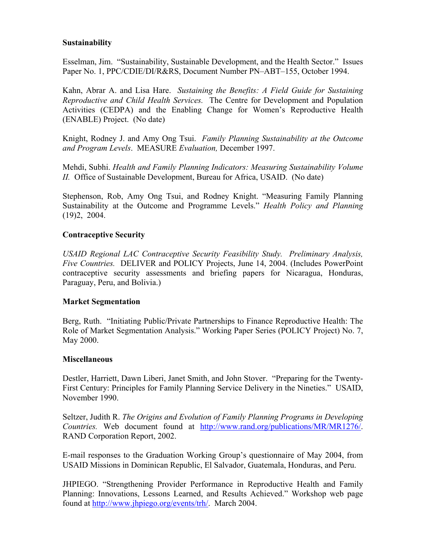## **Sustainability**

Esselman, Jim. "Sustainability, Sustainable Development, and the Health Sector." Issues Paper No. 1, PPC/CDIE/DI/R&RS, Document Number PN–ABT–155, October 1994.

Kahn, Abrar A. and Lisa Hare. *Sustaining the Benefits: A Field Guide for Sustaining Reproductive and Child Health Services.* The Centre for Development and Population Activities (CEDPA) and the Enabling Change for Women's Reproductive Health (ENABLE) Project. (No date)

Knight, Rodney J. and Amy Ong Tsui. *Family Planning Sustainability at the Outcome and Program Levels*. MEASURE *Evaluation,* December 1997.

Mehdi, Subhi. *Health and Family Planning Indicators: Measuring Sustainability Volume II.* Office of Sustainable Development, Bureau for Africa, USAID. (No date)

Stephenson, Rob, Amy Ong Tsui, and Rodney Knight. "Measuring Family Planning Sustainability at the Outcome and Programme Levels." *Health Policy and Planning* (19)2, 2004.

# **Contraceptive Security**

*USAID Regional LAC Contraceptive Security Feasibility Study. Preliminary Analysis, Five Countries.* DELIVER and POLICY Projects, June 14, 2004. (Includes PowerPoint contraceptive security assessments and briefing papers for Nicaragua, Honduras, Paraguay, Peru, and Bolivia.)

#### **Market Segmentation**

Berg, Ruth. "Initiating Public/Private Partnerships to Finance Reproductive Health: The Role of Market Segmentation Analysis." Working Paper Series (POLICY Project) No. 7, May 2000.

#### **Miscellaneous**

Destler, Harriett, Dawn Liberi, Janet Smith, and John Stover. "Preparing for the Twenty-First Century: Principles for Family Planning Service Delivery in the Nineties." USAID, November 1990.

Seltzer, Judith R. *The Origins and Evolution of Family Planning Programs in Developing Countries.* Web document found at http://www.rand.org/publications/MR/MR1276/. RAND Corporation Report, 2002.

E-mail responses to the Graduation Working Group's questionnaire of May 2004, from USAID Missions in Dominican Republic, El Salvador, Guatemala, Honduras, and Peru.

JHPIEGO. "Strengthening Provider Performance in Reproductive Health and Family Planning: Innovations, Lessons Learned, and Results Achieved." Workshop web page found at http://www.jhpiego.org/events/trh/. March 2004.